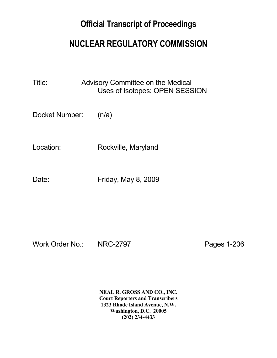## **Official Transcript of Proceedings**

## **NUCLEAR REGULATORY COMMISSION**

Title: Advisory Committee on the Medical Uses of Isotopes: OPEN SESSION

Docket Number: (n/a)

Location: Rockville, Maryland

Date: Friday, May 8, 2009

Work Order No.: NRC-2797 Pages 1-206

 **NEAL R. GROSS AND CO., INC. Court Reporters and Transcribers 1323 Rhode Island Avenue, N.W. Washington, D.C. 20005 (202) 234-4433**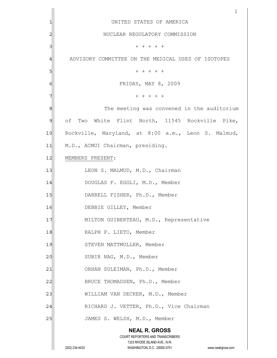|    | $\mathbf{1}$                                                                                        |  |  |
|----|-----------------------------------------------------------------------------------------------------|--|--|
|    | UNITED STATES OF AMERICA                                                                            |  |  |
| 2  | NUCLEAR REGULATORY COMMISSION                                                                       |  |  |
| 3  | $+ + + + +$                                                                                         |  |  |
| 4  | ADVISORY COMMITTEE ON THE MEDICAL USES OF ISOTOPES                                                  |  |  |
| 5  | $+ + + + +$                                                                                         |  |  |
| 6  | FRIDAY, MAY 8, 2009                                                                                 |  |  |
|    | $+ + + + + +$                                                                                       |  |  |
| 8  | The meeting was convened in the auditorium                                                          |  |  |
| 9  | of Two White Flint North, 11545 Rockville Pike,                                                     |  |  |
| 10 | Rockville, Maryland, at 8:00 a.m., Leon S. Malmud,                                                  |  |  |
| 11 | M.D., ACMUI Chairman, presiding.                                                                    |  |  |
| 12 | MEMBERS PRESENT:                                                                                    |  |  |
| 13 | LEON S. MALMUD, M.D., Chairman                                                                      |  |  |
| 14 | DOUGLAS F. EGGLI, M.D., Member                                                                      |  |  |
| 15 | DARRELL FISHER, Ph.D., Member                                                                       |  |  |
| 16 | DEBBIE GILLEY, Member                                                                               |  |  |
| 17 | MILTON GUIBERTEAU, M.D., Representative                                                             |  |  |
| 18 | RALPH P. LIETO, Member                                                                              |  |  |
| 19 | STEVEN MATTMULLER, Member                                                                           |  |  |
| 20 | SUBIR NAG, M.D., Member                                                                             |  |  |
| 21 | ORHAN SULEIMAN, Ph.D., Member                                                                       |  |  |
| 22 | BRUCE THOMADSEN, Ph.D., Member                                                                      |  |  |
| 23 | WILLIAM VAN DECKER, M.D., Member                                                                    |  |  |
| 24 | RICHARD J. VETTER, Ph.D., Vice Chairman                                                             |  |  |
| 25 | JAMES S. WELSH, M.D., Member                                                                        |  |  |
|    | <b>NEAL R. GROSS</b>                                                                                |  |  |
|    | <b>COURT REPORTERS AND TRANSCRIBERS</b>                                                             |  |  |
|    | 1323 RHODE ISLAND AVE., N.W.<br>(202) 234-4433<br>WASHINGTON, D.C. 20005-3701<br>www.nealrgross.com |  |  |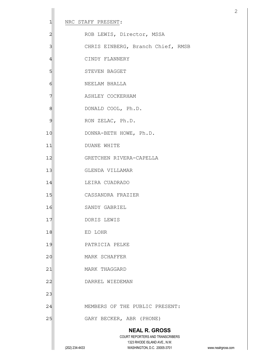| 1              | NRC STAFF PRESENT: |                                                                                                                                               |
|----------------|--------------------|-----------------------------------------------------------------------------------------------------------------------------------------------|
| $\overline{c}$ |                    | ROB LEWIS, Director, MSSA                                                                                                                     |
| 3              |                    | CHRIS EINBERG, Branch Chief, RMSB                                                                                                             |
| $\overline{4}$ |                    | CINDY FLANNERY                                                                                                                                |
| 5              |                    | STEVEN BAGGET                                                                                                                                 |
| 6              |                    | NEELAM BHALLA                                                                                                                                 |
| 7              |                    | ASHLEY COCKERHAM                                                                                                                              |
| 8              |                    | DONALD COOL, Ph.D.                                                                                                                            |
| 9              |                    | RON ZELAC, Ph.D.                                                                                                                              |
| 10             |                    | DONNA-BETH HOWE, Ph.D.                                                                                                                        |
| 11             |                    | DUANE WHITE                                                                                                                                   |
| 12             |                    | GRETCHEN RIVERA-CAPELLA                                                                                                                       |
| 13             |                    | GLENDA VILLAMAR                                                                                                                               |
| 14             |                    | LEIRA CUADRADO                                                                                                                                |
| 15             |                    | CASSANDRA FRAZIER                                                                                                                             |
| 16             |                    | SANDY GABRIEL                                                                                                                                 |
| 17             |                    | DORIS LEWIS                                                                                                                                   |
| 18             | ED LOHR            |                                                                                                                                               |
| 19             |                    | PATRICIA PELKE                                                                                                                                |
| 20             |                    | MARK SCHAFFER                                                                                                                                 |
| 21             |                    | MARK THAGGARD                                                                                                                                 |
| 22             |                    | DARREL WIEDEMAN                                                                                                                               |
| 23             |                    |                                                                                                                                               |
| 24             |                    | MEMBERS OF THE PUBLIC PRESENT:                                                                                                                |
| 25             |                    | GARY BECKER, ABR (PHONE)                                                                                                                      |
|                | (202) 234-4433     | <b>NEAL R. GROSS</b><br>COURT REPORTERS AND TRANSCRIBERS<br>1323 RHODE ISLAND AVE., N.W.<br>WASHINGTON, D.C. 20005-3701<br>www.nealrgross.com |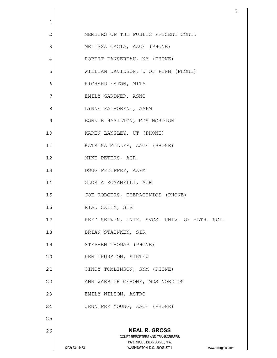| 1              |                |                                                                                                                         |                    |
|----------------|----------------|-------------------------------------------------------------------------------------------------------------------------|--------------------|
| $\overline{c}$ |                | MEMBERS OF THE PUBLIC PRESENT CONT.                                                                                     |                    |
| 3              |                | MELISSA CACIA, AACE (PHONE)                                                                                             |                    |
| $\overline{4}$ |                | ROBERT DANSEREAU, NY (PHONE)                                                                                            |                    |
| 5              |                | WILLIAM DAVIDSON, U OF PENN (PHONE)                                                                                     |                    |
| 6              |                | RICHARD EATON, MITA                                                                                                     |                    |
| 7              |                | EMILY GARDNER, ASNC                                                                                                     |                    |
| 8              |                | LYNNE FAIROBENT, AAPM                                                                                                   |                    |
| 9              |                | BONNIE HAMILTON, MDS NORDION                                                                                            |                    |
| 10             |                | KAREN LANGLEY, UT (PHONE)                                                                                               |                    |
| 11             |                | KATRINA MILLER, AACE (PHONE)                                                                                            |                    |
| 12             |                | MIKE PETERS, ACR                                                                                                        |                    |
| 13             |                | DOUG PFEIFFER, AAPM                                                                                                     |                    |
| 14             |                | GLORIA ROMANELLI, ACR                                                                                                   |                    |
| 15             |                | JOE RODGERS, THERAGENICS (PHONE)                                                                                        |                    |
| 16             |                | RIAD SALEM, SIR                                                                                                         |                    |
| 17             |                | REED SELWYN, UNIF. SVCS. UNIV. OF HLTH. SCI.                                                                            |                    |
| 18             |                | BRIAN STAINKEN, SIR                                                                                                     |                    |
| 19             |                | STEPHEN THOMAS (PHONE)                                                                                                  |                    |
| 20             |                | KEN THURSTON, SIRTEX                                                                                                    |                    |
| 21             |                | CINDY TOMLINSON, SNM (PHONE)                                                                                            |                    |
| 22             |                | ANN WARBICK CERONE, MDS NORDION                                                                                         |                    |
| 23             |                | EMILY WILSON, ASTRO                                                                                                     |                    |
| 24             |                | JENNIFER YOUNG, AACE (PHONE)                                                                                            |                    |
| 25             |                |                                                                                                                         |                    |
| 26             | (202) 234-4433 | <b>NEAL R. GROSS</b><br>COURT REPORTERS AND TRANSCRIBERS<br>1323 RHODE ISLAND AVE., N.W.<br>WASHINGTON, D.C. 20005-3701 | www.nealrgross.com |
|                |                |                                                                                                                         |                    |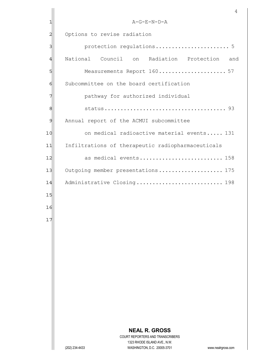|                | 4                                                                                                   |
|----------------|-----------------------------------------------------------------------------------------------------|
| 1              | A-G-E-N-D-A                                                                                         |
| $\overline{c}$ | Options to revise radiation                                                                         |
| 3              | protection regulations 5                                                                            |
| 4              | National Council on Radiation Protection<br>and                                                     |
| 5              | Measurements Report 160 57                                                                          |
| 6              | Subcommittee on the board certification                                                             |
| 7              | pathway for authorized individual                                                                   |
| 8              |                                                                                                     |
| 9              | Annual report of the ACMUI subcommittee                                                             |
| 10             | on medical radioactive material events 131                                                          |
| 11             | Infiltrations of therapeutic radiopharmaceuticals                                                   |
| 12             | as medical events 158                                                                               |
| 13             | Outgoing member presentations 175                                                                   |
| 14             | Administrative Closing 198                                                                          |
| 15             |                                                                                                     |
| 16             |                                                                                                     |
| 17             |                                                                                                     |
|                |                                                                                                     |
|                |                                                                                                     |
|                |                                                                                                     |
|                |                                                                                                     |
|                |                                                                                                     |
|                |                                                                                                     |
|                |                                                                                                     |
|                |                                                                                                     |
|                |                                                                                                     |
|                | <b>NEAL R. GROSS</b><br>COURT REPORTERS AND TRANSCRIBERS                                            |
|                | 1323 RHODE ISLAND AVE., N.W.<br>WASHINGTON, D.C. 20005-3701<br>(202) 234-4433<br>www.nealrgross.com |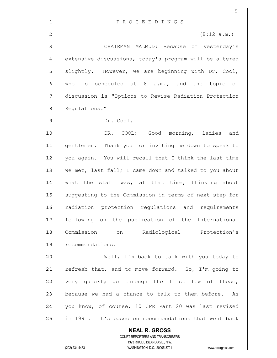|                | 5                                                                                                   |  |  |
|----------------|-----------------------------------------------------------------------------------------------------|--|--|
| 1              | PROCEEDINGS                                                                                         |  |  |
| $\overline{2}$ | (8:12 a.m.)                                                                                         |  |  |
| 3              | CHAIRMAN MALMUD: Because of yesterday's                                                             |  |  |
| 4              | extensive discussions, today's program will be altered                                              |  |  |
| 5              | slightly. However, we are beginning with Dr. Cool,                                                  |  |  |
| $\epsilon$     | who is scheduled at $8$ a.m., and the topic of                                                      |  |  |
| 7              | discussion is "Options to Revise Radiation Protection                                               |  |  |
| $\,8\,$        | Regulations."                                                                                       |  |  |
| 9              | Dr. Cool.                                                                                           |  |  |
| 10             | DR. COOL: Good morning, ladies<br>and                                                               |  |  |
| 11             | gentlemen. Thank you for inviting me down to speak to                                               |  |  |
| 12             | you again. You will recall that I think the last time                                               |  |  |
| 13             | we met, last fall; I came down and talked to you about                                              |  |  |
| 14             | what the staff was, at that time, thinking about                                                    |  |  |
| 15             | suggesting to the Commission in terms of next step for                                              |  |  |
| 16             | radiation protection requlations and requirements                                                   |  |  |
| 17             | following on the publication of the International                                                   |  |  |
| 18             | Commission<br>on Radiological Protection's                                                          |  |  |
| 19             | recommendations.                                                                                    |  |  |
| 20             | Well, I'm back to talk with you today to                                                            |  |  |
| 21             | refresh that, and to move forward. So, I'm going to                                                 |  |  |
| 22             | very quickly go through the first few of these,                                                     |  |  |
| 23             | because we had a chance to talk to them before. As                                                  |  |  |
| 24             | you know, of course, 10 CFR Part 20 was last revised                                                |  |  |
| 25             | in 1991. It's based on recommendations that went back                                               |  |  |
|                | <b>NEAL R. GROSS</b>                                                                                |  |  |
|                | COURT REPORTERS AND TRANSCRIBERS                                                                    |  |  |
|                | 1323 RHODE ISLAND AVE., N.W.<br>(202) 234-4433<br>WASHINGTON, D.C. 20005-3701<br>www.nealrgross.com |  |  |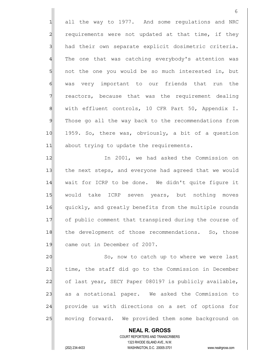1 all the way to 1977. And some regulations and NRC 2 requirements were not updated at that time, if they 3 had their own separate explicit dosimetric criteria. 4 The one that was catching everybody's attention was 5 5 5 not the one you would be so much interested in, but 6 was very important to our friends that run the 7 reactors, because that was the requirement dealing 8 8 with effluent controls, 10 CFR Part 50, Appendix I. 9 Those go all the way back to the recommendations from 10 1959. So, there was, obviously, a bit of a question 11 about trying to update the requirements.

12 In 2001, we had asked the Commission on 13 the next steps, and everyone had agreed that we would 14 wait for ICRP to be done. We didn't quite figure it 15 would take ICRP seven years, but nothing moves 16 quickly, and greatly benefits from the multiple rounds 17 of public comment that transpired during the course of 18 the development of those recommendations. So, those 19 came out in December of 2007.

20 So, now to catch up to where we were last 21 time, the staff did go to the Commission in December 22 of last year, SECY Paper 080197 is publicly available, 23 as a notational paper. We asked the Commission to 24 provide us with directions on a set of options for 25 | moving forward. We provided them some background on

 **NEAL R. GROSS** COURT REPORTERS AND TRANSCRIBERS 1323 RHODE ISLAND AVE., N.W. (202) 234-4433 WASHINGTON, D.C. 20005-3701 www.nealrgross.com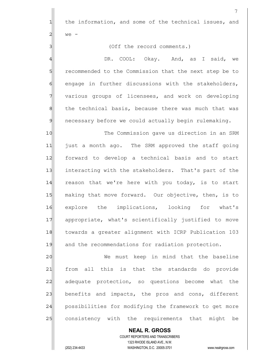**NEAL R. GROSS** COURT REPORTERS AND TRANSCRIBERS  $1$  the information, and some of the technical issues, and  $2$  we -3 3 (Off the record comments.) 4 All CDR. COOL: Okay. And, as I said, we 5 S recommended to the Commission that the next step be to 6 6 engage in further discussions with the stakeholders, 7 various groups of licensees, and work on developing 8 the technical basis, because there was much that was 9 necessary before we could actually begin rulemaking. 10 The Commission gave us direction in an SRM 11 just a month ago. The SRM approved the staff going 12 forward to develop a technical basis and to start 13 interacting with the stakeholders. That's part of the 14 reason that we're here with you today, is to start 15 making that move forward. Our objective, then, is to 16 explore the implications, looking for what's 17 appropriate, what's scientifically justified to move 18 towards a greater alignment with ICRP Publication 103 19 and the recommendations for radiation protection. 20 We must keep in mind that the baseline 21 from all this is that the standards do provide 22 adequate protection, so questions become what the  $23$  benefits and impacts, the pros and cons, different 24 possibilities for modifying the framework to get more 25 consistency with the requirements that might be

1323 RHODE ISLAND AVE., N.W.

(202) 234-4433 WASHINGTON, D.C. 20005-3701 www.nealrgross.com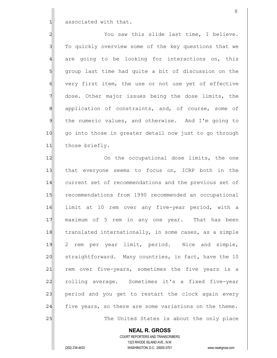1 associated with that.

2 2 You saw this slide last time, I believe. 3 To quickly overview some of the key questions that we 4 are going to be looking for interactions on, this 5| group last time had quite a bit of discussion on the 6 very first item, the use or not use yet of effective 7 dose. Other major issues being the dose limits, the 8 application of constraints, and, of course, some of 9 the numeric values, and otherwise. And I'm going to 10 go into those in greater detail now just to go through 11 those briefly.

12 On the occupational dose limits, the one 13 that everyone seems to focus on, ICRP both in the 14 current set of recommendations and the previous set of 15 recommendations from 1990 recommended an occupational 16 limit at 10 rem over any five-year period, with a 17 maximum of 5 rem in any one year. That has been 18 translated internationally, in some cases, as a simple 19 2 rem per year limit, period. Nice and simple, 20 straightforward. Many countries, in fact, have the 10 21 rem over five-years, sometimes the five years is a 22 rolling average. Sometimes it's a fixed five-year  $23$  period and you get to restart the clock again every 24 five years, so there are some variations on the theme. 25 and 1 The United States is about the only place

> **NEAL R. GROSS** COURT REPORTERS AND TRANSCRIBERS 1323 RHODE ISLAND AVE., N.W.

(202) 234-4433 WASHINGTON, D.C. 20005-3701 www.nealrgross.com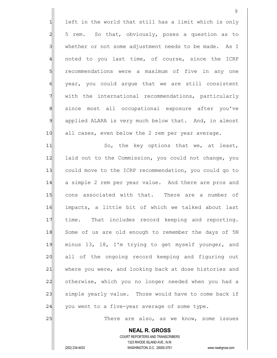9  $1$  left in the world that still has a limit which is only 2 5 rem. So that, obviously, poses a question as to 3 whether or not some adjustment needs to be made. As I 4 noted to you last time, of course, since the ICRP 5 5 5 5 recommendations were a maximum of five in any one 6 | year, you could argue that we are still consistent 7 With the international recommendations, particularly 8 since most all occupational exposure after you've 9 applied ALARA is very much below that. And, in almost 10 all cases, even below the 2 rem per year average. 11 So, the key options that we, at least, 12 laid out to the Commission, you could not change, you 13 could move to the ICRP recommendation, you could go to 14 a simple 2 rem per year value. And there are pros and 15 cons associated with that. There are a number of 16 impacts, a little bit of which we talked about last 17 | time. That includes record keeping and reporting. 18 Some of us are old enough to remember the days of 5N 19 minus 13, 18, I'm trying to get myself younger, and 20 all of the ongoing record keeping and figuring out 21 where you were, and looking back at dose histories and 22 otherwise, which you no longer needed when you had a 23 simple yearly value. Those would have to come back if  $24$  you went to a five-year average of some type. 25 | There are also, as we know, some issues

 COURT REPORTERS AND TRANSCRIBERS 1323 RHODE ISLAND AVE., N.W. (202) 234-4433 WASHINGTON, D.C. 20005-3701 www.nealrgross.com

 **NEAL R. GROSS**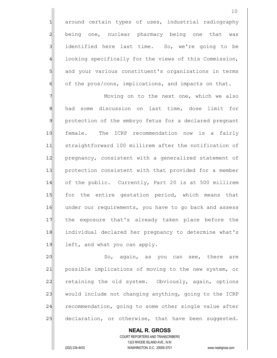1 around certain types of uses, industrial radiography 2| being one, nuclear pharmacy being one that was 3 3 identified here last time. So, we're going to be 4 looking specifically for the views of this Commission, 5 5 5 and your various constituent's organizations in terms  $6$  of the pros/cons, implications, and impacts on that.

7 Moving on to the next one, which we also 8 had some discussion on last time, dose limit for 9 protection of the embryo fetus for a declared pregnant 10 female. The ICRP recommendation now is a fairly 11 straightforward 100 millirem after the notification of 12 pregnancy, consistent with a generalized statement of 13 | protection consistent with that provided for a member 14 of the public. Currently, Part 20 is at 500 millirem 15 for the entire gestation period, which means that 16 under our requirements, you have to go back and assess 17 the exposure that's already taken place before the 18 individual declared her pregnancy to determine what's 19 left, and what you can apply.

20 So, again, as you can see, there are 21 possible implications of moving to the new system, or 22 retaining the old system. Obviously, again, options 23 would include not changing anything, going to the ICRP 24 recommendation, going to some other single value after 25 declaration, or otherwise, that have been suggested.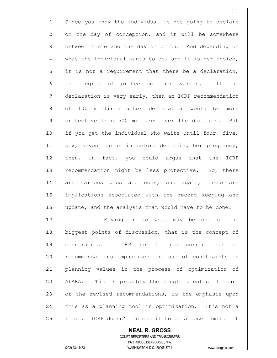1 Since you know the individual is not going to declare 2 on the day of conception, and it will be somewhere 3 between there and the day of birth. And depending on  $4$  what the individual wants to do, and it is her choice, 5 5 it is not a requirement that there be a declaration, 6 6 follow the degree of protection then varies. If the 7 declaration is very early, then an ICRP recommendation 8 of 100 millirem after declaration would be more 9 protective than 500 millirem over the duration. But 10 if you get the individual who waits until four, five, 11 six, seven months in before declaring her pregnancy, 12 then, in fact, you could argue that the ICRP 13 recommendation might be less protective. So, there 14 are various pros and cons, and again, there are 15 implications associated with the record keeping and 16 update, and the analysis that would have to be done. 17 Moving on to what may be one of the 18 biggest points of discussion, that is the concept of 19 constraints. ICRP has in its current set of 20 recommendations emphasized the use of constraints in 21 planning values in the process of optimization of

22 ALARA. This is probably the single greatest feature 23 of the revised recommendations, is the emphasis upon 24 this as a planning tool in optimization. It's not a 25 limit. ICRP doesn't intend it to be a dose limit. It

 COURT REPORTERS AND TRANSCRIBERS 1323 RHODE ISLAND AVE., N.W. (202) 234-4433 WASHINGTON, D.C. 20005-3701 www.nealrgross.com

 **NEAL R. GROSS**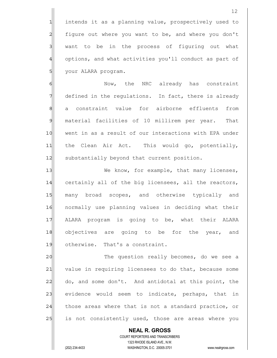1 intends it as a planning value, prospectively used to 2 figure out where you want to be, and where you don't 3 | want to be in the process of figuring out what 4 options, and what activities you'll conduct as part of 5 | your ALARA program.

6 Mow, the NRC already has constraint 7 defined in the regulations. In fact, there is already 8 a constraint value for airborne effluents from 9 material facilities of 10 millirem per year. That 10 went in as a result of our interactions with EPA under 11 the Clean Air Act. This would go, potentially, 12 substantially beyond that current position.

13 We know, for example, that many licenses, 14 certainly all of the big licensees, all the reactors, 15 many broad scopes, and otherwise typically and 16 | normally use planning values in deciding what their 17 ALARA program is going to be, what their ALARA 18| objectives are going to be for the year, and 19 otherwise. That's a constraint.

20 The question really becomes, do we see a 21 value in requiring licensees to do that, because some 22 do, and some don't. And antidotal at this point, the 23 evidence would seem to indicate, perhaps, that in 24 those areas where that is not a standard practice, or 25 is not consistently used, those are areas where you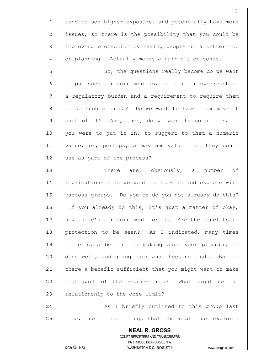1 tend to see higher exposure, and potentially have more 2 | issues, so there is the possibility that you could be 3 improving protection by having people do a better job 4 of planning. Actually makes a fair bit of sense.

5 So, the questions really become do we want 6 to put such a requirement in, or is it an overreach of 7 a regulatory burden and a requirement to require them  $8$  to do such a thing? Do we want to have them make it  $9$  part of it? And, then, do we want to go so far, if 10 you were to put it in, to suggest to them a numeric 11 value, or, perhaps, a maximum value that they could 12 use as part of the process?

13 There are, obviously, a number of 14 implications that we want to look at and explore with 15 various groups. Do you or do you not already do this? 16 If you already do this, it's just a matter of okay, 17 10 now there's a requirement for it. Are the benefits to 18 protection to be seen? As I indicated, many times 19 there is a benefit to making sure your planning is 20 done well, and going back and checking that. But is 21 there a benefit sufficient that you might want to make 22 that part of the requirements? What might be the 23 relationship to the dose limit? 24 As I briefly outlined to this group last

25 time, one of the things that the staff has explored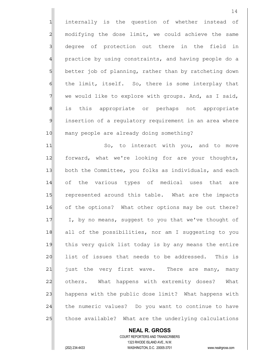1 internally is the question of whether instead of 2 modifying the dose limit, we could achieve the same 3 degree of protection out there in the field in 4 practice by using constraints, and having people do a 5 better job of planning, rather than by ratcheting down 6 6 the limit, itself. So, there is some interplay that  $7$  we would like to explore with groups. And, as I said, 8 is this appropriate or perhaps not appropriate 9 insertion of a regulatory requirement in an area where 10 many people are already doing something?

11 So, to interact with you, and to move 12 forward, what we're looking for are your thoughts, 13 both the Committee, you folks as individuals, and each 14 of the various types of medical uses that are 15 represented around this table. What are the impacts 16 of the options? What other options may be out there? 17 I, by no means, suggest to you that we've thought of 18 all of the possibilities, nor am I suggesting to you 19 this very quick list today is by any means the entire 20 list of issues that needs to be addressed. This is 21 | just the very first wave. There are many, many 22 others. What happens with extremity doses? What 23 happens with the public dose limit? What happens with 24 the numeric values? Do you want to continue to have 25 those available? What are the underlying calculations

 COURT REPORTERS AND TRANSCRIBERS 1323 RHODE ISLAND AVE., N.W. (202) 234-4433 WASHINGTON, D.C. 20005-3701 www.nealrgross.com

 **NEAL R. GROSS**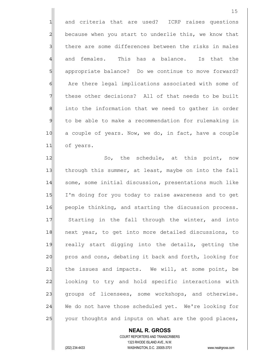1 and criteria that are used? ICRP raises questions 2 because when you start to underlie this, we know that 3 3 1 there are some differences between the risks in males 4 and females. This has a balance. Is that the 5 appropriate balance? Do we continue to move forward? 6| Are there legal implications associated with some of 7 These other decisions? All of that needs to be built 8 8 into the information that we need to gather in order 9 to be able to make a recommendation for rulemaking in 10 a couple of years. Now, we do, in fact, have a couple 11 of years.

12 So, the schedule, at this point, now 13 through this summer, at least, maybe on into the fall 14 some, some initial discussion, presentations much like 15 I'm doing for you today to raise awareness and to get 16 people thinking, and starting the discussion process. 17 Starting in the fall through the winter, and into 18 next year, to get into more detailed discussions, to 19 really start digging into the details, getting the 20 pros and cons, debating it back and forth, looking for  $21$  the issues and impacts. We will, at some point, be 22 | looking to try and hold specific interactions with 23 groups of licensees, some workshops, and otherwise. 24 We do not have those scheduled yet. We're looking for 25 your thoughts and inputs on what are the good places,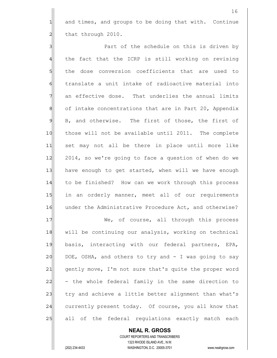$1$  and times, and groups to be doing that with. Continue  $2$  that through 2010.

3 3 Part of the schedule on this is driven by 4 the fact that the ICRP is still working on revising 5 sl the dose conversion coefficients that are used to 6 fold translate a unit intake of radioactive material into 7 an effective dose. That underlies the annual limits 8 of intake concentrations that are in Part 20, Appendix 9 B, and otherwise. The first of those, the first of 10 those will not be available until 2011. The complete 11 set may not all be there in place until more like 12 2014, so we're going to face a question of when do we 13 have enough to get started, when will we have enough 14 to be finished? How can we work through this process 15 in an orderly manner, meet all of our requirements 16 under the Administrative Procedure Act, and otherwise? 17 We, of course, all through this process 18 will be continuing our analysis, working on technical 19 basis, interacting with our federal partners, EPA, 20 DOE, OSHA, and others to try and  $-$  I was going to say

21 gently move, I'm not sure that's quite the proper word 22| - the whole federal family in the same direction to 23 try and achieve a little better alignment than what's 24 currently present today. Of course, you all know that 25 all of the federal regulations exactly match each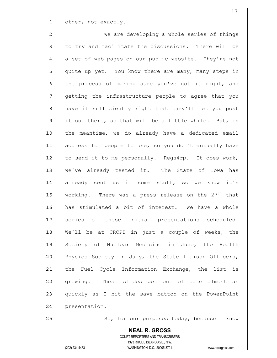$1$  other, not exactly.

2|| We are developing a whole series of things 3 to try and facilitate the discussions. There will be 4 a set of web pages on our public website. They're not 5 quite up yet. You know there are many, many steps in 6 the process of making sure you've got it right, and 7 getting the infrastructure people to agree that you 8 have it sufficiently right that they'll let you post  $9$  it out there, so that will be a little while. But, in 10 the meantime, we do already have a dedicated email 11 address for people to use, so you don't actually have 12 to send it to me personally. Regs4rp. It does work, 13 we've already tested it. The State of Iowa has 14 already sent us in some stuff, so we know it's 15 $\vert$  working. There was a press release on the 27<sup>th</sup> that 16 has stimulated a bit of interest. We have a whole 17 series of these initial presentations scheduled. 18 We'll be at CRCPD in just a couple of weeks, the 19 Society of Nuclear Medicine in June, the Health 20 Physics Society in July, the State Liaison Officers, 21 the Fuel Cycle Information Exchange, the list is 22 growing. These slides get out of date almost as 23 quickly as I hit the save button on the PowerPoint 24 presentation.

25 So, for our purposes today, because I know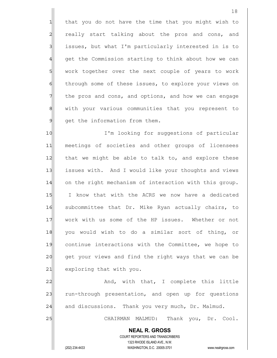1 that you do not have the time that you might wish to 2 really start talking about the pros and cons, and 3 issues, but what I'm particularly interested in is to 4 get the Commission starting to think about how we can 5 | work together over the next couple of years to work 6 6 feath of these issues, to explore your views on 7 The pros and cons, and options, and how we can engage 8 with your various communities that you represent to 9 get the information from them.

10 I'm looking for suggestions of particular 11 meetings of societies and other groups of licensees 12 that we might be able to talk to, and explore these 13 issues with. And I would like your thoughts and views 14 on the right mechanism of interaction with this group. 15 I know that with the ACRS we now have a dedicated 16 subcommittee that Dr. Mike Ryan actually chairs, to 17 Work with us some of the HP issues. Whether or not 18 you would wish to do a similar sort of thing, or 19 continue interactions with the Committee, we hope to 20 get your views and find the right ways that we can be 21 exploring that with you.

22 And, with that, I complete this little 23 run-through presentation, and open up for questions 24 and discussions. Thank you very much, Dr. Malmud.

25 | CHAIRMAN MALMUD: Thank you, Dr. Cool.

 **NEAL R. GROSS** COURT REPORTERS AND TRANSCRIBERS 1323 RHODE ISLAND AVE., N.W. (202) 234-4433 WASHINGTON, D.C. 20005-3701 www.nealrgross.com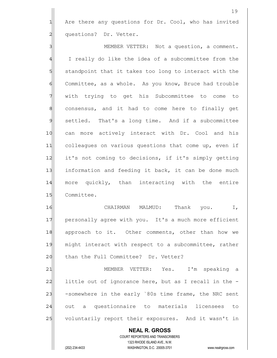1 Are there any questions for Dr. Cool, who has invited 2 questions? Dr. Vetter.

3 MEMBER VETTER: Not a question, a comment. 4 I really do like the idea of a subcommittee from the 5 Standpoint that it takes too long to interact with the 6 Committee, as a whole. As you know, Bruce had trouble 7 With trying to get his Subcommittee to come to 8 8| consensus, and it had to come here to finally get 9 settled. That's a long time. And if a subcommittee 10 can more actively interact with Dr. Cool and his 11 colleagues on various questions that come up, even if 12 it's not coming to decisions, if it's simply getting 13 information and feeding it back, it can be done much 14 more quickly, than interacting with the entire 15 Committee.

16 CHAIRMAN MALMUD: Thank you. I, 17 personally agree with you. It's a much more efficient 18 approach to it. Other comments, other than how we 19 might interact with respect to a subcommittee, rather 20 than the Full Committee? Dr. Vetter?

21| MEMBER VETTER: Yes. I'm speaking a  $22$  little out of ignorance here, but as I recall in the -23 -somewhere in the early `80s time frame, the NRC sent 24 out a questionnaire to materials licensees to 25 voluntarily report their exposures. And it wasn't in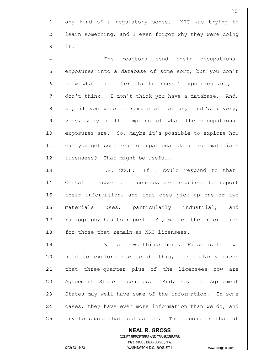1 any kind of a regulatory sense. NRC was trying to 2 learn something, and I even forgot why they were doing  $3$  it.

4 The reactors send their occupational 5 s axposures into a database of some sort, but you don't 6 6 know what the materials licensees' exposures are, I 7 don't think. I don't think you have a database. And, 8 so, if you were to sample all of us, that's a very, 9 very, very small sampling of what the occupational 10 exposures are. So, maybe it's possible to explore how 11 can you get some real occupational data from materials 12 licensees? That might be useful.

13 IDR. COOL: If I could respond to that? 14 Certain classes of licensees are required to report 15 their information, and that does pick up one or two 16 materials uses, particularly industrial, and 17 radiography has to report. So, we get the information 18 for those that remain as NRC licensees.

19 We face two things here. First is that we 20 need to explore how to do this, particularly given 21 that three-quarter plus of the licensees now are 22 Agreement State licensees. And, so, the Agreement 23 States may well have some of the information. In some 24 cases, they have even more information than we do, and 25 try to share that and gather. The second is that at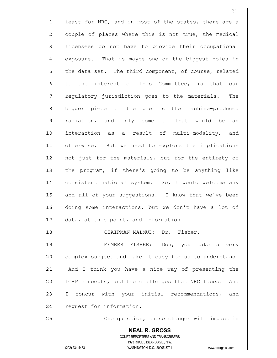**NEAL R. GROSS** COURT REPORTERS AND TRANSCRIBERS  $1$  least for NRC, and in most of the states, there are a 2 couple of places where this is not true, the medical 3 licensees do not have to provide their occupational 4 exposure. That is maybe one of the biggest holes in 5 the data set. The third component, of course, related 6 to the interest of this Committee, is that our 7 THT regulatory jurisdiction goes to the materials. The 8 8 bigger piece of the pie is the machine-produced 9 radiation, and only some of that would be an 10 interaction as a result of multi-modality, and 11 otherwise. But we need to explore the implications 12 not just for the materials, but for the entirety of 13 the program, if there's going to be anything like 14 consistent national system. So, I would welcome any 15 and all of your suggestions. I know that we've been 16 doing some interactions, but we don't have a lot of  $17$  data, at this point, and information. 18 CHAIRMAN MALMUD: Dr. Fisher. 19 MEMBER FISHER: Don, you take a very 20 complex subject and make it easy for us to understand. 21 And I think you have a nice way of presenting the 22 ICRP concepts, and the challenges that NRC faces. And 23 I concur with your initial recommendations, and 24 request for information. 25 | One question, these changes will impact in

1323 RHODE ISLAND AVE., N.W.

(202) 234-4433 WASHINGTON, D.C. 20005-3701 www.nealrgross.com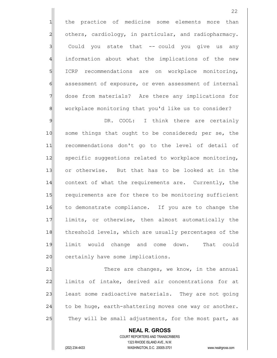1| the practice of medicine some elements more than 2 others, cardiology, in particular, and radiopharmacy. 3 3 Could you state that -- could you give us any 4 information about what the implications of the new 5 ICRP recommendations are on workplace monitoring, 6 6 6 assessment of exposure, or even assessment of internal 7 dose from materials? Are there any implications for 8 8 workplace monitoring that you'd like us to consider?

9 9 DR. COOL: I think there are certainly 10 some things that ought to be considered; per se, the 11 recommendations don't go to the level of detail of 12 specific suggestions related to workplace monitoring, 13 or otherwise. But that has to be looked at in the 14 context of what the requirements are. Currently, the 15 requirements are for there to be monitoring sufficient 16 to demonstrate compliance. If you are to change the 17 limits, or otherwise, then almost automatically the 18 threshold levels, which are usually percentages of the 19 limit would change and come down. That could 20 certainly have some implications.

21 There are changes, we know, in the annual 22 limits of intake, derived air concentrations for at 23 least some radioactive materials. They are not going  $24$  to be huge, earth-shattering moves one way or another. 25 They will be small adjustments, for the most part, as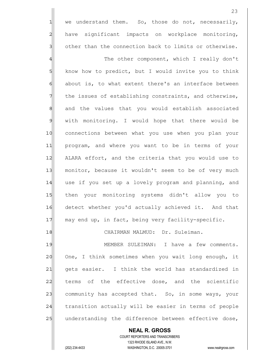$1$  we understand them. So, those do not, necessarily, 2 have significant impacts on workplace monitoring,  $3$  other than the connection back to limits or otherwise.

4 The other component, which I really don't 5 know how to predict, but I would invite you to think  $6$  about is, to what extent there's an interface between 7 The issues of establishing constraints, and otherwise, 8 8 and the values that you would establish associated 9 with monitoring. I would hope that there would be 10 connections between what you use when you plan your 11 program, and where you want to be in terms of your 12 ALARA effort, and the criteria that you would use to 13 monitor, because it wouldn't seem to be of very much 14 use if you set up a lovely program and planning, and 15 then your monitoring systems didn't allow you to 16 detect whether you'd actually achieved it. And that 17 may end up, in fact, being very facility-specific.

18 CHAIRMAN MALMUD: Dr. Suleiman.

19 MEMBER SULEIMAN: I have a few comments. 20 One, I think sometimes when you wait long enough, it 21 gets easier. I think the world has standardized in 22 terms of the effective dose, and the scientific 23 community has accepted that. So, in some ways, your 24 transition actually will be easier in terms of people 25 understanding the difference between effective dose,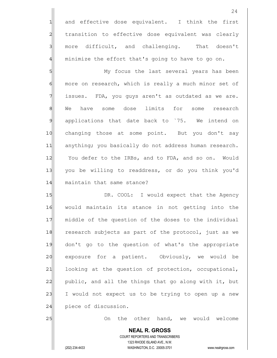1 and effective dose equivalent. I think the first 2 | transition to effective dose equivalent was clearly 3 more difficult, and challenging. That doesn't  $4$  minimize the effort that's going to have to go on.

5 SI 6 6 more on research, which is really a much minor set of  $7$  issues. FDA, you guys aren't as outdated as we are. 8 We have some dose limits for some research 9 applications that date back to `75. We intend on 10 changing those at some point. But you don't say 11 anything; you basically do not address human research. 12 You defer to the IRBs, and to FDA, and so on. Would 13 you be willing to readdress, or do you think you'd 14 maintain that same stance?

15 DR. COOL: I would expect that the Agency 16 would maintain its stance in not getting into the 17 middle of the question of the doses to the individual 18 research subjects as part of the protocol, just as we 19 don't go to the question of what's the appropriate 20 exposure for a patient. Obviously, we would be 21 looking at the question of protection, occupational, 22 public, and all the things that go along with it, but 23 I would not expect us to be trying to open up a new 24 piece of discussion.

25 On the other hand, we would welcome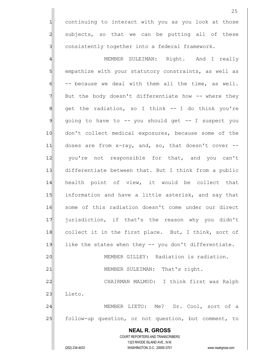1 continuing to interact with you as you look at those 2 subjects, so that we can be putting all of these 3 3 consistently together into a federal framework.

 **NEAL R. GROSS** COURT REPORTERS AND TRANSCRIBERS 1323 RHODE ISLAND AVE., N.W. 4 AMEMBER SULEIMAN: Right. And I really 5 Square empathize with your statutory constraints, as well as  $6$  -- because we deal with them all the time, as well.  $7$  But the body doesn't differentiate how  $-$ - where they 8 8 get the radiation, so I think -- I do think you're  $9$  going to have to  $-$ - you should get  $-$ - I suspect you 10 don't collect medical exposures, because some of the 11 doses are from x-ray, and, so, that doesn't cover --12 you're not responsible for that, and you can't 13 differentiate between that. But I think from a public 14 health point of view, it would be collect that 15 15 information and have a little asterisk, and say that 16 some of this radiation doesn't come under our direct 17 | jurisdiction, if that's the reason why you didn't 18 collect it in the first place. But, I think, sort of 19 like the states when they -- you don't differentiate. 20 MEMBER GILLEY: Radiation is radiation. 21 | MEMBER SULEIMAN: That's right. 22 CHAIRMAN MALMUD: I think first was Ralph 23 Lieto. 24 MEMBER LIETO: Me? Dr. Cool, sort of a 25 follow-up question, or not question, but comment, to

(202) 234-4433 WASHINGTON, D.C. 20005-3701 www.nealrgross.com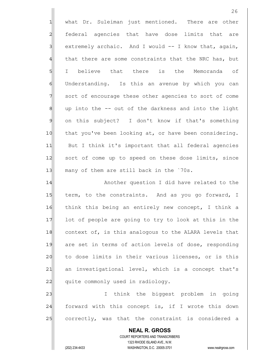|                | 26                                                                  |
|----------------|---------------------------------------------------------------------|
| $\mathbf{1}$   | what Dr. Suleiman just mentioned. There are other                   |
| $\overline{a}$ | federal agencies that have dose limits that are                     |
| $\mathbf{3}$   | extremely archaic. And I would -- I know that, again,               |
| $\overline{4}$ | that there are some constraints that the NRC has, but               |
| 5              | believe that there is the Memoranda of<br>I.                        |
| $\epsilon$     | Understanding. Is this an avenue by which you can                   |
| $\overline{7}$ | sort of encourage these other agencies to sort of come              |
| 8              | up into the -- out of the darkness and into the light               |
| $\mathfrak{S}$ | on this subject? I don't know if that's something                   |
| 10             | that you've been looking at, or have been considering.              |
| 11             | But I think it's important that all federal agencies                |
| 12             | sort of come up to speed on these dose limits, since                |
| 13             | many of them are still back in the `70s.                            |
| 14             | Another question I did have related to the                          |
| 15             | term, to the constraints. And as you go forward, I                  |
| 16             | think this being an entirely new concept, I think a                 |
| 17             | lot of people are going to try to look at this in the               |
| 18             | context of, is this analogous to the ALARA levels that              |
| 19             | are set in terms of action levels of dose, responding               |
| 20             | to dose limits in their various licenses, or is this                |
| 21             | an investigational level, which is a concept that's                 |
| 22             | quite commonly used in radiology.                                   |
| 23             | think the biggest problem in going<br>I.                            |
| 24             | forward with this concept is, if I wrote this down                  |
| 25             | correctly, was that the constraint is considered a                  |
|                | <b>NEAL R. GROSS</b>                                                |
|                | COURT REPORTERS AND TRANSCRIBERS<br>1323 RHODE ISLAND AVE., N.W.    |
|                | (202) 234-4433<br>WASHINGTON, D.C. 20005-3701<br>www.nealrgross.com |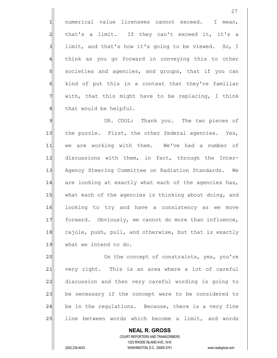1 numerical value licensees cannot exceed. I mean, 2 that's a limit. If they can't exceed it, it's a 3 limit, and that's how it's going to be viewed. So, I 4 think as you go forward in conveying this to other 5 societies and agencies, and groups, that if you can  $6$  kind of put this in a context that they're familiar  $7$  with, that this might have to be replacing, I think 8 | that would be helpful.

9 DR. COOL: Thank you. The two pieces of 10 the puzzle. First, the other federal agencies. Yes, 11 we are working with them. We've had a number of 12 discussions with them, in fact, through the Inter-13 Agency Steering Committee on Radiation Standards. We 14 are looking at exactly what each of the agencies has, 15 what each of the agencies is thinking about doing, and 16 looking to try and have a consistency as we move 17 forward. Obviously, we cannot do more than influence, 18 cajole, push, pull, and otherwise, but that is exactly 19 what we intend to do.

20 On the concept of constraints, yes, you're 21 very right. This is an area where a lot of careful 22 discussion and then very careful wording is going to 23 be necessary if the concept were to be considered to 24 be in the regulations. Because, there is a very fine 25 line between words which become a limit, and words

 **NEAL R. GROSS** COURT REPORTERS AND TRANSCRIBERS 1323 RHODE ISLAND AVE., N.W. (202) 234-4433 WASHINGTON, D.C. 20005-3701 www.nealrgross.com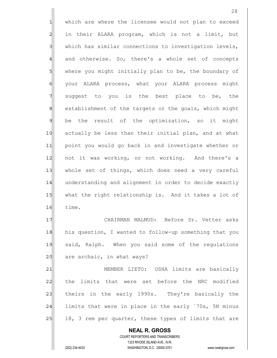1 which are where the licensee would not plan to exceed 2 al in their ALARA program, which is not a limit, but  $3$  which has similar connections to investigation levels, 4 and otherwise. So, there's a whole set of concepts 5 where you might initially plan to be, the boundary of 6 | your ALARA process, what your ALARA process might 7 Suggest to you is the best place to be, the 8 8 establishment of the targets or the goals, which might  $9$  be the result of the optimization, so it might 10 actually be less than their initial plan, and at what 11 point you would go back in and investigate whether or 12 not it was working, or not working. And there's a 13 whole set of things, which does need a very careful 14 understanding and alignment in order to decide exactly 15 what the right relationship is. And it takes a lot of 16 time. 17 CHAIRMAN MALMUD: Before Dr. Vetter asks 18 his question, I wanted to follow-up something that you 19 said, Ralph. When you said some of the regulations  $20$  are archaic, in what ways?

21 | MEMBER LIETO: OSHA limits are basically 22 the limits that were set before the NRC modified 23 theirs in the early 1990s. They're basically the 24 limits that were in place in the early `70s, 5N minus 25 18, 3 rem per quarter, these types of limits that are

 **NEAL R. GROSS** COURT REPORTERS AND TRANSCRIBERS 1323 RHODE ISLAND AVE., N.W. (202) 234-4433 WASHINGTON, D.C. 20005-3701 www.nealrgross.com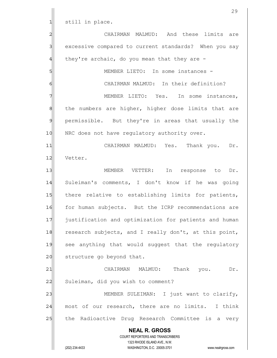1 still in place.

 **NEAL R. GROSS** COURT REPORTERS AND TRANSCRIBERS 1323 RHODE ISLAND AVE., N.W. (202) 234-4433 WASHINGTON, D.C. 20005-3701 www.nealrgross.com 2 CHAIRMAN MALMUD: And these limits are 3 3 excessive compared to current standards? When you say  $4$  they're archaic, do you mean that they are -5 MEMBER LIETO: In some instances 6 G CHAIRMAN MALMUD: In their definition? 7 MEMBER LIETO: Yes. In some instances, 8 8 8 sheet numbers are higher, higher dose limits that are 9 permissible. But they're in areas that usually the 10 NRC does not have regulatory authority over. 11 CHAIRMAN MALMUD: Yes. Thank you. Dr. 12 Vetter. 13 || MEMBER VETTER: In response to Dr. 14 Suleiman's comments, I don't know if he was going 15 there relative to establishing limits for patients, 16 for human subjects. But the ICRP recommendations are 17 **justification and optimization for patients and human** 18 research subjects, and I really don't, at this point, 19 see anything that would suggest that the regulatory 20 structure go beyond that. 21 CHAIRMAN MALMUD: Thank you. Dr. 22 Suleiman, did you wish to comment? 23 | MEMBER SULEIMAN: I just want to clarify, 24 most of our research, there are no limits. I think 25 | the Radioactive Drug Research Committee is a very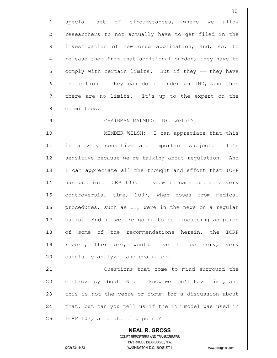1 special set of circumstances, where we allow 2 researchers to not actually have to get filed in the 3 investigation of new drug application, and, so, to 4 release them from that additional burden, they have to 5 5 5 5 comply with certain limits. But if they -- they have  $6$  the option. They can do it under an IND, and then 7 There are no limits. It's up to the expert on the 8 committees.

## 9 | CHAIRMAN MALMUD: Dr. Welsh?

10 MEMBER WELSH: I can appreciate that this 11 is a very sensitive and important subject. It's 12 sensitive because we're talking about regulation. And 13 I can appreciate all the thought and effort that ICRP 14 has put into ICRP 103. I know it came out at a very 15 controversial time, 2007, when doses from medical 16 procedures, such as CT, were in the news on a regular 17 basis. And if we are going to be discussing adoption 18 of some of the recommendations herein, the ICRP 19 report, therefore, would have to be very, very 20 carefully analyzed and evaluated.

21 Questions that come to mind surround the 22 controversy about LNT. I know we don't have time, and 23 this is not the venue or forum for a discussion about  $24$  that, but can you tell us if the LNT model was used in  $25$  ICRP 103, as a starting point?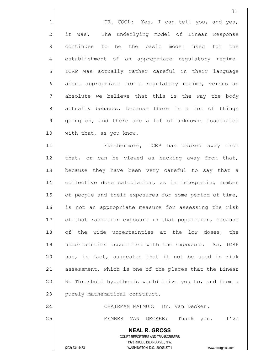1 DR. COOL: Yes, I can tell you, and yes, 2 all it was. The underlying model of Linear Response 3 continues to be the basic model used for the 4 establishment of an appropriate regulatory regime. 5 SI ICRP was actually rather careful in their language 6 about appropriate for a regulatory regime, versus an 7 absolute we believe that this is the way the body 8 8 8 actually behaves, because there is a lot of things 9 going on, and there are a lot of unknowns associated 10 with that, as you know.

11 Furthermore, ICRP has backed away from 12 that, or can be viewed as backing away from that, 13 because they have been very careful to say that a 14 collective dose calculation, as in integrating number 15 of people and their exposures for some period of time, 16 is not an appropriate measure for assessing the risk 17 of that radiation exposure in that population, because 18 of the wide uncertainties at the low doses, the 19 uncertainties associated with the exposure. So, ICRP  $20$  has, in fact, suggested that it not be used in risk 21 assessment, which is one of the places that the Linear 22 No Threshold hypothesis would drive you to, and from a 23 purely mathematical construct.

24 CHAIRMAN MALMUD: Dr. Van Decker.

25 | MEMBER VAN DECKER: Thank you. I've

31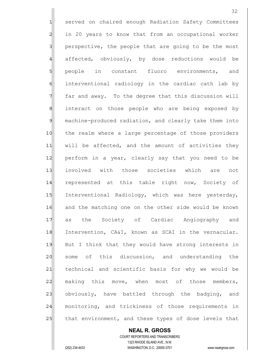1 served on chaired enough Radiation Safety Committees 2 | in 20 years to know that from an occupational worker 3 perspective, the people that are going to be the most 4 affected, obviously, by dose reductions would be 5 s people in constant fluoro environments, and 6 6 interventional radiology in the cardiac cath lab by  $7$  far and away. To the degree that this discussion will 8 81 interact on those people who are being exposed by 9 machine-produced radiation, and clearly take them into 10 the realm where a large percentage of those providers  $11$  will be affected, and the amount of activities they 12 perform in a year, clearly say that you need to be 13 involved with those societies which are not 14 represented at this table right now, Society of 15 Interventional Radiology, which was here yesterday, 16 and the matching one on the other side would be known 17 as the Society of Cardiac Angiography and 18 Intervention, CA&I, known as SCAI in the vernacular. 19 But I think that they would have strong interests in 20 some of this discussion, and understanding the 21 technical and scientific basis for why we would be  $22$  making this move, when most of those members,  $23$  obviously, have battled through the badging, and 24 monitoring, and trickiness of those requirements in 25 that environment, and these types of dose levels that

 COURT REPORTERS AND TRANSCRIBERS 1323 RHODE ISLAND AVE., N.W. (202) 234-4433 WASHINGTON, D.C. 20005-3701 www.nealrgross.com

 **NEAL R. GROSS**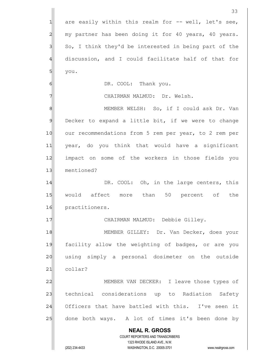**NEAL R. GROSS** COURT REPORTERS AND TRANSCRIBERS 1323 RHODE ISLAND AVE., N.W. (202) 234-4433 WASHINGTON, D.C. 20005-3701 www.nealrgross.com 33  $1$  are easily within this realm for  $-$ - well, let's see, 2 my partner has been doing it for 40 years, 40 years.  $3$  So, I think they'd be interested in being part of the 4 discussion, and I could facilitate half of that for  $5$  you. 6 | DR. COOL: Thank you. 7 | CHAIRMAN MALMUD: Dr. Welsh. 8 | MEMBER WELSH: So, if I could ask Dr. Van 9 Decker to expand a little bit, if we were to change 10 our recommendations from 5 rem per year, to 2 rem per 11 year, do you think that would have a significant 12 | impact on some of the workers in those fields you 13 mentioned? 14 DR. COOL: Oh, in the large centers, this 15 would affect more than 50 percent of the 16 practitioners. 17 | CHAIRMAN MALMUD: Debbie Gilley. 18 MEMBER GILLEY: Dr. Van Decker, does your 19 facility allow the weighting of badges, or are you 20 using simply a personal dosimeter on the outside 21 collar? 22 MEMBER VAN DECKER: I leave those types of 23 | technical considerations up to Radiation Safety 24 Officers that have battled with this. I've seen it 25 done both ways. A lot of times it's been done by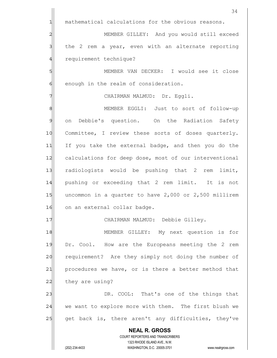**NEAL R. GROSS** COURT REPORTERS AND TRANSCRIBERS 1323 RHODE ISLAND AVE., N.W. 34 1 mathematical calculations for the obvious reasons. 2 MEMBER GILLEY: And you would still exceed  $3$  the 2 rem a year, even with an alternate reporting 4 requirement technique? 5 MEMBER VAN DECKER: I would see it close  $6$  enough in the realm of consideration. 7 | CHAIRMAN MALMUD: Dr. Eggli. 8 8 MEMBER EGGLI: Just to sort of follow-up 9 on Debbie's question. On the Radiation Safety 10 Committee, I review these sorts of doses quarterly. 11 If you take the external badge, and then you do the 12 calculations for deep dose, most of our interventional 13 radiologists would be pushing that 2 rem limit, 14 pushing or exceeding that 2 rem limit. It is not 15 $\vert$  uncommon in a quarter to have 2,000 or 2,500 millirem 16 on an external collar badge. 17 | CHAIRMAN MALMUD: Debbie Gilley. 18 MEMBER GILLEY: My next question is for 19 Dr. Cool. How are the Europeans meeting the 2 rem 20 requirement? Are they simply not doing the number of 21 procedures we have, or is there a better method that  $22$  they are using? 23 DR. COOL: That's one of the things that 24 we want to explore more with them. The first blush we 25 get back is, there aren't any difficulties, they've

(202) 234-4433 WASHINGTON, D.C. 20005-3701 www.nealrgross.com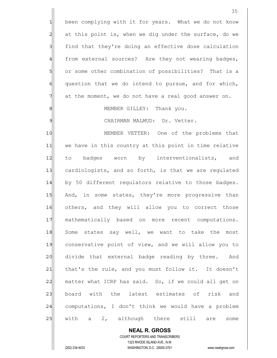**NEAL R. GROSS** COURT REPORTERS AND TRANSCRIBERS 1323 RHODE ISLAND AVE., N.W. 1 been complying with it for years. What we do not know 2 at this point is, when we dig under the surface, do we 3 | find that they're doing an effective dose calculation 4 from external sources? Are they not wearing badges, 5 or some other combination of possibilities? That is a  $6$  question that we do intend to pursue, and for which,  $7$  at the moment, we do not have a real good answer on. 8 8 MEMBER GILLEY: Thank you. 9 | CHAIRMAN MALMUD: Dr. Vetter. 10 MEMBER VETTER: One of the problems that 11 we have in this country at this point in time relative 12 to badges worn by interventionalists, and 13 cardiologists, and so forth, is that we are regulated 14 by 50 different requlators relative to those badges. 15 And, in some states, they're more progressive than 16 others, and they will allow you to correct those 17 mathematically based on more recent computations. 18 Some states say well, we want to take the most 19 conservative point of view, and we will allow you to 20 divide that external badge reading by three. And 21 | that's the rule, and you must follow it. It doesn't  $22$  matter what ICRP has said. So, if we could all get on 23 board with the latest estimates of risk and 24 computations, I don't think we would have a problem 25 | with a 2, although there still are some

(202) 234-4433 WASHINGTON, D.C. 20005-3701 www.nealrgross.com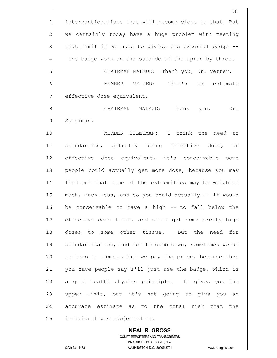36 1 interventionalists that will become close to that. But 2 we certainly today have a huge problem with meeting  $3$  that limit if we have to divide the external badge  $-$ 4 the badge worn on the outside of the apron by three. 5 SI CHAIRMAN MALMUD: Thank you, Dr. Vetter. 6 | MEMBER VETTER: That's to estimate 7 effective dose equivalent. 8 | September CHAIRMAN MALMUD: Thank you. Dr. 9 Suleiman. 10 MEMBER SULEIMAN: I think the need to 11 standardize, actually using effective dose, or 12 effective dose equivalent, it's conceivable some 13 people could actually get more dose, because you may 14 find out that some of the extremities may be weighted 15 much, much less, and so you could actually -- it would 16 be conceivable to have a high -- to fall below the 17 effective dose limit, and still get some pretty high 18 doses to some other tissue. But the need for 19 standardization, and not to dumb down, sometimes we do

20 to keep it simple, but we pay the price, because then 21 you have people say I'll just use the badge, which is 22 a good health physics principle. It gives you the 23 | upper limit, but it's not going to give you an 24 accurate estimate as to the total risk that the 25 andividual was subjected to.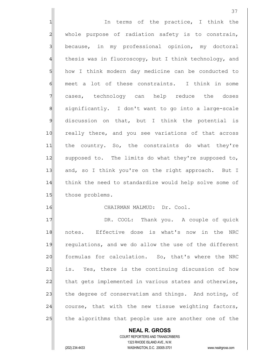**NEAL R. GROSS** COURT REPORTERS AND TRANSCRIBERS 1323 RHODE ISLAND AVE., N.W. 1 1 In terms of the practice, I think the 2 whole purpose of radiation safety is to constrain, 3 because, in my professional opinion, my doctoral 4 thesis was in fluoroscopy, but I think technology, and 5 how I think modern day medicine can be conducted to  $6$  meet a lot of these constraints. I think in some 7 cases, technology can help reduce the doses 8 | significantly. I don't want to go into a large-scale  $9$  discussion on that, but I think the potential is 10 really there, and you see variations of that across 11 the country. So, the constraints do what they're 12 supposed to. The limits do what they're supposed to, 13 and, so I think you're on the right approach. But I 14 think the need to standardize would help solve some of 15 those problems. 16 CHAIRMAN MALMUD: Dr. Cool. 17 | DR. COOL: Thank you. A couple of quick 18 notes. Effective dose is what's now in the NRC 19 regulations, and we do allow the use of the different 20 formulas for calculation. So, that's where the NRC 21 is. Yes, there is the continuing discussion of how 22 that gets implemented in various states and otherwise, 23 the degree of conservatism and things. And noting, of 24 course, that with the new tissue weighting factors, 25 the algorithms that people use are another one of the

(202) 234-4433 WASHINGTON, D.C. 20005-3701 www.nealrgross.com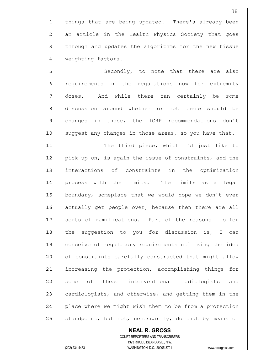1 things that are being updated. There's already been 2 an article in the Health Physics Society that goes 3 3 1 shrough and updates the algorithms for the new tissue 4 weighting factors.

5 Secondly, to note that there are also 6 **6 requirements** in the regulations now for extremity 7 doses. And while there can certainly be some 8 discussion around whether or not there should be 9 changes in those, the ICRP recommendations don't 10 suggest any changes in those areas, so you have that.

11| The third piece, which I'd just like to 12 pick up on, is again the issue of constraints, and the 13 interactions of constraints in the optimization 14 process with the limits. The limits as a legal 15 boundary, someplace that we would hope we don't ever 16 actually get people over, because then there are all 17 sorts of ramifications. Part of the reasons I offer 18 the suggestion to you for discussion is, I can 19 conceive of regulatory requirements utilizing the idea 20 of constraints carefully constructed that might allow 21 increasing the protection, accomplishing things for 22 some of these interventional radiologists and 23 cardiologists, and otherwise, and getting them in the  $24$  place where we might wish them to be from a protection 25 standpoint, but not, necessarily, do that by means of

## **NEAL R. GROSS**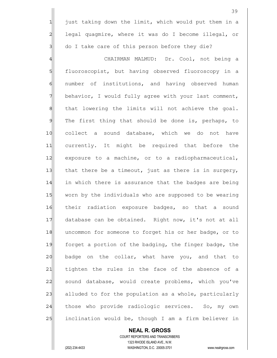$1$  just taking down the limit, which would put them in a 2 legal quagmire, where it was do I become illegal, or  $3$  do I take care of this person before they die?

4 GHAIRMAN MALMUD: Dr. Cool, not being a 5 fluoroscopist, but having observed fluoroscopy in a 6 6 number of institutions, and having observed human 7 behavior, I would fully agree with your last comment,  $8$  that lowering the limits will not achieve the goal. 9 The first thing that should be done is, perhaps, to 10 collect a sound database, which we do not have 11 currently. It might be required that before the 12 exposure to a machine, or to a radiopharmaceutical, 13 that there be a timeout, just as there is in surgery, 14 in which there is assurance that the badges are being 15 worn by the individuals who are supposed to be wearing 16 their radiation exposure badges, so that a sound 17 database can be obtained. Right now, it's not at all 18 uncommon for someone to forget his or her badge, or to 19 forget a portion of the badging, the finger badge, the 20 badge on the collar, what have you, and that to 21 tighten the rules in the face of the absence of a 22 sound database, would create problems, which you've 23 alluded to for the population as a whole, particularly  $24$  those who provide radiologic services. So, my own 25 inclination would be, though I am a firm believer in

## **NEAL R. GROSS**

 COURT REPORTERS AND TRANSCRIBERS 1323 RHODE ISLAND AVE., N.W. (202) 234-4433 WASHINGTON, D.C. 20005-3701 www.nealrgross.com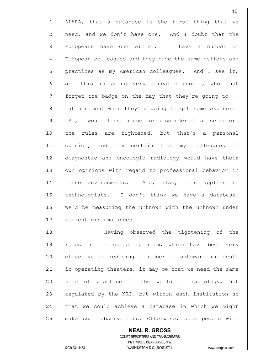1 ALARA, that a database is the first thing that we  $2$  need, and we don't have one. And I doubt that the 3 Europeans have one either. I have a number of 4 European colleagues and they have the same beliefs and 5 practices as my American colleagues. And I see it, 6 and this is among very educated people, who just  $7$  forget the badge on the day that they're going to  $-$ 8 at a moment when they're going to get some exposure. 9 So, I would first argue for a sounder database before 10 the rules are tightened, but that's a personal 11 opinion, and I'm certain that my colleagues in 12 diagnostic and oncologic radiology would have their 13 own opinions with regard to professional behavior in 14 these environments. And, also, this applies to 15 technologists. I don't think we have a database. 16 We'd be measuring the unknown with the unknown under 17 current circumstances.

18 and Having observed the tightening of the 19 rules in the operating room, which have been very 20 effective in reducing a number of untoward incidents 21 in operating theaters, it may be that we need the same 22 kind of practice in the world of radiology, not 23 regulated by the NRC, but within each institution so 24 that we could achieve a database in which we might 25 make some observations. Otherwise, some people will

 **NEAL R. GROSS** COURT REPORTERS AND TRANSCRIBERS 1323 RHODE ISLAND AVE., N.W. (202) 234-4433 WASHINGTON, D.C. 20005-3701 www.nealrgross.com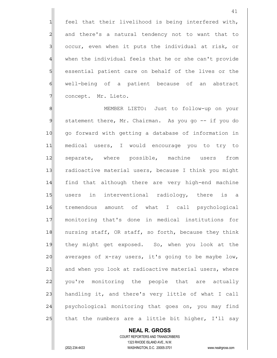1 feel that their livelihood is being interfered with, 2 and there's a natural tendency not to want that to 3 3 occur, even when it puts the individual at risk, or 4 when the individual feels that he or she can't provide 5 s assential patient care on behalf of the lives or the 6 6 well-being of a patient because of an abstract 7 concept. Mr. Lieto.

8 8 MEMBER LIETO: Just to follow-up on your 9 statement there, Mr. Chairman. As you go -- if you do 10 | go forward with getting a database of information in 11 medical users, I would encourage you to try to 12| separate, where possible, machine users from 13 radioactive material users, because I think you might 14 find that although there are very high-end machine 15 users in interventional radiology, there is a 16 tremendous amount of what I call psychological 17 monitoring that's done in medical institutions for 18 nursing staff, OR staff, so forth, because they think 19 they might get exposed. So, when you look at the 20 averages of x-ray users, it's going to be maybe low, 21 and when you look at radioactive material users, where 22 you're monitoring the people that are actually 23 handling it, and there's very little of what I call 24 psychological monitoring that goes on, you may find 25 that the numbers are a little bit higher, I'll say

 **NEAL R. GROSS** COURT REPORTERS AND TRANSCRIBERS 1323 RHODE ISLAND AVE., N.W. (202) 234-4433 WASHINGTON, D.C. 20005-3701 www.nealrgross.com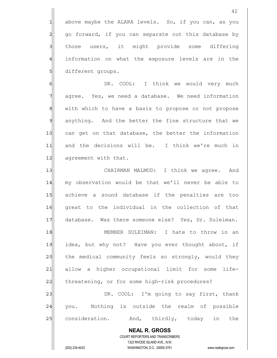$1$  above maybe the ALARA levels. So, if you can, as you 2 go forward, if you can separate out this database by 3 all those users, it might provide some differing 4 information on what the exposure levels are in the 5 different groups.

6 | GI UR. COOL: I think we would very much  $7$  agree. Yes, we need a database. We need information 8 8 with which to have a basis to propose or not propose 9| anything. And the better the fine structure that we 10 can get on that database, the better the information 11 and the decisions will be. I think we're much in 12 agreement with that.

13 CHAIRMAN MALMUD: I think we agree. And 14 my observation would be that we'll never be able to 15 achieve a sound database if the penalties are too 16 great to the individual in the collection of that 17 database. Was there someone else? Yes, Dr. Suleiman. 18 MEMBER SULEIMAN: I hate to throw in an 19 idea, but why not? Have you ever thought about, if 20 the medical community feels so strongly, would they 21 allow a higher occupational limit for some life-22 | threatening, or for some high-risk procedures? 23 DR. COOL: I'm going to say first, thank

24 you. Nothing is outside the realm of possible 25 consideration. And, thirdly, today in the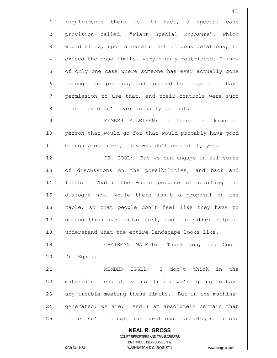1 requirements there is, in fact, a special case 2 provision called, "Plant Special Exposure", which 3 would allow, upon a careful set of considerations, to 4 exceed the dose limits, very highly restricted. I know 5 of only one case where someone has ever actually gone 6 6 fem through the process, and applied to be able to have 7 permission to use that, and their controls were such 8 8 that they didn't ever actually do that.

9 MEMBER SULEIMAN: I think the kind of 10 person that would go for that would probably have good 11 enough procedures; they wouldn't exceed it, yes.

12 DR. COOL: But we can engage in all sorts 13 of discussions on the possibilities, and back and 14 forth. That's the whole purpose of starting the 15 dialogue now, while there isn't a proposal on the 16 | table, so that people don't feel like they have to 17 defend their particular turf, and can rather help us 18 understand what the entire landscape looks like.

19 CHAIRMAN MALMUD: Thank you, Dr. Cool. 20 Dr. Eggli.

21 MEMBER EGGLI: I don't think in the 22 materials arena at my institution we're going to have 23 any trouble meeting these limits. But in the machine- $24$  generated, we are. And I am absolutely certain that 25 there isn't a single interventional radiologist in our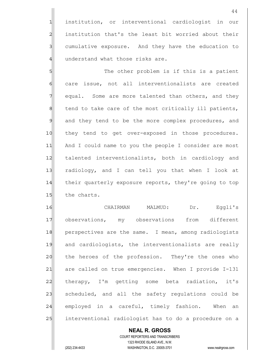1 institution, or interventional cardiologist in our 2 institution that's the least bit worried about their 3 3 cumulative exposure. And they have the education to 4 understand what those risks are.

5 S 6 care issue, not all interventionalists are created 7 equal. Some are more talented than others, and they 8 8 tend to take care of the most critically ill patients, 9 and they tend to be the more complex procedures, and 10 | they tend to get over-exposed in those procedures. 11 And I could name to you the people I consider are most 12 talented interventionalists, both in cardiology and 13 radiology, and I can tell you that when I look at 14 their quarterly exposure reports, they're going to top 15 the charts.

16 CHAIRMAN MALMUD: Dr. Eggli's 17 observations, my observations from different 18 perspectives are the same. I mean, among radiologists 19 and cardiologists, the interventionalists are really 20 the heroes of the profession. They're the ones who 21 are called on true emergencies. When I provide I-131 22 therapy, I'm getting some beta radiation, it's 23 | scheduled, and all the safety regulations could be 24 employed in a careful, timely fashion. When an 25 interventional radiologist has to do a procedure on a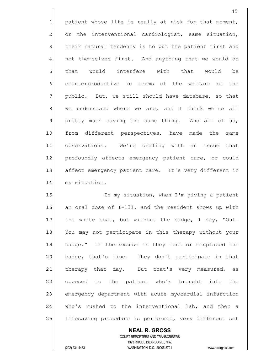1 patient whose life is really at risk for that moment, 2 or the interventional cardiologist, same situation, 3 3 1 their natural tendency is to put the patient first and 4 and incomponent and anything that we would do 5 5 5 5 that would interfere with that would be 6 counterproductive in terms of the welfare of the 7 public. But, we still should have database, so that 8 8 we understand where we are, and I think we're all  $9$  pretty much saying the same thing. And all of us, 10 from different perspectives, have made the same 11| observations. We're dealing with an issue that 12 profoundly affects emergency patient care, or could 13 affect emergency patient care. It's very different in 14 my situation.

15 In my situation, when I'm giving a patient  $16$  an oral dose of I-131, and the resident shows up with 17 the white coat, but without the badge, I say, "Out. 18 You may not participate in this therapy without your 19 badge." If the excuse is they lost or misplaced the 20 badge, that's fine. They don't participate in that 21 therapy that day. But that's very measured, as 22 opposed to the patient who's brought into the 23 emergency department with acute myocardial infarction 24 who's rushed to the interventional lab, and then a 25 lifesaving procedure is performed, very different set

 COURT REPORTERS AND TRANSCRIBERS 1323 RHODE ISLAND AVE., N.W. (202) 234-4433 WASHINGTON, D.C. 20005-3701 www.nealrgross.com

 **NEAL R. GROSS**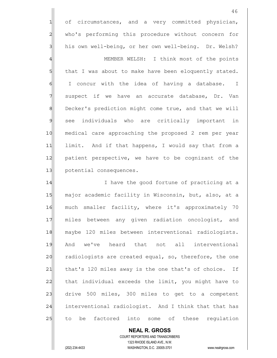1 of circumstances, and a very committed physician, 2 who's performing this procedure without concern for 3 his own well-being, or her own well-being. Dr. Welsh? 4 | MEMBER WELSH: I think most of the points 5 5 5 that I was about to make have been eloquently stated.  $\left|\begin{matrix} \n0 & 1 \n\end{matrix}\right|$  concur with the idea of having a database. I 7 suspect if we have an accurate database, Dr. Van 8 Decker's prediction might come true, and that we will 9 see individuals who are critically important in 10 medical care approaching the proposed 2 rem per year 11 limit. And if that happens, I would say that from a 12 patient perspective, we have to be cognizant of the 13 potential consequences.

14 I have the good fortune of practicing at a 15 major academic facility in Wisconsin, but, also, at a 16 much smaller facility, where it's approximately 70 17 miles between any given radiation oncologist, and 18 maybe 120 miles between interventional radiologists. 19 And we've heard that not all interventional 20 radiologists are created equal, so, therefore, the one 21| that's 120 miles away is the one that's of choice. If  $22$  that individual exceeds the limit, you might have to 23 drive 500 miles, 300 miles to get to a competent 24 interventional radiologist. And I think that that has 25 to be factored into some of these regulation

 COURT REPORTERS AND TRANSCRIBERS 1323 RHODE ISLAND AVE., N.W. (202) 234-4433 WASHINGTON, D.C. 20005-3701 www.nealrgross.com

 **NEAL R. GROSS**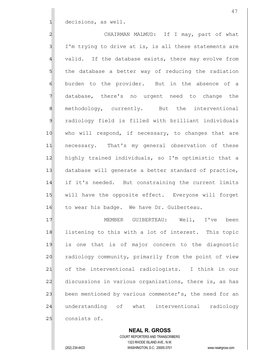$1$  decisions, as well.

2 CHAIRMAN MALMUD: If I may, part of what  $3$  I'm trying to drive at is, is all these statements are 4 valid. If the database exists, there may evolve from 5 5 5 5 the database a better way of reducing the radiation 6 burden to the provider. But in the absence of a 7 database, there's no urgent need to change the 8 8 methodology, currently. But the interventional 9 radiology field is filled with brilliant individuals 10 who will respond, if necessary, to changes that are 11 | necessary. That's my general observation of these 12 highly trained individuals, so I'm optimistic that a 13 database will generate a better standard of practice, 14 if it's needed. But constraining the current limits 15 | will have the opposite effect. Everyone will forget 16 to wear his badge. We have Dr. Guiberteau. 17 MEMBER GUIBERTEAU: Well, I've been

18 listening to this with a lot of interest. This topic 19 is one that is of major concern to the diagnostic 20 radiology community, primarily from the point of view 21 of the interventional radiologists. I think in our 22 discussions in various organizations, there is, as has 23 been mentioned by various commenter's, the need for an 24 understanding of what interventional radiology 25 consists of.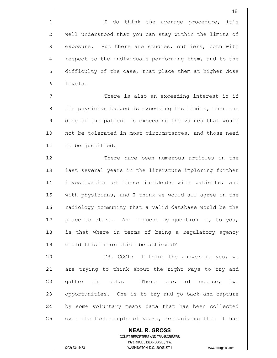1 1 I do think the average procedure, it's 2 well understood that you can stay within the limits of 3 | exposure. But there are studies, outliers, both with 4 respect to the individuals performing them, and to the 5 5 5 5 difficulty of the case, that place them at higher dose 6 levels.

7 There is also an exceeding interest in if 8 8 8 10 the physician badged is exceeding his limits, then the 9 dose of the patient is exceeding the values that would 10 not be tolerated in most circumstances, and those need 11 to be justified.

12 There have been numerous articles in the 13 last several years in the literature imploring further 14 investigation of these incidents with patients, and 15 with physicians, and I think we would all agree in the 16 | radiology community that a valid database would be the 17 place to start. And I guess my question is, to you, 18 is that where in terms of being a regulatory agency 19 could this information be achieved?

20 DR. COOL: I think the answer is yes, we 21 are trying to think about the right ways to try and  $22$  gather the data. There are, of course, two 23 opportunities. One is to try and go back and capture 24 by some voluntary means data that has been collected 25 over the last couple of years, recognizing that it has

 COURT REPORTERS AND TRANSCRIBERS 1323 RHODE ISLAND AVE., N.W. (202) 234-4433 WASHINGTON, D.C. 20005-3701 www.nealrgross.com

 **NEAL R. GROSS**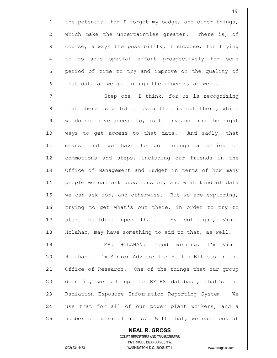1 the potential for I forgot my badge, and other things, 2 which make the uncertainties greater. There is, of  $3$  course, always the possibility, I suppose, for trying 4 to do some special effort prospectively for some 5 sq period of time to try and improve on the quality of  $6$  that data as we go through the process, as well.

7 7 Step one, I think, for us is recognizing  $8$  that there is a lot of data that is out there, which  $9$  we do not have access to, is to try and find the right 10 ways to get access to that data. And sadly, that 11 means that we have to go through a series of 12 commotions and steps, including our friends in the 13 Office of Management and Budget in terms of how many 14 people we can ask questions of, and what kind of data 15 we can ask for, and otherwise. But we are exploring, 16 trying to get what's out there, in order to try to 17 start building upon that. My colleague, Vince 18 Holahan, may have something to add to that, as well.

19 MR. HOLAHAN: Good morning. I'm Vince 20 Holahan. I'm Senior Advisor for Health Effects in the 21| Office of Research. One of the things that our group 22 does is, we set up the REIRS database, that's the 23 Radiation Exposure Information Reporting System. We 24 use that for all of our power plant workers, and a 25 | number of material users. With that, we can look at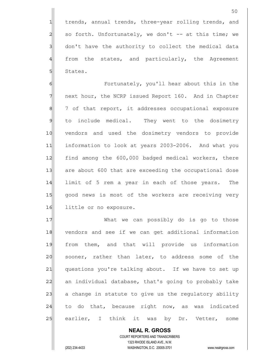1 trends, annual trends, three-year rolling trends, and  $2$  so forth. Unfortunately, we don't -- at this time; we 3 don't have the authority to collect the medical data 4 from the states, and particularly, the Agreement 5 States.

6 6 Fortunately, you'll hear about this in the 7 The next hour, the NCRP issued Report 160. And in Chapter 8 8 7 of that report, it addresses occupational exposure 9 to include medical. They went to the dosimetry 10 vendors and used the dosimetry vendors to provide 11 information to look at years 2003-2006. And what you 12 find among the 600,000 badged medical workers, there 13 are about 600 that are exceeding the occupational dose 14 limit of 5 rem a year in each of those years. The 15 | good news is most of the workers are receiving very 16 little or no exposure.

17 What we can possibly do is go to those 18 vendors and see if we can get additional information 19 from them, and that will provide us information 20 sooner, rather than later, to address some of the 21| questions you're talking about. If we have to set up 22 an individual database, that's going to probably take 23 a change in statute to give us the regulatory ability 24 to do that, because right now, as was indicated 25 earlier, I think it was by Dr. Vetter, some

 COURT REPORTERS AND TRANSCRIBERS 1323 RHODE ISLAND AVE., N.W. (202) 234-4433 WASHINGTON, D.C. 20005-3701 www.nealrgross.com

 **NEAL R. GROSS**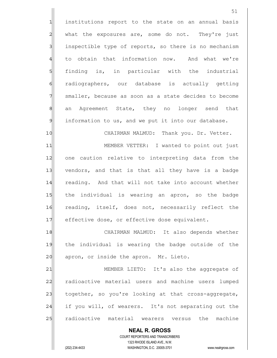1 institutions report to the state on an annual basis  $2$  what the exposures are, some do not. They're just 3 3 inspectible type of reports, so there is no mechanism 4 to obtain that information now. And what we're 5 finding is, in particular with the industrial 6 radiographers, our database is actually getting 7 Smaller, because as soon as a state decides to become 8 an Agreement State, they no longer send that  $9$  information to us, and we put it into our database. 10 CHAIRMAN MALMUD: Thank you. Dr. Vetter.

11| MEMBER VETTER: I wanted to point out just 12 one caution relative to interpreting data from the 13| vendors, and that is that all they have is a badge 14 reading. And that will not take into account whether 15 the individual is wearing an apron, so the badge 16 reading, itself, does not, necessarily reflect the 17 effective dose, or effective dose equivalent.

18 CHAIRMAN MALMUD: It also depends whether 19| the individual is wearing the badge outside of the 20 apron, or inside the apron. Mr. Lieto.

21 MEMBER LIETO: It's also the aggregate of 22 radioactive material users and machine users lumped 23 together, so you're looking at that cross-aggregate, 24 if you will, of wearers. It's not separating out the 25 radioactive material wearers versus the machine

 **NEAL R. GROSS** COURT REPORTERS AND TRANSCRIBERS 1323 RHODE ISLAND AVE., N.W. (202) 234-4433 WASHINGTON, D.C. 20005-3701 www.nealrgross.com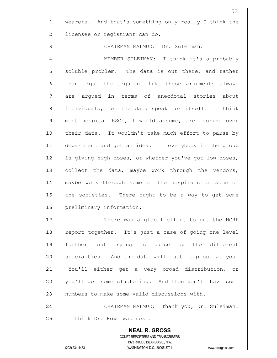1 wearers. And that's something only really I think the 2 licensee or registrant can do.

3 | CHAIRMAN MALMUD: Dr. Suleiman.

4 | MEMBER SULEIMAN: I think it's a probably 5 soluble problem. The data is out there, and rather 6 6 6 fhan argue the argument like these arguments always 7 are arqued in terms of anecdotal stories about 8 8| individuals, let the data speak for itself. I think 9 most hospital RSOs, I would assume, are looking over 10 their data. It wouldn't take much effort to parse by 11 department and get an idea. If everybody in the group 12 is giving high doses, or whether you've got low doses, 13 collect the data, maybe work through the vendors, 14 maybe work through some of the hospitals or some of 15 the societies. There ought to be a way to get some 16 preliminary information.

17 There was a global effort to put the NCRP 18 report together. It's just a case of going one level 19 further and trying to parse by the different 20 specialties. And the data will just leap out at you. 21 You'll either get a very broad distribution, or 22 you'll get some clustering. And then you'll have some 23 | numbers to make some valid discussions with.

24 CHAIRMAN MALMUD: Thank you, Dr. Suleiman. 25 I think Dr. Howe was next.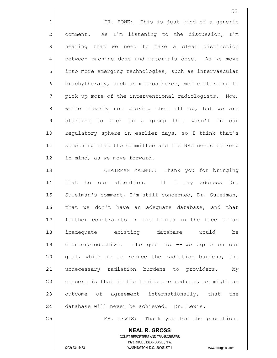1 1 DR. HOWE: This is just kind of a generic  $2$  comment. As I'm listening to the discussion, I'm 3 3 hearing that we need to make a clear distinction 4 between machine dose and materials dose. As we move 5 into more emerging technologies, such as intervascular 6 brachytherapy, such as microspheres, we're starting to 7 pick up more of the interventional radiologists. Now, 8 | we're clearly not picking them all up, but we are 9 starting to pick up a group that wasn't in our 10 regulatory sphere in earlier days, so I think that's 11 something that the Committee and the NRC needs to keep 12 in mind, as we move forward. 13 CHAIRMAN MALMUD: Thank you for bringing

14 that to our attention. If I may address Dr. 15 Suleiman's comment, I'm still concerned, Dr. Suleiman, 16 | that we don't have an adequate database, and that 17 further constraints on the limits in the face of an 18 inadequate existing database would be 19 counterproductive. The goal is -- we agree on our 20 goal, which is to reduce the radiation burdens, the 21 unnecessary radiation burdens to providers. My 22 concern is that if the limits are reduced, as might an 23 outcome of agreement internationally, that the 24 database will never be achieved. Dr. Lewis.

25 MR. LEWIS: Thank you for the promotion.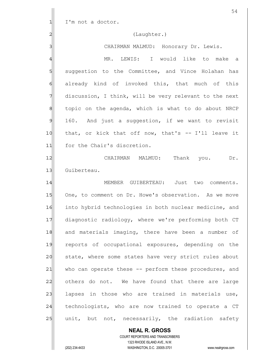|               | 54                                                                                                  |
|---------------|-----------------------------------------------------------------------------------------------------|
| $\mathbf{1}$  | I'm not a doctor.                                                                                   |
| 2             | (Laughter.)                                                                                         |
| 3             | CHAIRMAN MALMUD: Honorary Dr. Lewis.                                                                |
| 4             | MR. LEWIS: I would like to make a                                                                   |
| 5             | suggestion to the Committee, and Vince Holahan has                                                  |
| 6             | already kind of invoked this, that much of this                                                     |
| 7             | discussion, I think, will be very relevant to the next                                              |
| 8             | topic on the agenda, which is what to do about NRCP                                                 |
| $\mathcal{Q}$ | 160. And just a suggestion, if we want to revisit                                                   |
| 10            | that, or kick that off now, that's -- I'll leave it                                                 |
| 11            | for the Chair's discretion.                                                                         |
| 12            | CHAIRMAN MALMUD: Thank you. Dr.                                                                     |
| 13            | Guiberteau.                                                                                         |
| 14            | MEMBER GUIBERTEAU: Just two comments.                                                               |
| 15            | One, to comment on Dr. Howe's observation. As we move                                               |
| 16            | into hybrid technologies in both nuclear medicine, and                                              |
| 17            | diagnostic radiology, where we're performing both CT                                                |
| 18            | and materials imaging, there have been a number of                                                  |
| 19            | reports of occupational exposures, depending on the                                                 |
| 20            | state, where some states have very strict rules about                                               |
| 21            | who can operate these -- perform these procedures, and                                              |
| 22            | others do not. We have found that there are large                                                   |
| 23            | lapses in those who are trained in materials use,                                                   |
| 24            | technologists, who are now trained to operate a CT                                                  |
| 25            | unit, but not, necessarily, the radiation safety                                                    |
|               | <b>NEAL R. GROSS</b>                                                                                |
|               | COURT REPORTERS AND TRANSCRIBERS                                                                    |
|               | 1323 RHODE ISLAND AVE., N.W.<br>(202) 234-4433<br>WASHINGTON, D.C. 20005-3701<br>www.nealrgross.com |
|               |                                                                                                     |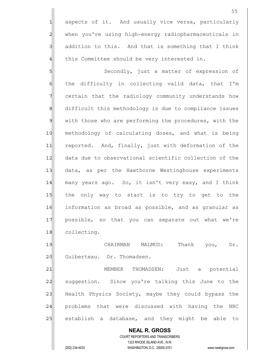1 aspects of it. And usually vice versa, particularly 2 when you're using high-energy radiopharmaceuticals in  $3$  addition to this. And that is something that I think  $4$  this Committee should be very interested in.

5 Secondly, just a matter of expression of  $6$  the difficulty in collecting valid data, that I'm 7 certain that the radiology community understands how 8 difficult this methodology is due to compliance issues 9 with those who are performing the procedures, with the 10 methodology of calculating doses, and what is being 11 reported. And, finally, just with deformation of the 12 data due to observational scientific collection of the 13 data, as per the Hawthorne Westinghouse experiments 14 many years ago. So, it isn't very easy, and I think 15 the only way to start is to try to get to the 16 information as broad as possible, and as granular as 17 possible, so that you can separate out what we're 18 collecting.

19 CHAIRMAN MALMUD: Thank you, Dr. 20 Guiberteau. Dr. Thomadsen.

21 | MEMBER THOMADSEN: Just a potential 22 suggestion. Since you're talking this June to the 23 Health Physics Society, maybe they could bypass the 24 problems that were discussed with having the NRC 25 establish a database, and they might be able to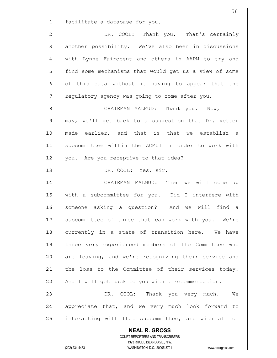1 facilitate a database for you.

2 DR. COOL: Thank you. That's certainly 3 another possibility. We've also been in discussions 4 with Lynne Fairobent and others in AAPM to try and 5 | find some mechanisms that would get us a view of some 6 of this data without it having to appear that the  $7$  regulatory agency was going to come after you.

8 8 SH CHAIRMAN MALMUD: Thank you. Now, if 9 may, we'll get back to a suggestion that Dr. Vetter 10 made earlier, and that is that we establish a 11 subcommittee within the ACMUI in order to work with 12 you. Are you receptive to that idea?

13 DR. COOL: Yes, sir.

14 CHAIRMAN MALMUD: Then we will come up 15 with a subcommittee for you. Did I interfere with 16 someone asking a question? And we will find a 17 Subcommittee of three that can work with you. We're 18 currently in a state of transition here. We have 19 three very experienced members of the Committee who 20 are leaving, and we're recognizing their service and 21 the loss to the Committee of their services today. 22 And I will get back to you with a recommendation.

23 | DR. COOL: Thank you very much. We 24 appreciate that, and we very much look forward to 25 interacting with that subcommittee, and with all of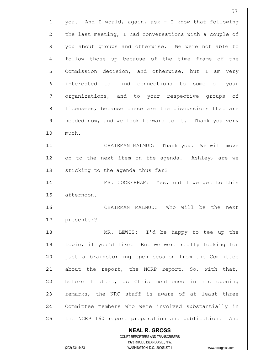**NEAL R. GROSS** COURT REPORTERS AND TRANSCRIBERS 1323 RHODE ISLAND AVE., N.W. 57  $1$  you. And I would, again, ask - I know that following 2 the last meeting, I had conversations with a couple of 3 you about groups and otherwise. We were not able to 4 follow those up because of the time frame of the 5 SQ Commission decision, and otherwise, but I am very 6 interested to find connections to some of your 7 | organizations, and to your respective groups of 8 8 licensees, because these are the discussions that are 9 9 needed now, and we look forward to it. Thank you very 10 much. 11 CHAIRMAN MALMUD: Thank you. We will move 12 on to the next item on the agenda. Ashley, are we 13 Sticking to the agenda thus far? 14 MS. COCKERHAM: Yes, until we get to this 15 afternoon. 16 CHAIRMAN MALMUD: Who will be the next 17 presenter? 18 MR. LEWIS: I'd be happy to tee up the 19 topic, if you'd like. But we were really looking for 20 just a brainstorming open session from the Committee  $21$  about the report, the NCRP report. So, with that, 22 before I start, as Chris mentioned in his opening 23 remarks, the NRC staff is aware of at least three 24 Committee members who were involved substantially in 25 the NCRP 160 report preparation and publication. And

(202) 234-4433 WASHINGTON, D.C. 20005-3701 www.nealrgross.com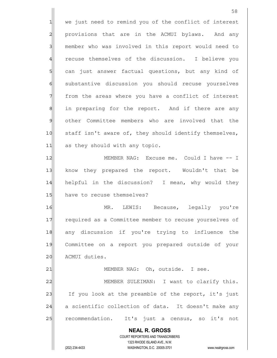**NEAL R. GROSS** COURT REPORTERS AND TRANSCRIBERS 1323 RHODE ISLAND AVE., N.W. 58 1 we just need to remind you of the conflict of interest 2 provisions that are in the ACMUI bylaws. And any 3 member who was involved in this report would need to 4 recuse themselves of the discussion. I believe you 5 5 5 can just answer factual questions, but any kind of 6 substantive discussion you should recuse yourselves 7 from the areas where you have a conflict of interest 8 8 in preparing for the report. And if there are any 9 other Committee members who are involved that the 10 staff isn't aware of, they should identify themselves, 11 as they should with any topic. 12 MEMBER NAG: Excuse me. Could I have -- I 13 know they prepared the report. Wouldn't that be 14 helpful in the discussion? I mean, why would they 15 have to recuse themselves? 16 MR. LEWIS: Because, legally you're 17 required as a Committee member to recuse yourselves of 18 any discussion if you're trying to influence the 19 Committee on a report you prepared outside of your 20 ACMUI duties. 21 | MEMBER NAG: Oh, outside. I see. 22 MEMBER SULEIMAN: I want to clarify this. 23 If you look at the preamble of the report, it's just 24 a scientific collection of data. It doesn't make any 25 recommendation. It's just a census, so it's not

(202) 234-4433 WASHINGTON, D.C. 20005-3701 www.nealrgross.com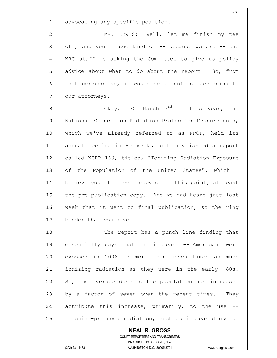1 advocating any specific position.

2 MR. LEWIS: Well, let me finish my tee  $3$  off, and you'll see kind of  $-$  because we are  $-$  the 4 | NRC staff is asking the Committee to give us policy 5 5 5 5 advice about what to do about the report. So, from 6 6 that perspective, it would be a conflict according to 7 our attorneys.

 $\|$  8 0kay. On March 3<sup>rd</sup> of this year, the 9 National Council on Radiation Protection Measurements, 10 which we've already referred to as NRCP, held its 11 annual meeting in Bethesda, and they issued a report 12 called NCRP 160, titled, "Ionizing Radiation Exposure 13 of the Population of the United States", which I 14 believe you all have a copy of at this point, at least 15 the pre-publication copy. And we had heard just last 16 week that it went to final publication, so the ring 17 binder that you have.

18 The report has a punch line finding that 19 essentially says that the increase -- Americans were 20 exposed in 2006 to more than seven times as much 21 ionizing radiation as they were in the early `80s. 22 So, the average dose to the population has increased 23 by a factor of seven over the recent times. They 24 attribute this increase, primarily, to the use --25 machine-produced radiation, such as increased use of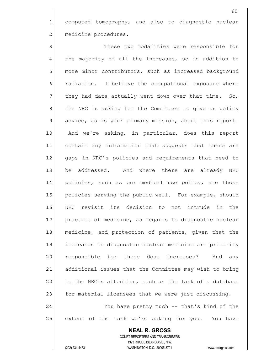1 computed tomography, and also to diagnostic nuclear 2 medicine procedures.

3 3 These two modalities were responsible for 4 the majority of all the increases, so in addition to 5 more minor contributors, such as increased background 6 6 fologologon. I believe the occupational exposure where  $7$  they had data actually went down over that time. So, 8 the NRC is asking for the Committee to give us policy 9 advice, as is your primary mission, about this report. 10| And we're asking, in particular, does this report 11 contain any information that suggests that there are 12 gaps in NRC's policies and requirements that need to 13 be addressed. And where there are already NRC 14 policies, such as our medical use policy, are those 15 policies serving the public well. For example, should 16 NRC revisit its decision to not intrude in the 17 practice of medicine, as regards to diagnostic nuclear 18 medicine, and protection of patients, given that the 19 increases in diagnostic nuclear medicine are primarily 20 responsible for these dose increases? And any 21 additional issues that the Committee may wish to bring 22 to the NRC's attention, such as the lack of a database 23 for material licensees that we were just discussing. 24 You have pretty much -- that's kind of the

25 extent of the task we're asking for you. You have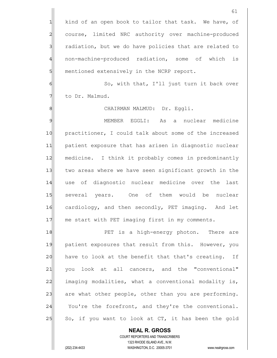|                | 61                                                     |
|----------------|--------------------------------------------------------|
| 1              | kind of an open book to tailor that task. We have, of  |
| $\overline{c}$ | course, limited NRC authority over machine-produced    |
| 3              | radiation, but we do have policies that are related to |
| 4              | non-machine-produced radiation, some of which is       |
| 5              | mentioned extensively in the NCRP report.              |
| 6              | So, with that, I'll just turn it back over             |
| 7              | to Dr. Malmud.                                         |
| 8              | CHAIRMAN MALMUD: Dr. Eggli.                            |
| 9              | MEMBER EGGLI:<br>As a<br>nuclear<br>medicine           |
| 10             | practitioner, I could talk about some of the increased |
| 11             | patient exposure that has arisen in diagnostic nuclear |
| 12             | medicine. I think it probably comes in predominantly   |
| 13             | two areas where we have seen significant growth in the |
| 14             | use of diagnostic nuclear medicine over the last       |
| 15             | several years. One of them would be<br>nuclear         |
| 16             | cardiology, and then secondly, PET imaging.<br>And let |
| 17             | me start with PET imaging first in my comments.        |
| 18             | PET is a high-energy photon. There are                 |
| 19             | patient exposures that result from this. However, you  |
| 20             | have to look at the benefit that that's creating. If   |
| 21             | you look at all cancers, and the "conventional"        |
| 22             | imaging modalities, what a conventional modality is,   |
| 23             | are what other people, other than you are performing.  |
| 24             | You're the forefront, and they're the conventional.    |
| 25             | So, if you want to look at CT, it has been the gold    |
|                | <b>NEAL R. GROSS</b>                                   |

 COURT REPORTERS AND TRANSCRIBERS 1323 RHODE ISLAND AVE., N.W. (202) 234-4433 WASHINGTON, D.C. 20005-3701 www.nealrgross.com

 $\prod$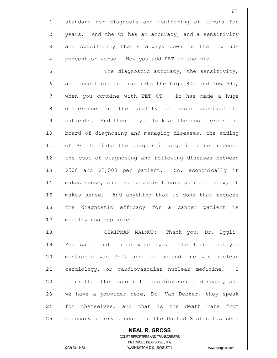1 standard for diagnosis and monitoring of tumors for 2 years. And the CT has an accuracy, and a sensitivity 3 3 and specificity that's always down in the low 60s  $4$  percent or worse. Now you add PET to the mix.

5 S 6 6 and specificities rise into the high 80s and low 90s, 7 When you combine with PET CT. It has made a huge 8 difference in the quality of care provided to 9 patients. And then if you look at the cost across the 10 board of diagnosing and managing diseases, the adding 11 of PET CT into the diagnostic algorithm has reduced 12 the cost of diagnosing and following diseases between  $13$   $\frac{1}{8}$   $\frac{1}{10}$   $\frac{1}{10}$  and \$2,500 per patient. So, economically it 14 makes sense, and from a patient care point of view, it 15 makes sense. And anything that is done that reduces 16 the diagnostic efficacy for a cancer patient is 17 morally unacceptable.

18 | CHAIRMAN MALMUD: Thank you, Dr. Eqqli. 19 You said that there were two. The first one you 20 mentioned was PET, and the second one was nuclear 21 cardiology, or cardiovascular nuclear medicine. I 22 think that the figures for cardiovascular disease, and 23 we have a provider here, Dr. Van Decker, they speak 24 for themselves, and that is the death rate from 25 coronary artery disease in the United States has seen

 **NEAL R. GROSS** COURT REPORTERS AND TRANSCRIBERS 1323 RHODE ISLAND AVE., N.W. (202) 234-4433 WASHINGTON, D.C. 20005-3701 www.nealrgross.com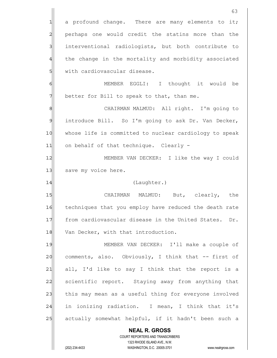|                | 63                                                                                                  |
|----------------|-----------------------------------------------------------------------------------------------------|
| 1              | a profound change. There are many elements to it;                                                   |
| $\overline{c}$ | perhaps one would credit the statins more than the                                                  |
| 3              | interventional radiologists, but both contribute to                                                 |
| 4              | the change in the mortality and morbidity associated                                                |
| 5              | with cardiovascular disease.                                                                        |
| 6              | MEMBER EGGLI: I thought it would be                                                                 |
| 7              | better for Bill to speak to that, than me.                                                          |
| 8              | CHAIRMAN MALMUD: All right. I'm going to                                                            |
| 9              | introduce Bill. So I'm going to ask Dr. Van Decker,                                                 |
| 10             | whose life is committed to nuclear cardiology to speak                                              |
| 11             | on behalf of that technique. Clearly -                                                              |
| 12             | MEMBER VAN DECKER: I like the way I could                                                           |
| 13             | save my voice here.                                                                                 |
| 14             | (Laughter.)                                                                                         |
| 15             | CHAIRMAN MALMUD: But, clearly,<br>the                                                               |
| 16             | techniques that you employ have reduced the death rate                                              |
| 17             | from cardiovascular disease in the United States. Dr.                                               |
| 18             | Van Decker, with that introduction.                                                                 |
| 19             | MEMBER VAN DECKER: I'll make a couple of                                                            |
| 20             | comments, also. Obviously, I think that -- first of                                                 |
| 21             | all, I'd like to say I think that the report is a                                                   |
| 22             | scientific report. Staying away from anything that                                                  |
| 23             | this may mean as a useful thing for everyone involved                                               |
| 24             | in ionizing radiation. I mean, I think that it's                                                    |
| 25             | actually somewhat helpful, if it hadn't been such a                                                 |
|                | <b>NEAL R. GROSS</b>                                                                                |
|                | COURT REPORTERS AND TRANSCRIBERS                                                                    |
|                | 1323 RHODE ISLAND AVE., N.W.<br>(202) 234-4433<br>WASHINGTON, D.C. 20005-3701<br>www.nealrgross.com |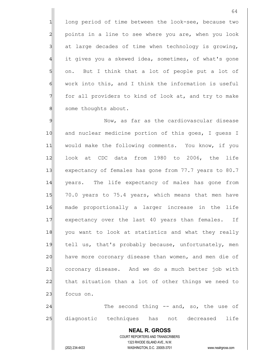1 long period of time between the look-see, because two 2 points in a line to see where you are, when you look  $3$  at large decades of time when technology is growing, 4 it gives you a skewed idea, sometimes, of what's gone 5 on. But I think that a lot of people put a lot of  $6$  work into this, and I think the information is useful  $7$  for all providers to kind of look at, and try to make 8 | some thoughts about.

9 Mow, as far as the cardiovascular disease 10 and nuclear medicine portion of this goes, I guess I 11 would make the following comments. You know, if you 12 look at CDC data from 1980 to 2006, the life 13 expectancy of females has gone from 77.7 years to 80.7 14 | years. The life expectancy of males has gone from 15 70.0 years to 75.4 years, which means that men have 16 made proportionally a larger increase in the life 17 expectancy over the last 40 years than females. If 18 you want to look at statistics and what they really 19 tell us, that's probably because, unfortunately, men 20 have more coronary disease than women, and men die of 21 coronary disease. And we do a much better job with 22 that situation than a lot of other things we need to 23 focus on. 24 and thing -- and, so, the use of

25 diagnostic techniques has not decreased life

## COURT REPORTERS AND TRANSCRIBERS 1323 RHODE ISLAND AVE., N.W. (202) 234-4433 WASHINGTON, D.C. 20005-3701 www.nealrgross.com

 **NEAL R. GROSS**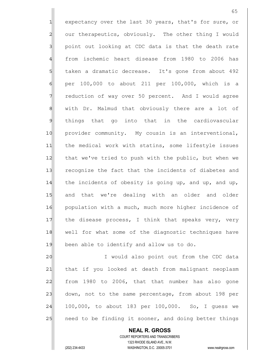1 expectancy over the last 30 years, that's for sure, or 2 our therapeutics, obviously. The other thing I would 3 | point out looking at CDC data is that the death rate 4 from ischemic heart disease from 1980 to 2006 has 5 taken a dramatic decrease. It's gone from about 492  $6$  per 100,000 to about 211 per 100,000, which is a 7 7 reduction of way over 50 percent. And I would agree 8 | with Dr. Malmud that obviously there are a lot of 9 things that go into that in the cardiovascular 10 provider community. My cousin is an interventional, 11 the medical work with statins, some lifestyle issues 12 that we've tried to push with the public, but when we 13 recognize the fact that the incidents of diabetes and 14 the incidents of obesity is going up, and up, and up, 15 and that we're dealing with an older and older 16 population with a much, much more higher incidence of 17 the disease process, I think that speaks very, very 18 well for what some of the diagnostic techniques have 19 been able to identify and allow us to do.

20 I would also point out from the CDC data 21 | that if you looked at death from malignant neoplasm 22 from 1980 to 2006, that that number has also gone 23 down, not to the same percentage, from about 198 per  $24$  100,000, to about 183 per 100,000. So, I quess we 25 | need to be finding it sooner, and doing better things

 COURT REPORTERS AND TRANSCRIBERS 1323 RHODE ISLAND AVE., N.W. (202) 234-4433 WASHINGTON, D.C. 20005-3701 www.nealrgross.com

 **NEAL R. GROSS**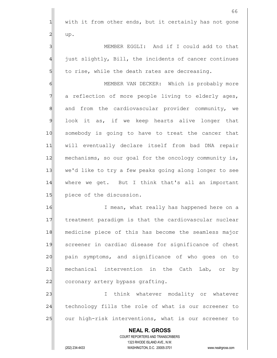**NEAL R. GROSS** COURT REPORTERS AND TRANSCRIBERS 1323 RHODE ISLAND AVE., N.W. (202) 234-4433 WASHINGTON, D.C. 20005-3701 www.nealrgross.com 66  $1$  with it from other ends, but it certainly has not gone  $2$  up. 3 MEMBER EGGLI: And if I could add to that 4 just slightly, Bill, the incidents of cancer continues  $5$  to rise, while the death rates are decreasing. 6 6 MEMBER VAN DECKER: Which is probably more 7 a reflection of more people living to elderly ages, 8| and from the cardiovascular provider community, we 9 look it as, if we keep hearts alive longer that 10 somebody is going to have to treat the cancer that 11 will eventually declare itself from bad DNA repair 12 mechanisms, so our goal for the oncology community is, 13 we'd like to try a few peaks going along longer to see 14 where we get. But I think that's all an important 15 piece of the discussion. 16 I mean, what really has happened here on a 17 treatment paradigm is that the cardiovascular nuclear 18 medicine piece of this has become the seamless major 19 Screener in cardiac disease for significance of chest 20 pain symptoms, and significance of who goes on to 21 mechanical intervention in the Cath Lab, or by 22 coronary artery bypass grafting. 23 and think whatever modality or whatever 24 technology fills the role of what is our screener to 25 our high-risk interventions, what is our screener to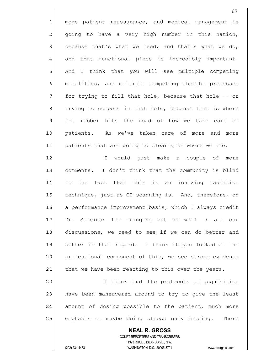1| more patient reassurance, and medical management is 2 going to have a very high number in this nation,  $3$  because that's what we need, and that's what we do, 4 and that functional piece is incredibly important. 5 | And I think that you will see multiple competing 6 modalities, and multiple competing thought processes  $7$  for trying to fill that hole, because that hole  $-$ - or 8 8 8 10 trying to compete in that hole, because that is where 9 the rubber hits the road of how we take care of 10 patients. As we've taken care of more and more 11 patients that are going to clearly be where we are.

12| I would just make a couple of more 13 comments. I don't think that the community is blind 14 to the fact that this is an ionizing radiation 15 technique, just as CT scanning is. And, therefore, on 16 a performance improvement basis, which I always credit 17 Dr. Suleiman for bringing out so well in all our 18 discussions, we need to see if we can do better and 19 better in that regard. I think if you looked at the 20 professional component of this, we see strong evidence 21 that we have been reacting to this over the years.

22 I think that the protocols of acquisition 23 have been maneuvered around to try to give the least 24 amount of dosing possible to the patient, much more 25 emphasis on maybe doing stress only imaging. There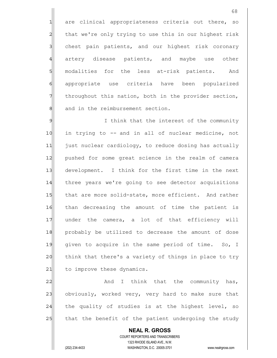1 are clinical appropriateness criteria out there, so 2 that we're only trying to use this in our highest risk 3 3 chest pain patients, and our highest risk coronary 4 artery disease patients, and maybe use other 5 5 5 modalities for the less at-risk patients. And 6 appropriate use criteria have been popularized  $7$  throughout this nation, both in the provider section, 8 and in the reimbursement section.

9 9 I think that the interest of the community 10| in trying to -- and in all of nuclear medicine, not 11 just nuclear cardiology, to reduce dosing has actually 12| pushed for some great science in the realm of camera 13 development. I think for the first time in the next 14 three years we're going to see detector acquisitions 15 that are more solid-state, more efficient. And rather 16 than decreasing the amount of time the patient is 17 under the camera, a lot of that efficiency will 18 probably be utilized to decrease the amount of dose 19 qiven to acquire in the same period of time. So, I 20 think that there's a variety of things in place to try 21| to improve these dynamics.

22 And I think that the community has, 23 obviously, worked very, very hard to make sure that 24 the quality of studies is at the highest level, so 25 that the benefit of the patient undergoing the study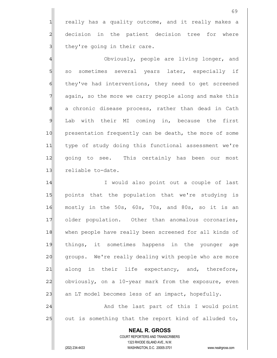1 really has a quality outcome, and it really makes a 2 decision in the patient decision tree for where  $3$  they're going in their care.

4 and  $0$  obviously, people are living longer, and 5 so sometimes several years later, especially if 6 6 fell they've had interventions, they need to get screened 7 again, so the more we carry people along and make this 8| a chronic disease process, rather than dead in Cath 9 Lab with their MI coming in, because the first 10 presentation frequently can be death, the more of some 11 type of study doing this functional assessment we're 12 going to see. This certainly has been our most 13 reliable to-date.

14 I would also point out a couple of last 15 points that the population that we're studying is 16 mostly in the 50s, 60s, 70s, and 80s, so it is an 17 older population. Other than anomalous coronaries, 18 when people have really been screened for all kinds of 19 things, it sometimes happens in the younger age 20 groups. We're really dealing with people who are more  $21$  along in their life expectancy, and, therefore, 22 obviously, on a 10-year mark from the exposure, even 23  $\vert$  an LT model becomes less of an impact, hopefully. 24 And the last part of this I would point

25 out is something that the report kind of alluded to,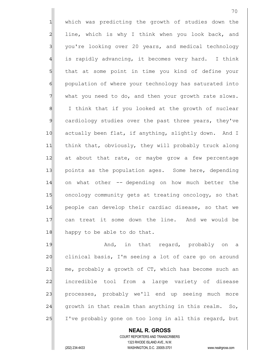1 which was predicting the growth of studies down the  $2$  line, which is why I think when you look back, and 3 you're looking over 20 years, and medical technology  $4$  is rapidly advancing, it becomes very hard. I think 5 5 5 that at some point in time you kind of define your 6 6 population of where your technology has saturated into 7 what you need to do, and then your growth rate slows. 8 I think that if you looked at the growth of nuclear 9 cardiology studies over the past three years, they've 10 actually been flat, if anything, slightly down. And I 11 think that, obviously, they will probably truck along 12 at about that rate, or maybe grow a few percentage 13 points as the population ages. Some here, depending 14 on what other -- depending on how much better the 15 oncology community gets at treating oncology, so that 16 people can develop their cardiac disease, so that we 17 can treat it some down the line. And we would be 18 happy to be able to do that.

19 and, in that regard, probably on a 20 clinical basis, I'm seeing a lot of care go on around  $21$  me, probably a growth of CT, which has become such an 22 incredible tool from a large variety of disease 23 processes, probably we'll end up seeing much more 24 growth in that realm than anything in this realm. So, 25 I've probably gone on too long in all this regard, but

 **NEAL R. GROSS** COURT REPORTERS AND TRANSCRIBERS 1323 RHODE ISLAND AVE., N.W. (202) 234-4433 WASHINGTON, D.C. 20005-3701 www.nealrgross.com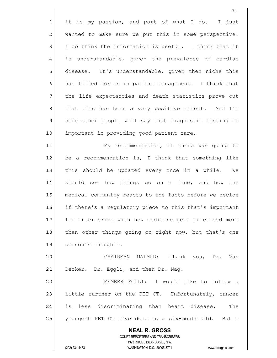**NEAL R. GROSS** COURT REPORTERS AND TRANSCRIBERS 1323 RHODE ISLAND AVE., N.W. (202) 234-4433 WASHINGTON, D.C. 20005-3701 www.nealrgross.com  $1$  it is my passion, and part of what I do. I just 2 wanted to make sure we put this in some perspective.  $3$  I do think the information is useful. I think that it 4 is understandable, given the prevalence of cardiac 5 disease. It's understandable, given then niche this 6 6 has filled for us in patient management. I think that 7 The life expectancies and death statistics prove out 8| that this has been a very positive effect. And I'm 9 sure other people will say that diagnostic testing is 10 important in providing good patient care. 11 My recommendation, if there was going to  $12$  be a recommendation is, I think that something like 13 this should be updated every once in a while. We 14 should see how things go on a line, and how the 15 medical community reacts to the facts before we decide 16 if there's a regulatory piece to this that's important 17 for interfering with how medicine gets practiced more 18 than other things going on right now, but that's one 19 person's thoughts. 20 CHAIRMAN MALMUD: Thank you, Dr. Van 21 Decker. Dr. Eggli, and then Dr. Nag. 22 MEMBER EGGLI: I would like to follow a 23 little further on the PET CT. Unfortunately, cancer 24 is less discriminating than heart disease. The 25 | youngest PET CT I've done is a six-month old. But I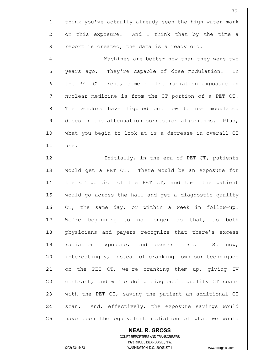1 think you've actually already seen the high water mark 2 on this exposure. And I think that by the time a  $3$  report is created, the data is already old.

4 Machines are better now than they were two 5 | years ago. They're capable of dose modulation. In 6 6 follow the PET CT arena, some of the radiation exposure in 7 nuclear medicine is from the CT portion of a PET CT. 8 | The vendors have figured out how to use modulated  $9$  doses in the attenuation correction algorithms. Plus, 10 | what you begin to look at is a decrease in overall CT 11 use.

12 Initially, in the era of PET CT, patients 13 would get a PET CT. There would be an exposure for 14 the CT portion of the PET CT, and then the patient 15 would go across the hall and get a diagnostic quality 16 CT, the same day, or within a week in follow-up. 17 We're beginning to no longer do that, as both 18 physicians and payers recognize that there's excess 19 radiation exposure, and excess cost. So now, 20 interestingly, instead of cranking down our techniques 21 on the PET CT, we're cranking them up, giving IV 22 contrast, and we're doing diagnostic quality CT scans 23 with the PET CT, saving the patient an additional CT  $24$  scan. And, effectively, the exposure savings would 25 have been the equivalent radiation of what we would

 **NEAL R. GROSS** COURT REPORTERS AND TRANSCRIBERS 1323 RHODE ISLAND AVE., N.W. (202) 234-4433 WASHINGTON, D.C. 20005-3701 www.nealrgross.com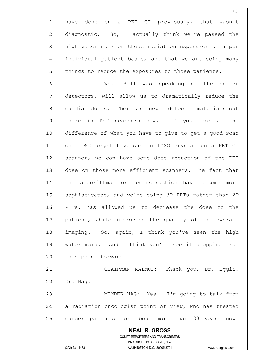1 have done on a PET CT previously, that wasn't 2 diagnostic. So, I actually think we're passed the 3 high water mark on these radiation exposures on a per 4 individual patient basis, and that we are doing many 5 5 5 5 things to reduce the exposures to those patients.

6 Mhat Bill was speaking of the better 7 detectors, will allow us to dramatically reduce the 8 8 cardiac doses. There are newer detector materials out 9 there in PET scanners now. If you look at the 10 difference of what you have to give to get a good scan 11|| on a BGO crystal versus an LYSO crystal on a PET CT 12 scanner, we can have some dose reduction of the PET 13 dose on those more efficient scanners. The fact that 14 the algorithms for reconstruction have become more 15 | sophisticated, and we're doing 3D PETs rather than 2D 16 PETs, has allowed us to decrease the dose to the 17 | patient, while improving the quality of the overall 18 imaging. So, again, I think you've seen the high 19 water mark. And I think you'll see it dropping from 20 this point forward.

21 CHAIRMAN MALMUD: Thank you, Dr. Eggli.  $22$  Dr. Nag. 23 MEMBER NAG: Yes. I'm going to talk from

24 a radiation oncologist point of view, who has treated 25 cancer patients for about more than 30 years now.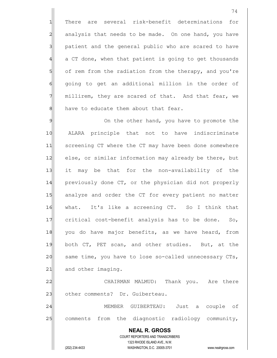1 There are several risk-benefit determinations for 2 analysis that needs to be made. On one hand, you have 3 3 patient and the general public who are scared to have  $4$  a CT done, when that patient is going to get thousands 5 of rem from the radiation from the therapy, and you're 6 going to get an additional million in the order of 7 millirem, they are scared of that. And that fear, we  $8$  have to educate them about that fear.

9 9 On the other hand, you have to promote the 10 ALARA principle that not to have indiscriminate 11 Screening CT where the CT may have been done somewhere 12 else, or similar information may already be there, but 13 it may be that for the non-availability of the 14 previously done CT, or the physician did not properly 15 analyze and order the CT for every patient no matter 16 what. It's like a screening CT. So I think that 17 critical cost-benefit analysis has to be done. So, 18 you do have major benefits, as we have heard, from 19 both CT, PET scan, and other studies. But, at the 20 same time, you have to lose so-called unnecessary CTs, 21 and other imaging. 22 CHAIRMAN MALMUD: Thank you. Are there 23 other comments? Dr. Guiberteau.

24 | MEMBER GUIBERTEAU: Just a couple of 25 comments from the diagnostic radiology community,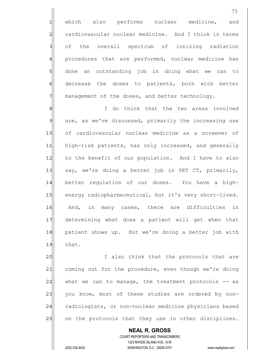1 which also performs nuclear medicine, and 2 cardiovascular nuclear medicine. And I think in terms 3 of the overall spectrum of ionizing radiation 4 procedures that are performed, nuclear medicine has 5 5 5 done an outstanding job in doing what we can to 6| decrease the doses to patients, both with better  $7$  management of the doses, and better technology.

8 8 I do think that the two areas involved 9 are, as we've discussed, primarily the increasing use 10 of cardiovascular nuclear medicine as a screener of 11 high-risk patients, has only increased, and generally 12 to the benefit of our population. And I have to also 13 say, we're doing a better job in PET CT, primarily, 14 better requlation of our doses. You have a high-15 energy radiopharmaceutical, but it's very short-lived. 16 And, in many cases, there are difficulties in 17 determining what dose a patient will get when that 18 patient shows up. But we're doing a better job with 19 that.

20 I also think that the protocols that are 21 coming out for the procedure, even though we're doing  $22$  what we can to manage, the treatment protocols  $-$  as 23 you know, most of these studies are ordered by non-24 radiologists, or non-nuclear medicine physicians based 25 on the protocols that they use in other disciplines.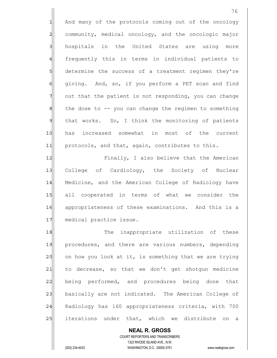1 And many of the protocols coming out of the oncology 2 community, medical oncology, and the oncologic major 3 hospitals in the United States are using more 4 frequently this in terms in individual patients to 5 5 5 determine the success of a treatment regimen they're 6 6 giving. And, so, if you perform a PET scan and find  $7$  out that the patient is not responding, you can change  $8$  the dose to  $-$ - you can change the regimen to something 9 that works. So, I think the monitoring of patients 10 has increased somewhat in most of the current 11 protocols, and that, again, contributes to this. 12 Finally, I also believe that the American 13 College of Cardiology, the Society of Nuclear 14 Medicine, and the American College of Radiology have

15 all cooperated in terms of what we consider the 16 appropriateness of these examinations. And this is a 17 medical practice issue.

18 The inappropriate utilization of these 19 procedures, and there are various numbers, depending  $20$  on how you look at it, is something that we are trying  $21$  to decrease, so that we don't get shotgun medicine 22 being performed, and procedures being done that 23 basically are not indicated. The American College of 24 Radiology has 160 appropriateness criteria, with 700 25 iterations under that, which we distribute on a

 COURT REPORTERS AND TRANSCRIBERS 1323 RHODE ISLAND AVE., N.W. (202) 234-4433 WASHINGTON, D.C. 20005-3701 www.nealrgross.com

 **NEAL R. GROSS**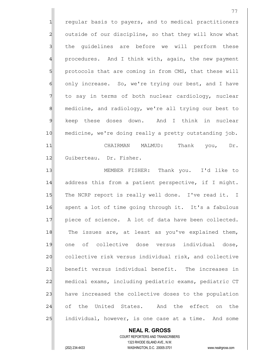1 regular basis to payers, and to medical practitioners  $2$  outside of our discipline, so that they will know what 3 sl the quidelines are before we will perform these 4 procedures. And I think with, again, the new payment 5 protocols that are coming in from CMS, that these will 6 only increase. So, we're trying our best, and I have 7 The say in terms of both nuclear cardiology, nuclear 8 medicine, and radiology, we're all trying our best to 9 keep these doses down. And I think in nuclear 10 medicine, we're doing really a pretty outstanding job. 11 CHAIRMAN MALMUD: Thank you, Dr. 12 Guiberteau. Dr. Fisher. 13 MEMBER FISHER: Thank you. I'd like to 14 address this from a patient perspective, if I might.

15 The NCRP report is really well done. I've read it. I 16 spent a lot of time going through it. It's a fabulous 17 piece of science. A lot of data have been collected.  $18$  The issues are, at least as you've explained them, 19 one of collective dose versus individual dose, 20 collective risk versus individual risk, and collective 21 benefit versus individual benefit. The increases in 22 medical exams, including pediatric exams, pediatric CT 23 have increased the collective doses to the population 24 of the United States. And the effect on the 25 | individual, however, is one case at a time. And some

 **NEAL R. GROSS** COURT REPORTERS AND TRANSCRIBERS 1323 RHODE ISLAND AVE., N.W. (202) 234-4433 WASHINGTON, D.C. 20005-3701 www.nealrgross.com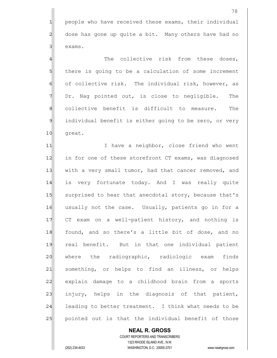1 people who have received these exams, their individual 2 dose has gone up quite a bit. Many others have had no 3 exams.

4 The collective risk from these doses, 5 | there is going to be a calculation of some increment 6 of collective risk. The individual risk, however, as 7 Dr. Nag pointed out, is close to negligible. The 8 collective benefit is difficult to measure. The 9 individual benefit is either going to be zero, or very 10 great.

11 I lave a neighbor, close friend who went 12 in for one of these storefront CT exams, was diagnosed 13 with a very small tumor, had that cancer removed, and 14 is very fortunate today. And I was really quite 15 surprised to hear that anecdotal story, because that's 16 usually not the case. Usually, patients go in for a 17 CT exam on a well-patient history, and nothing is 18 found, and so there's a little bit of dose, and no 19 real benefit. But in that one individual patient 20 where the radiographic, radiologic exam finds 21 something, or helps to find an illness, or helps 22 explain damage to a childhood brain from a sports 23 injury, helps in the diagnosis of that patient,  $24$  leading to better treatment. I think what needs to be 25 pointed out is that the individual benefit of those

 **NEAL R. GROSS** COURT REPORTERS AND TRANSCRIBERS 1323 RHODE ISLAND AVE., N.W. (202) 234-4433 WASHINGTON, D.C. 20005-3701 www.nealrgross.com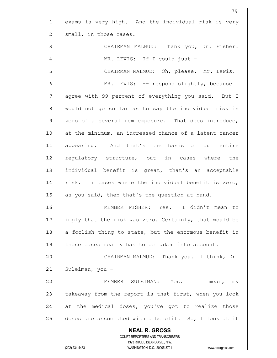|                | 79                                                                  |
|----------------|---------------------------------------------------------------------|
| 1              | exams is very high. And the individual risk is very                 |
| $\overline{c}$ | small, in those cases.                                              |
| 3              | CHAIRMAN MALMUD: Thank you, Dr. Fisher.                             |
| 4              | MR. LEWIS: If I could just -                                        |
| 5              | CHAIRMAN MALMUD: Oh, please. Mr. Lewis.                             |
| 6              | MR. LEWIS: -- respond slightly, because I                           |
| 7              | agree with 99 percent of everything you said. But I                 |
| 8              | would not go so far as to say the individual risk is                |
| $\mathcal{Q}$  | zero of a several rem exposure. That does introduce,                |
| 10             | at the minimum, an increased chance of a latent cancer              |
| 11             | appearing. And that's the basis of our entire                       |
| 12             | requlatory structure, but in cases where the                        |
| 13             | individual benefit is great, that's an acceptable                   |
| 14             | risk. In cases where the individual benefit is zero,                |
| 15             | as you said, then that's the question at hand.                      |
| 16             | Yes. I didn't mean to<br>MEMBER FISHER:                             |
| 17             | imply that the risk was zero. Certainly, that would be              |
| 18             | a foolish thing to state, but the enormous benefit in               |
| 19             | those cases really has to be taken into account.                    |
| 20             | CHAIRMAN MALMUD: Thank you. I think, Dr.                            |
| 21             | Suleiman, you -                                                     |
| 22             | MEMBER SULEIMAN: Yes. I<br>mean, my                                 |
| 23             | takeaway from the report is that first, when you look               |
| 24             | at the medical doses, you've got to realize those                   |
| 25             | doses are associated with a benefit. So, I look at it               |
|                | <b>NEAL R. GROSS</b>                                                |
|                | COURT REPORTERS AND TRANSCRIBERS                                    |
|                | 1323 RHODE ISLAND AVE., N.W.                                        |
|                | (202) 234-4433<br>WASHINGTON, D.C. 20005-3701<br>www.nealrgross.com |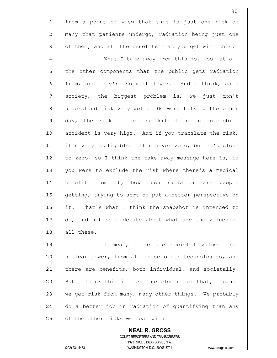1 from a point of view that this is just one risk of 2 many that patients undergo, radiation being just one  $3$  of them, and all the benefits that you get with this.

4 A What I take away from this is, look at all 5 5 5 5 the other components that the public gets radiation 6 from, and they're so much lower. And I think, as a 7 society, the biggest problem is, we just don't 8 8 8 anderstand risk very well. We were talking the other 9 day, the risk of getting killed in an automobile 10 accident is very high. And if you translate the risk, 11 it's very negligible. It's never zero, but it's close 12 to zero, so I think the take away message here is, if 13 you were to exclude the risk where there's a medical 14 benefit from it, how much radiation are people 15 getting, trying to sort of put a better perspective on 16 it. That's what I think the snapshot is intended to 17 do, and not be a debate about what are the values of 18 all these.

19 19 I mean, there are societal values from 20 | nuclear power, from all these other technologies, and  $21$  there are benefits, both individual, and societally. 22 But I think this is just one element of that, because 23 we get risk from many, many other things. We probably  $24$  do a better job in radiation of quantifying than any 25 of the other risks we deal with.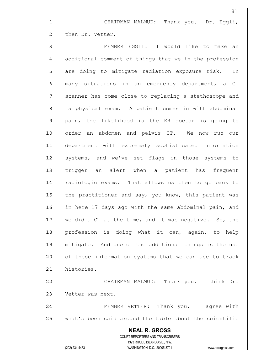1 CHAIRMAN MALMUD: Thank you. Dr. Eggli, 2 chen Dr. Vetter.

81

 **NEAL R. GROSS** COURT REPORTERS AND TRANSCRIBERS 3 3 MEMBER EGGLI: I would like to make an 4 additional comment of things that we in the profession 5 5 5 are doing to mitigate radiation exposure risk. In 6 many situations in an emergency department, a CT 7 Scanner has come close to replacing a stethoscope and 8 a physical exam. A patient comes in with abdominal 9 pain, the likelihood is the ER doctor is going to 10 order an abdomen and pelvis CT. We now run our 11 department with extremely sophisticated information 12 systems, and we've set flags in those systems to 13 trigger an alert when a patient has frequent 14 radiologic exams. That allows us then to go back to 15 the practitioner and say, you know, this patient was 16 in here 17 days ago with the same abdominal pain, and 17 we did a CT at the time, and it was negative. So, the 18 profession is doing what it can, again, to help 19 mitigate. And one of the additional things is the use 20 of these information systems that we can use to track 21 histories. 22 CHAIRMAN MALMUD: Thank you. I think Dr. 23 Vetter was next. 24 MEMBER VETTER: Thank you. I agree with 25 what's been said around the table about the scientific

1323 RHODE ISLAND AVE., N.W.

(202) 234-4433 WASHINGTON, D.C. 20005-3701 www.nealrgross.com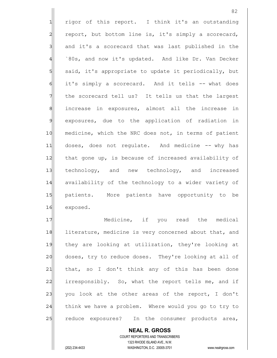1 rigor of this report. I think it's an outstanding 2 report, but bottom line is, it's simply a scorecard, 3 and it's a scorecard that was last published in the 4 `80s, and now it's updated. And like Dr. Van Decker 5 said, it's appropriate to update it periodically, but 6 it's simply a scorecard. And it tells -- what does  $7$  the scorecard tell us? It tells us that the largest 8 8 increase in exposures, almost all the increase in 9 exposures, due to the application of radiation in 10 medicine, which the NRC does not, in terms of patient 11 doses, does not regulate. And medicine -- why has 12 that gone up, is because of increased availability of 13 technology, and new technology, and increased 14 availability of the technology to a wider variety of 15 patients. More patients have opportunity to be 16 exposed.

17 Medicine, if you read the medical 18 literature, medicine is very concerned about that, and 19 they are looking at utilization, they're looking at 20 doses, try to reduce doses. They're looking at all of 21 that, so I don't think any of this has been done 22 irresponsibly. So, what the report tells me, and if 23 you look at the other areas of the report, I don't 24 think we have a problem. Where would you go to try to 25 reduce exposures? In the consumer products area,

 COURT REPORTERS AND TRANSCRIBERS 1323 RHODE ISLAND AVE., N.W. (202) 234-4433 WASHINGTON, D.C. 20005-3701 www.nealrgross.com

 **NEAL R. GROSS**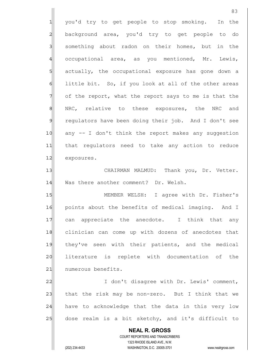|                | 83                                                                                                  |
|----------------|-----------------------------------------------------------------------------------------------------|
| $\mathbf{1}$   | you'd try to get people to stop smoking.<br>In the                                                  |
| $\overline{a}$ | background area, you'd try to get people to do                                                      |
| $\overline{3}$ | something about radon on their homes, but in the                                                    |
| $\frac{4}{3}$  | occupational area, as you mentioned, Mr. Lewis,                                                     |
| $\overline{5}$ | actually, the occupational exposure has gone down a                                                 |
| $\epsilon$     | little bit. So, if you look at all of the other areas                                               |
| 7              | of the report, what the report says to me is that the                                               |
| $\mathbf{8}$   | NRC, relative to these exposures, the NRC and                                                       |
| 9              | regulators have been doing their job. And I don't see                                               |
| 10             | any -- I don't think the report makes any suggestion                                                |
| 11             | that regulators need to take any action to reduce                                                   |
| 12             | exposures.                                                                                          |
| 13             | CHAIRMAN MALMUD: Thank you, Dr. Vetter.                                                             |
| 14             | Was there another comment? Dr. Welsh.                                                               |
| 15             | MEMBER WELSH: I agree with Dr. Fisher's                                                             |
| 16             | points about the benefits of medical imaging. And I                                                 |
| 17             | can appreciate the anecdote. I think that any                                                       |
| 18             | clinician can come up with dozens of anecdotes that                                                 |
| 19             | they've seen with their patients, and the medical                                                   |
| 20             | literature is replete with documentation of<br>the                                                  |
| 21             | numerous benefits.                                                                                  |
| 22             | I don't disagree with Dr. Lewis' comment,                                                           |
| 23             | that the risk may be non-zero. But I think that we                                                  |
| 24             | have to acknowledge that the data in this very low                                                  |
| 25             | dose realm is a bit sketchy, and it's difficult to                                                  |
|                | <b>NEAL R. GROSS</b>                                                                                |
|                | COURT REPORTERS AND TRANSCRIBERS                                                                    |
|                | 1323 RHODE ISLAND AVE., N.W.<br>(202) 234-4433<br>WASHINGTON, D.C. 20005-3701<br>www.nealrgross.com |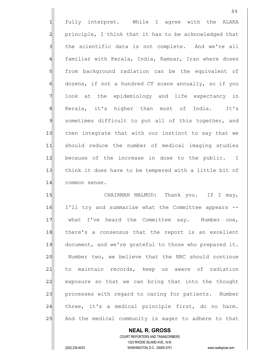1 fully interpret. While I agree with the ALARA 2 principle, I think that it has to be acknowledged that 3 I the scientific data is not complete. And we're all 4 familiar with Kerala, India, Ramsar, Iran where doses 5 5 from background radiation can be the equivalent of  $6$  dozens, if not a hundred CT scans annually, so if you 7 look at the epidemiology and life expectancy in 8 Kerala, it's higher than most of India. It's 9 sometimes difficult to put all of this together, and 10 then integrate that with our instinct to say that we 11 should reduce the number of medical imaging studies 12 because of the increase in dose to the public. I 13 think it does have to be tempered with a little bit of 14 common sense. 15 | CHAIRMAN MALMUD: Thank you. If I may,

16 I'll try and summarize what the Committee appears -- 17 what I've heard the Committee say. Number one, 18 there's a consensus that the report is an excellent 19 document, and we're grateful to those who prepared it. 20 Number two, we believe that the NRC should continue 21 to maintain records, keep us aware of radiation 22 exposure so that we can bring that into the thought 23 processes with regard to caring for patients. Number  $24$  three, it's a medical principle first, do no harm. 25 And the medical community is eager to adhere to that

 **NEAL R. GROSS** COURT REPORTERS AND TRANSCRIBERS 1323 RHODE ISLAND AVE., N.W. (202) 234-4433 WASHINGTON, D.C. 20005-3701 www.nealrgross.com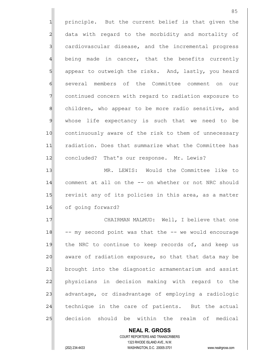1 principle. But the current belief is that given the 2 data with regard to the morbidity and mortality of 3 cardiovascular disease, and the incremental progress 4 being made in cancer, that the benefits currently 5 5 5 5 appear to outweigh the risks. And, lastly, you heard 6 several members of the Committee comment on our 7 continued concern with regard to radiation exposure to 8 8 children, who appear to be more radio sensitive, and 9 whose life expectancy is such that we need to be 10 continuously aware of the risk to them of unnecessary 11 radiation. Does that summarize what the Committee has 12 concluded? That's our response. Mr. Lewis? 13 MR. LEWIS: Would the Committee like to 14 comment at all on the -- on whether or not NRC should

15 revisit any of its policies in this area, as a matter 16 of going forward?

17 CHAIRMAN MALMUD: Well, I believe that one  $18$  -- my second point was that the  $-$ - we would encourage 19 the NRC to continue to keep records of, and keep us 20 aware of radiation exposure, so that that data may be 21 brought into the diagnostic armamentarium and assist 22 physicians in decision making with regard to the 23 advantage, or disadvantage of employing a radiologic 24 technique in the care of patients. But the actual 25 decision should be within the realm of medical

 COURT REPORTERS AND TRANSCRIBERS 1323 RHODE ISLAND AVE., N.W. (202) 234-4433 WASHINGTON, D.C. 20005-3701 www.nealrgross.com

 **NEAL R. GROSS**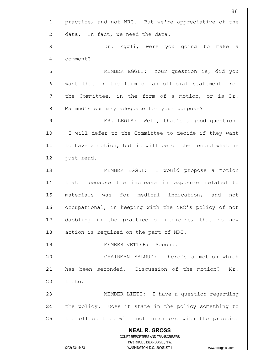|                 | 86                                                                                                  |
|-----------------|-----------------------------------------------------------------------------------------------------|
| $\mathbf 1$     | practice, and not NRC. But we're appreciative of the                                                |
| $\overline{c}$  | data. In fact, we need the data.                                                                    |
| 3               | Dr. Eggli, were you going to make a                                                                 |
| 4               | comment?                                                                                            |
| 5               | MEMBER EGGLI: Your question is, did you                                                             |
| 6               | want that in the form of an official statement from                                                 |
| 7               | the Committee, in the form of a motion, or is Dr.                                                   |
| 8               | Malmud's summary adequate for your purpose?                                                         |
| $\mathcal{Q}$   | MR. LEWIS: Well, that's a good question.                                                            |
| 10              | I will defer to the Committee to decide if they want                                                |
| 11              | to have a motion, but it will be on the record what he                                              |
| 12              | just read.                                                                                          |
| 13              | MEMBER EGGLI: I would propose a motion                                                              |
| 14              | that because the increase in exposure related to                                                    |
| 15              | materials was for medical indication, and<br>not                                                    |
| 16              | occupational, in keeping with the NRC's policy of not                                               |
| 17              | dabbling in the practice of medicine, that no<br>new                                                |
| 18              | action is required on the part of NRC.                                                              |
| 19              | MEMBER VETTER: Second.                                                                              |
| 20              | CHAIRMAN MALMUD: There's a motion which                                                             |
| $\overline{21}$ | has been seconded. Discussion of the motion?<br>Mr.                                                 |
| 22              | Lieto.                                                                                              |
| 23              | MEMBER LIETO: I have a question regarding                                                           |
| 24              | the policy. Does it state in the policy something to                                                |
| 25              | the effect that will not interfere with the practice                                                |
|                 | <b>NEAL R. GROSS</b>                                                                                |
|                 | COURT REPORTERS AND TRANSCRIBERS                                                                    |
|                 | 1323 RHODE ISLAND AVE., N.W.<br>(202) 234-4433<br>WASHINGTON, D.C. 20005-3701<br>www.nealrgross.com |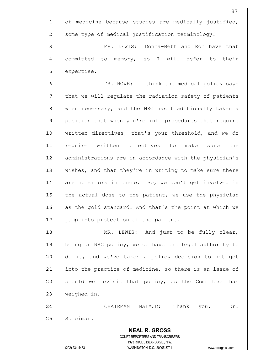87 1 of medicine because studies are medically justified, 2 Some type of medical justification terminology? 3 MR. LEWIS: Donna-Beth and Ron have that 4| committed to memory, so I will defer to their 5 | expertise. 6 6 OR. HOWE: I think the medical policy says  $7$  that we will regulate the radiation safety of patients 8 8 When necessary, and the NRC has traditionally taken a 9 position that when you're into procedures that require 10 | written directives, that's your threshold, and we do 11 require written directives to make sure the 12 administrations are in accordance with the physician's 13 wishes, and that they're in writing to make sure there 14 are no errors in there. So, we don't get involved in 15 the actual dose to the patient, we use the physician

16 as the gold standard. And that's the point at which we 17 jump into protection of the patient.

18 MR. LEWIS: And just to be fully clear, 19 being an NRC policy, we do have the legal authority to 20 do it, and we've taken a policy decision to not get 21 into the practice of medicine, so there is an issue of 22 | should we revisit that policy, as the Committee has  $23$  weighed in.

24 CHAIRMAN MALMUD: Thank you. Dr. 25 Suleiman.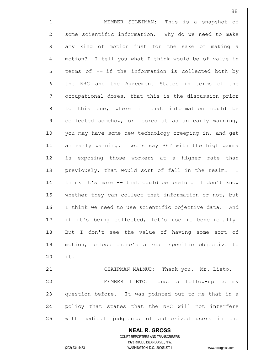**NEAL R. GROSS** COURT REPORTERS AND TRANSCRIBERS 1323 RHODE ISLAND AVE., N.W. 1 1 MEMBER SULEIMAN: This is a snapshot of 2 some scientific information. Why do we need to make 3 3 any kind of motion just for the sake of making a 4 motion? I tell you what I think would be of value in  $5$  terms of  $-$  if the information is collected both by 6 6 6 feam of the Agreement States in terms of the 7 occupational doses, that this is the discussion prior 8 to this one, where if that information could be 9 collected somehow, or looked at as an early warning, 10 you may have some new technology creeping in, and get 11 an early warning. Let's say PET with the high gamma 12| is exposing those workers at a higher rate than 13 previously, that would sort of fall in the realm. I 14 think it's more -- that could be useful. I don't know 15 whether they can collect that information or not, but 16 I think we need to use scientific objective data. And 17 if it's being collected, let's use it beneficially. 18 But I don't see the value of having some sort of 19 motion, unless there's a real specific objective to  $20$  it. 21 | CHAIRMAN MALMUD: Thank you. Mr. Lieto. 22 MEMBER LIETO: Just a follow-up to my 23 question before. It was pointed out to me that in a 24 policy that states that the NRC will not interfere 25 | with medical judgments of authorized users in the

(202) 234-4433 WASHINGTON, D.C. 20005-3701 www.nealrgross.com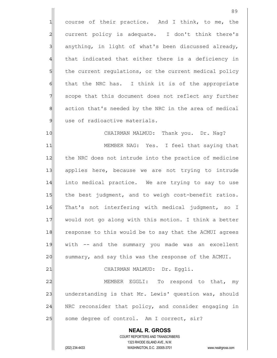1 course of their practice. And I think, to me, the 2 current policy is adequate. I don't think there's  $3$  anything, in light of what's been discussed already, 4 that indicated that either there is a deficiency in 5 the current regulations, or the current medical policy  $6$  that the NRC has. I think it is of the appropriate 7 Scope that this document does not reflect any further 8 8 8 action that's needed by the NRC in the area of medical 9 use of radioactive materials.

10 CHAIRMAN MALMUD: Thank you. Dr. Nag? 11 MEMBER NAG: Yes. I feel that saying that 12 the NRC does not intrude into the practice of medicine 13 applies here, because we are not trying to intrude 14 into medical practice. We are trying to say to use 15 the best judgment, and to weigh cost-benefit ratios. 16 That's not interfering with medical judgment, so I 17 would not go along with this motion. I think a better 18 response to this would be to say that the ACMUI agrees 19 With -- and the summary you made was an excellent 20 summary, and say this was the response of the ACMUI.

21 CHAIRMAN MALMUD: Dr. Eggli.

22 MEMBER EGGLI: To respond to that, my 23 understanding is that Mr. Lewis' question was, should 24 | NRC reconsider that policy, and consider engaging in 25 Some degree of control. Am I correct, sir?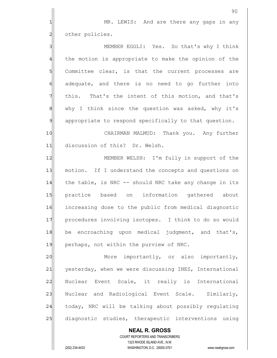90 1 MR. LEWIS: And are there any gaps in any 2 other policies. 3 MEMBER EGGLI: Yes. So that's why I think 4 the motion is appropriate to make the opinion of the 5 Sommittee clear, is that the current processes are 6 6 adequate, and there is no need to go further into  $7$  this. That's the intent of this motion, and that's 8 8 why I think since the question was asked, why it's 9 appropriate to respond specifically to that question. 10 CHAIRMAN MALMUD: Thank you. Any further 11 discussion of this? Dr. Welsh. 12 MEMBER WELSH: I'm fully in support of the 13 | motion. If I understand the concepts and questions on 14 the table, is NRC  $-$  should NRC take any change in its 15 practice based on information gathered about 16 increasing dose to the public from medical diagnostic 17 procedures involving isotopes. I think to do so would  $18$  be encroaching upon medical judgment, and that's, 19 perhaps, not within the purview of NRC. 20 More importantly, or also importantly, 21 vesterday, when we were discussing INES, International 22 Nuclear Event Scale, it really is International 23 | Nuclear and Radiological Event Scale. Similarly, 24 today, NRC will be talking about possibly regulating 25 diagnostic studies, therapeutic interventions using

 COURT REPORTERS AND TRANSCRIBERS 1323 RHODE ISLAND AVE., N.W. (202) 234-4433 WASHINGTON, D.C. 20005-3701 www.nealrgross.com

 **NEAL R. GROSS**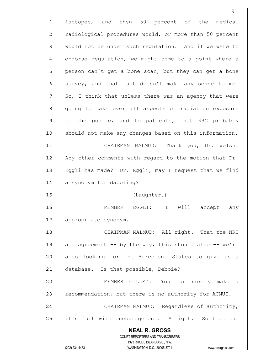**NEAL R. GROSS** COURT REPORTERS AND TRANSCRIBERS 1323 RHODE ISLAND AVE., N.W. (202) 234-4433 WASHINGTON, D.C. 20005-3701 www.nealrgross.com 1 isotopes, and then 50 percent of the medical 2 radiological procedures would, or more than 50 percent 3 would not be under such regulation. And if we were to 4 endorse regulation, we might come to a point where a 5 person can't get a bone scan, but they can get a bone  $6$  survey, and that just doesn't make any sense to me.  $7$  So, I think that unless there was an agency that were 8 8 8 8 approperts of radiation exposure 9 to the public, and to patients, that NRC probably 10 Should not make any changes based on this information. 11 CHAIRMAN MALMUD: Thank you, Dr. Welsh. 12 Any other comments with regard to the motion that Dr. 13 Eggli has made? Dr. Eggli, may I request that we find 14 a synonym for dabbling? 15 (Laughter.) 16 | MEMBER EGGLI: I will accept any 17 appropriate synonym. 18 CHAIRMAN MALMUD: All right. That the NRC 19 $\vert$  and agreement -- by the way, this should also -- we're 20 also looking for the Agreement States to give us a 21 database. Is that possible, Debbie? 22 MEMBER GILLEY: You can surely make a 23 recommendation, but there is no authority for ACMUI. 24 CHAIRMAN MALMUD: Regardless of authority, 25 it's just with encouragement. Alright. So that the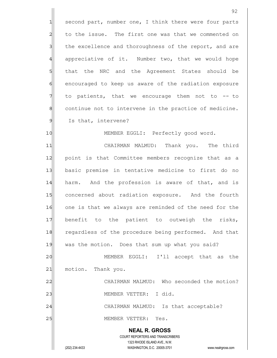92 1 second part, number one, I think there were four parts 2 to the issue. The first one was that we commented on 3 1 the excellence and thoroughness of the report, and are 4 appreciative of it. Number two, that we would hope 5 5 5 5 that the NRC and the Agreement States should be 6 6 6 6 encouraged to keep us aware of the radiation exposure  $7$  to patients, that we encourage them not to  $-$  to 8 8 8 continue not to intervene in the practice of medicine. 9 Is that, intervene? 10 MEMBER EGGLI: Perfectly good word. 11| CHAIRMAN MALMUD: Thank you. The third 12 point is that Committee members recognize that as a 13| basic premise in tentative medicine to first do no 14 harm. And the profession is aware of that, and is 15 concerned about radiation exposure. And the fourth 16 one is that we always are reminded of the need for the 17 benefit to the patient to outweigh the risks, 18 regardless of the procedure being performed. And that 19 was the motion. Does that sum up what you said? 20 MEMBER EGGLI: I'll accept that as the 21 motion. Thank you. 22 CHAIRMAN MALMUD: Who seconded the motion?

23 | MEMBER VETTER: I did.

24 CHAIRMAN MALMUD: Is that acceptable?

25 | MEMBER VETTER: Yes.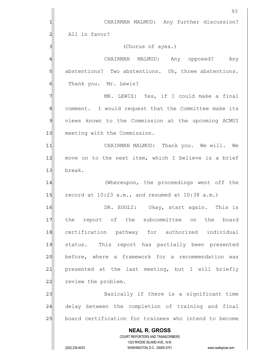|               | 93                                                                  |
|---------------|---------------------------------------------------------------------|
|               | CHAIRMAN MALMUD: Any further discussion?                            |
| 2             | All in favor?                                                       |
|               | (Chorus of ayes.)                                                   |
| 4             | CHAIRMAN MALMUD: Any opposed? Any                                   |
| 5             | abstentions? Two abstentions. Oh, three abstentions.                |
| 6             | Thank you. Mr. Lewis?                                               |
| 7             | MR. LEWIS: Yes, if I could make a final                             |
| 8             | comment. I would request that the Committee make its                |
| $\mathcal{Q}$ | views known to the Commission at the upcoming ACMUI                 |
| 10            | meeting with the Commission.                                        |
| 11            | CHAIRMAN MALMUD: Thank you. We will. We                             |
| 12            | move on to the next item, which I believe is a brief                |
| 13            | break.                                                              |
| 14            | (Whereupon, the proceedings went off the                            |
| 15            | record at $10:23$ a.m., and resumed at $10:38$ a.m.)                |
| 16            | DR. EGGLI: Okay, start again. This is                               |
| 17            | report of the subcommittee on the board<br>the                      |
| 18            | certification pathway for authorized individual                     |
| 19            | This report has partially been presented<br>status.                 |
| 20            | before, where a framework for a recommendation was                  |
| 21            | presented at the last meeting, but I will briefly                   |
| 22            | review the problem.                                                 |
| 23            | Basically if there is a significant time                            |
| 24            | delay between the completion of training and final                  |
| 25            | board certification for trainees who intend to become               |
|               | <b>NEAL R. GROSS</b>                                                |
|               | COURT REPORTERS AND TRANSCRIBERS<br>1323 RHODE ISLAND AVE., N.W.    |
|               | (202) 234-4433<br>WASHINGTON, D.C. 20005-3701<br>www.nealrgross.com |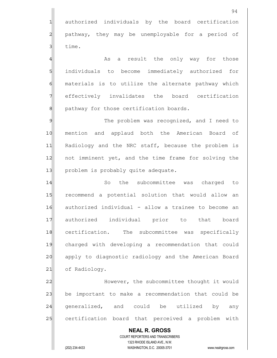1 authorized individuals by the board certification 2 pathway, they may be unemployable for a period of 3 **d** time.

4 As a result the only way for those 5 individuals to become immediately authorized for 6 materials is to utilize the alternate pathway which 7 effectively invalidates the board certification 8 8 pathway for those certification boards.

9 The problem was recognized, and I need to 10 mention and applaud both the American Board of 11 Radiology and the NRC staff, because the problem is 12 not imminent yet, and the time frame for solving the 13 | problem is probably quite adequate.

14 So the subcommittee was charged to 15 recommend a potential solution that would allow an 16 authorized individual - allow a trainee to become an 17 authorized individual prior to that board 18 certification. The subcommittee was specifically 19 charged with developing a recommendation that could 20 apply to diagnostic radiology and the American Board 21 of Radiology.

22 However, the subcommittee thought it would 23 be important to make a recommendation that could be 24 generalized, and could be utilized by any 25 certification board that perceived a problem with

 **NEAL R. GROSS** COURT REPORTERS AND TRANSCRIBERS 1323 RHODE ISLAND AVE., N.W. (202) 234-4433 WASHINGTON, D.C. 20005-3701 www.nealrgross.com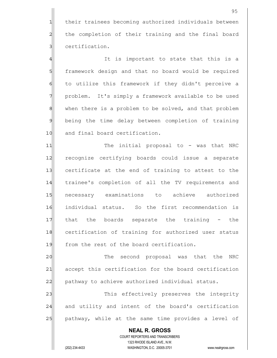1 their trainees becoming authorized individuals between 2 the completion of their training and the final board 3 certification.

4 all it is important to state that this is a 5 framework design and that no board would be required 6 to utilize this framework if they didn't perceive a 7 problem. It's simply a framework available to be used 8| when there is a problem to be solved, and that problem 9 being the time delay between completion of training 10 and final board certification.

11 The initial proposal to - was that NRC 12 recognize certifying boards could issue a separate 13 certificate at the end of training to attest to the 14 trainee's completion of all the TV requirements and 15 necessary examinations to achieve authorized 16 individual status. So the first recommendation is 17 that the boards separate the training - the 18 certification of training for authorized user status 19 from the rest of the board certification.

20 The second proposal was that the NRC 21 accept this certification for the board certification 22 pathway to achieve authorized individual status.

23 This effectively preserves the integrity 24 and utility and intent of the board's certification 25 pathway, while at the same time provides a level of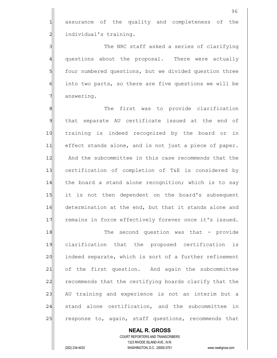1 assurance of the quality and completeness of the 2 all individual's training.

3|| The NRC staff asked a series of clarifying 4 questions about the proposal. There were actually 5 four numbered questions, but we divided question three  $6$  into two parts, so there are five questions we will be 7 answering.

8 8 Me first was to provide clarification 9 that separate AU certificate issued at the end of 10 training is indeed recognized by the board or in 11 effect stands alone, and is not just a piece of paper. 12 And the subcommittee in this case recommends that the 13 certification of completion of T&E is considered by 14 $\vert$  the board a stand alone recognition; which is to say 15 it is not then dependent on the board's subsequent 16 determination at the end, but that it stands alone and 17 remains in force effectively forever once it's issued.

19 clarification that the proposed certification is 20 indeed separate, which is sort of a further refinement 21 of the first question. And again the subcommittee 22 recommends that the certifying boards clarify that the 23 AU training and experience is not an interim but a 24 stand alone certification, and the subcommittee in 25 response to, again, staff questions, recommends that

18 The second question was that - provide

 **NEAL R. GROSS** COURT REPORTERS AND TRANSCRIBERS 1323 RHODE ISLAND AVE., N.W. (202) 234-4433 WASHINGTON, D.C. 20005-3701 www.nealrgross.com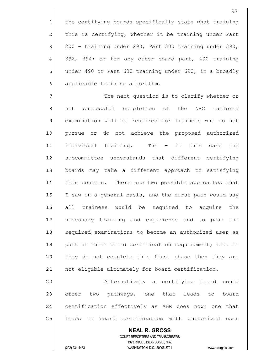1 the certifying boards specifically state what training 2 this is certifying, whether it be training under Part  $3$  200 - training under 290; Part 300 training under 390,  $4$  392, 394; or for any other board part, 400 training 5 under 490 or Part 600 training under 690, in a broadly 6 applicable training algorithm.

7 The next question is to clarify whether or 8 | not successful completion of the NRC tailored 9 examination will be required for trainees who do not 10 pursue or do not achieve the proposed authorized 11 individual training. The - in this case the 12 subcommittee understands that different certifying 13 boards may take a different approach to satisfying 14 this concern. There are two possible approaches that 15 I saw in a general basis, and the first path would say 16 all trainees would be required to acquire the 17 necessary training and experience and to pass the 18 required examinations to become an authorized user as 19 part of their board certification requirement; that if 20 they do not complete this first phase then they are 21 | not eligible ultimately for board certification.

22 Alternatively a certifying board could 23 offer two pathways, one that leads to board 24 certification effectively as ABR does now; one that 25 leads to board certification with authorized user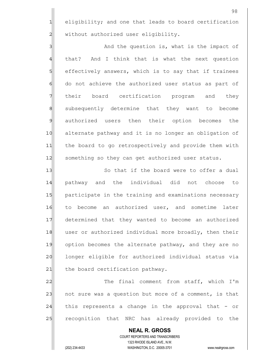1 eligibility; and one that leads to board certification 2 | without authorized user eligibility.

3 3 And the question is, what is the impact of 4 that? And I think that is what the next question 5 Solectively answers, which is to say that if trainees 6 do not achieve the authorized user status as part of 7 Their board certification program and they 8 subsequently determine that they want to become 9 authorized users then their option becomes the 10 alternate pathway and it is no longer an obligation of 11 the board to go retrospectively and provide them with 12 Something so they can get authorized user status.

13 So that if the board were to offer a dual 14 pathway and the individual did not choose to 15 | participate in the training and examinations necessary 16 to become an authorized user, and sometime later 17 determined that they wanted to become an authorized 18 user or authorized individual more broadly, then their 19 option becomes the alternate pathway, and they are no 20 longer eligible for authorized individual status via 21 the board certification pathway.

22 The final comment from staff, which I'm 23 not sure was a question but more of a comment, is that 24 this represents a change in the approval that - or 25 recognition that NRC has already provided to the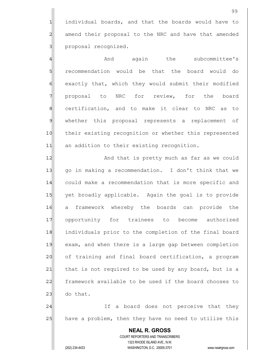1 individual boards, and that the boards would have to 2 amend their proposal to the NRC and have that amended 3 **proposal** recognized.

4 And again the subcommittee's 5 | recommendation would be that the board would do 6 6 exactly that, which they would submit their modified 7 | proposal to NRC for review, for the board 8 8 certification, and to make it clear to NRC as to 9 whether this proposal represents a replacement of 10 their existing recognition or whether this represented 11 an addition to their existing recognition.

12 And that is pretty much as far as we could 13 qo in making a recommendation. I don't think that we 14 could make a recommendation that is more specific and 15 yet broadly applicable. Again the goal is to provide 16 a framework whereby the boards can provide the 17 opportunity for trainees to become authorized 18 individuals prior to the completion of the final board 19 exam, and when there is a large gap between completion 20 of training and final board certification, a program 21 that is not required to be used by any board, but is a 22 framework available to be used if the board chooses to  $23$  do that.

24 and 1 If a board does not perceive that they 25 have a problem, then they have no need to utilize this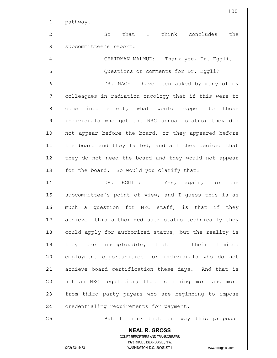1 pathway.

2 and that I think concludes the 3 | subcommittee's report.

4 GHAIRMAN MALMUD: Thank you, Dr. Eggli. 5 Solutions or comments for Dr. Eggli?

6 6 OR. NAG: I have been asked by many of my 7 colleagues in radiation oncology that if this were to  $8$  come into effect, what would happen to those 9 individuals who got the NRC annual status; they did 10 not appear before the board, or they appeared before 11 the board and they failed; and all they decided that 12 they do not need the board and they would not appear 13 for the board. So would you clarify that?

14 DR. EGGLI: Yes, again, for the 15 | subcommittee's point of view, and I quess this is as 16 much a question for NRC staff, is that if they 17 achieved this authorized user status technically they 18 could apply for authorized status, but the reality is 19 they are unemployable, that if their limited 20 employment opportunities for individuals who do not 21 achieve board certification these days. And that is 22 not an NRC regulation; that is coming more and more 23 from third party payers who are beginning to impose 24 credentialing requirements for payment.

25 But I think that the way this proposal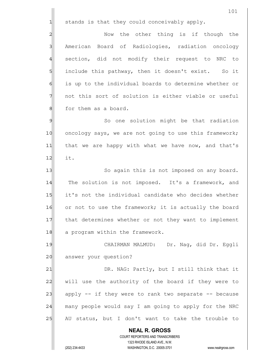**NEAL R. GROSS** COURT REPORTERS AND TRANSCRIBERS 1323 RHODE ISLAND AVE., N.W. 101  $1$  stands is that they could conceivably apply. 2 2 Now the other thing is if though the 3 American Board of Radiologies, radiation oncology 4 section, did not modify their request to NRC to 5 5 5 include this pathway, then it doesn't exist. So it 6 6 is up to the individual boards to determine whether or 7 not this sort of solution is either viable or useful 8 8 for them as a board. 9 So one solution might be that radiation 10 oncology says, we are not going to use this framework; 11 that we are happy with what we have now, and that's  $12$  it. 13 So again this is not imposed on any board. 14 The solution is not imposed. It's a framework, and 15 it's not the individual candidate who decides whether 16 or not to use the framework; it is actually the board 17 that determines whether or not they want to implement 18 a program within the framework. 19 CHAIRMAN MALMUD: Dr. Nag, did Dr. Eggli 20 answer your question? 21 DR. NAG: Partly, but I still think that it 22 will use the authority of the board if they were to  $23$  apply -- if they were to rank two separate -- because 24 many people would say I am going to apply for the NRC 25 AU status, but I don't want to take the trouble to

(202) 234-4433 WASHINGTON, D.C. 20005-3701 www.nealrgross.com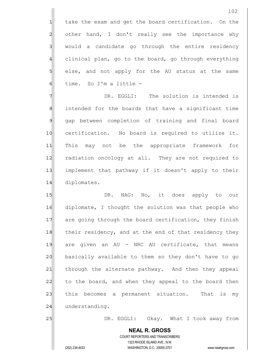102

5 s blee, and not apply for the AU status at the same  $6$  time. So I'm a little -

7 7 DR. EGGLI: The solution is intended is 8 8| intended for the boards that have a significant time 9 gap between completion of training and final board 10 certification. No board is required to utilize it. 11 This may not be the appropriate framework for 12 radiation oncology at all. They are not required to 13 | implement that pathway if it doesn't apply to their 14 diplomates.

15 | DR. NAG: No, it does apply to our 16 diplomate, I thought the solution was that people who 17 are going through the board certification, they finish 18 their residency, and at the end of that residency they 19 are given an AU - NRC AU certificate, that means 20 basically available to them so they don't have to go 21 | through the alternate pathway. And then they appeal 22 to the board, and when they appeal to the board then 23 this becomes a permanent situation. That is my 24 understanding.

25 DR. EGGLI: Okay. What I took away from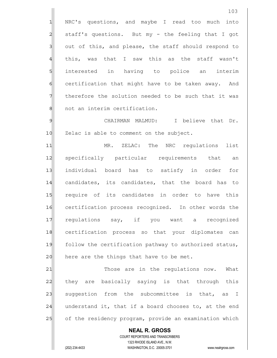1 NRC's questions, and maybe I read too much into  $2$  staff's questions. But my - the feeling that I got 3 3 out of this, and please, the staff should respond to 4 this, was that I saw this as the staff wasn't 5 interested in having to police an interim 6 6 certification that might have to be taken away. And  $7$  therefore the solution needed to be such that it was 8 | not an interim certification.

9 CHAIRMAN MALMUD: I believe that Dr. 10 Zelac is able to comment on the subject.

11 MR. ZELAC: The NRC requlations list 12 specifically particular requirements that an 13 individual board has to satisfy in order for 14 candidates, its candidates, that the board has to 15 require of its candidates in order to have this 16 certification process recognized. In other words the 17 regulations say, if you want a recognized 18 certification process so that your diplomates can 19 follow the certification pathway to authorized status,  $20$  here are the things that have to be met.

21 Those are in the regulations now. What 22 they are basically saying is that through this 23 | suggestion from the subcommittee is that, as I  $24$  understand it, that if a board chooses to, at the end 25 of the residency program, provide an examination which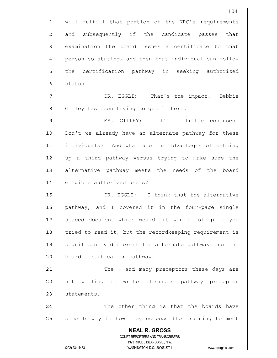|                | 104                                                                 |
|----------------|---------------------------------------------------------------------|
| 1              | will fulfill that portion of the NRC's requirements                 |
| $\overline{c}$ | and subsequently if the candidate passes that                       |
| 3              | examination the board issues a certificate to that                  |
| $\overline{4}$ | person so stating, and then that individual can follow              |
| 5              | the certification pathway in seeking authorized                     |
| 6              | status.                                                             |
| 7              | DR. EGGLI: That's the impact. Debbie                                |
| 8              | Gilley has been trying to get in here.                              |
| $\mathcal{Q}$  | I'm a little confused.<br>MS. GILLEY:                               |
| 10             | Don't we already have an alternate pathway for these                |
| 11             | individuals? And what are the advantages of setting                 |
| 12             | up a third pathway versus trying to make sure the                   |
| 13             | alternative pathway meets the needs of the board                    |
| 14             | eligible authorized users?                                          |
| 15             | DR. EGGLI: I think that the alternative                             |
| 16             | pathway, and I covered it in the four-page single                   |
| 17             | spaced document which would put you to sleep if you                 |
| 18             | tried to read it, but the recordkeeping requirement is              |
| 19             | significantly different for alternate pathway than the              |
| 20             | board certification pathway.                                        |
| 21             | The - and many preceptors these days are                            |
| 22             | not willing to write alternate pathway preceptor                    |
| 23             | statements.                                                         |
| 24             | The other thing is that the boards have                             |
| 25             | some leeway in how they compose the training to meet                |
|                | <b>NEAL R. GROSS</b>                                                |
|                | COURT REPORTERS AND TRANSCRIBERS<br>1323 RHODE ISLAND AVE., N.W.    |
|                | (202) 234-4433<br>WASHINGTON, D.C. 20005-3701<br>www.nealrgross.com |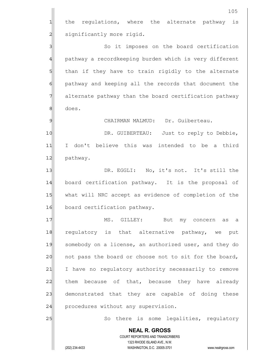**NEAL R. GROSS** COURT REPORTERS AND TRANSCRIBERS 1323 RHODE ISLAND AVE., N.W. (202) 234-4433 WASHINGTON, D.C. 20005-3701 www.nealrgross.com 1 the regulations, where the alternate pathway is 2 | significantly more rigid. 3|| So it imposes on the board certification 4 pathway a recordkeeping burden which is very different 5 5 5 5 than if they have to train rigidly to the alternate 6 6 pathway and keeping all the records that document the 7 alternate pathway than the board certification pathway 8 does. 9 CHAIRMAN MALMUD: Dr. Guiberteau. 10 DR. GUIBERTEAU: Just to reply to Debbie, 11 I don't believe this was intended to be a third 12 pathway. 13 DR. EGGLI: No, it's not. It's still the 14 board certification pathway. It is the proposal of 15 what will NRC accept as evidence of completion of the 16 board certification pathway. 17 MS. GILLEY: But my concern as a 18 regulatory is that alternative pathway, we put 19 somebody on a license, an authorized user, and they do 20 not pass the board or choose not to sit for the board, 21 I have no regulatory authority necessarily to remove 22 them because of that, because they have already 23 demonstrated that they are capable of doing these 24 procedures without any supervision. 25 So there is some legalities, regulatory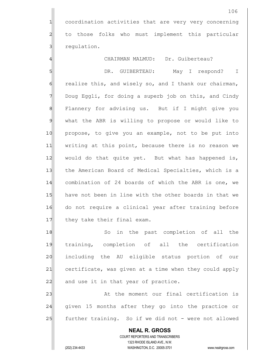1 coordination activities that are very very concerning 2 to those folks who must implement this particular 3 **Seaulation**.

4 CHAIRMAN MALMUD: Dr. Guiberteau?

5 | SI DR. GUIBERTEAU: May I respond? I 6 6 realize this, and wisely so, and I thank our chairman, 7 Doug Eggli, for doing a superb job on this, and Cindy 8 Flannery for advising us. But if I might give you 9 what the ABR is willing to propose or would like to 10 propose, to give you an example, not to be put into 11 | writing at this point, because there is no reason we 12 would do that quite yet. But what has happened is, 13 the American Board of Medical Specialties, which is a 14 combination of 24 boards of which the ABR is one, we 15 have not been in line with the other boards in that we 16 do not require a clinical year after training before 17 they take their final exam.

18 So in the past completion of all the 19 training, completion of all the certification 20 | including the AU eligible status portion of our 21 certificate, was given at a time when they could apply  $22$  and use it in that year of practice.

23 at the moment our final certification is 24 given 15 months after they go into the practice or 25 further training. So if we did not - were not allowed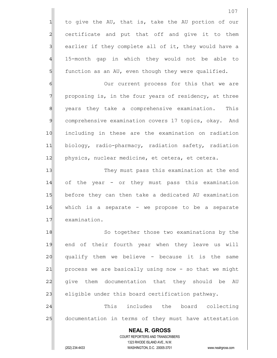1 to give the AU, that is, take the AU portion of our 2 certificate and put that off and give it to them 3 3 || earlier if they complete all of it, they would have a 4 15-month gap in which they would not be able to  $5$  function as an AU, even though they were qualified.

6 6 Our current process for this that we are  $7$  proposing is, in the four years of residency, at three 8 8 years they take a comprehensive examination. This 9 comprehensive examination covers 17 topics, okay. And 10 including in these are the examination on radiation 11 biology, radio-pharmacy, radiation safety, radiation 12 physics, nuclear medicine, et cetera, et cetera.

13|| They must pass this examination at the end 14 of the year - or they must pass this examination 15 before they can then take a dedicated AU examination 16 which is a separate - we propose to be a separate 17 examination.

18 So together those two examinations by the 19 end of their fourth year when they leave us will  $20$  qualify them we believe - because it is the same 21 process we are basically using now - so that we might 22 give them documentation that they should be AU  $23$  eligible under this board certification pathway.

24 This includes the board collecting 25 documentation in terms of they must have attestation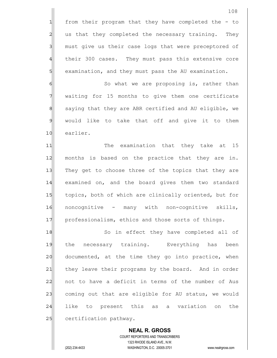6 6 So what we are proposing is, rather than 7 waiting for 15 months to give them one certificate 8 8 8 saying that they are ABR certified and AU eligible, we  $9$  would like to take that off and give it to them 10 earlier.

11 The examination that they take at 15 12 months is based on the practice that they are in. 13 They get to choose three of the topics that they are 14 examined on, and the board gives them two standard 15 topics, both of which are clinically oriented, but for 16 noncognitive - many with non-cognitive skills, 17 professionalism, ethics and those sorts of things.

18 So in effect they have completed all of 19 the necessary training. Everything has been 20 documented, at the time they go into practice, when 21 they leave their programs by the board. And in order 22 not to have a deficit in terms of the number of Aus 23 coming out that are eligible for AU status, we would 24 | like to present this as a variation on the 25 certification pathway.

 **NEAL R. GROSS** COURT REPORTERS AND TRANSCRIBERS 1323 RHODE ISLAND AVE., N.W. (202) 234-4433 WASHINGTON, D.C. 20005-3701 www.nealrgross.com

108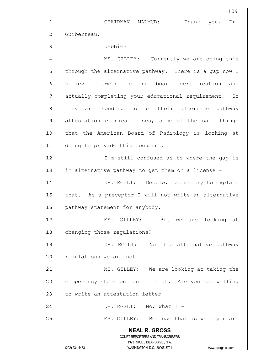**NEAL R. GROSS** COURT REPORTERS AND TRANSCRIBERS 1323 RHODE ISLAND AVE., N.W. (202) 234-4433 WASHINGTON, D.C. 20005-3701 www.nealrgross.com 109 1 CHAIRMAN MALMUD: Thank you, Dr. 2 Guiberteau. 3<sup>|</sup> 4 MS. GILLEY: Currently we are doing this 5 5 5 5 through the alternative pathway. There is a gap now I 6 believe between getting board certification and 7 actually completing your educational requirement. So 8 81 they are sending to us their alternate pathway 9 attestation clinical cases, some of the same things 10 that the American Board of Radiology is looking at 11 doing to provide this document. 12 I'm still confused as to where the gap is 13 in alternative pathway to get them on a license -14 DR. EGGLI: Debbie, let me try to explain 15 that. As a preceptor I will not write an alternative 16 pathway statement for anybody. 17 MS. GILLEY: But we are looking at 18 changing those regulations? 19 19 DR. EGGLI: Not the alternative pathway 20 requiations we are not. 21 MS. GILLEY: We are looking at taking the 22 competency statement out of that. Are you not willing 23 | to write an attestation letter - $24$  DR. EGGLI: No, what I -25 MS. GILLEY: Because that is what you are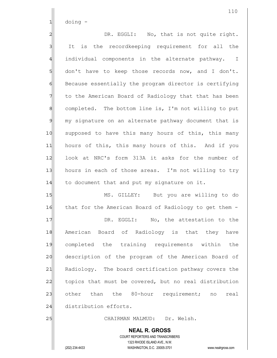$1$  doing  $-$ 

2 DR. EGGLI: No, that is not quite right. 3 It is the recordkeeping requirement for all the 4 individual components in the alternate pathway. I  $5$  don't have to keep those records now, and I don't. 6 Because essentially the program director is certifying 7 The to the American Board of Radiology that that has been 8| completed. The bottom line is, I'm not willing to put 9 my signature on an alternate pathway document that is 10 supposed to have this many hours of this, this many 11 hours of this, this many hours of this. And if you 12 look at NRC's form 313A it asks for the number of 13 hours in each of those areas. I'm not willing to try  $14$  to document that and put my signature on it. 15 MS. GILLEY: But you are willing to do

17 **DR. EGGLI:** No, the attestation to the 18 American Board of Radiology is that they have 19 completed the training requirements within the 20 description of the program of the American Board of 21 Radiology. The board certification pathway covers the 22 topics that must be covered, but no real distribution 23 other than the 80-hour requirement; no real 24 distribution efforts.

16 that for the American Board of Radiology to get them -

25 CHAIRMAN MALMUD: Dr. Welsh.

 **NEAL R. GROSS** COURT REPORTERS AND TRANSCRIBERS 1323 RHODE ISLAND AVE., N.W. (202) 234-4433 WASHINGTON, D.C. 20005-3701 www.nealrgross.com

110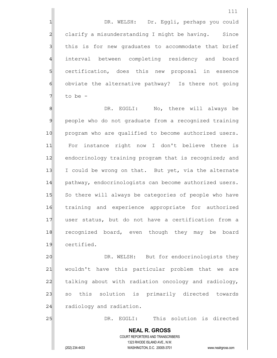1 1 DR. WELSH: Dr. Eggli, perhaps you could 2 clarify a misunderstanding I might be having. Since 3 3 and this is for new graduates to accommodate that brief 4 interval between completing residency and board 5 Solectruing certification, does this new proposal in essence 6 obviate the alternative pathway? Is there not going  $7$  to be -

8 8 Blood DR. EGGLI: No, there will always be 9 people who do not graduate from a recognized training 10 program who are qualified to become authorized users. 11 For instance right now I don't believe there is 12 endocrinology training program that is recognized; and 13 I could be wrong on that. But yet, via the alternate 14 pathway, endocrinologists can become authorized users. 15 So there will always be categories of people who have 16 training and experience appropriate for authorized 17 user status, but do not have a certification from a 18 recognized board, even though they may be board 19 certified.

20 DR. WELSH: But for endocrinologists they 21 wouldn't have this particular problem that we are 22 talking about with radiation oncology and radiology, 23 so this solution is primarily directed towards 24 radiology and radiation.

25 DR. EGGLI: This solution is directed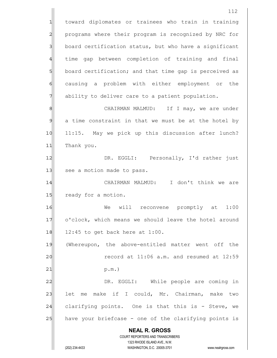**NEAL R. GROSS** COURT REPORTERS AND TRANSCRIBERS 1323 RHODE ISLAND AVE., N.W. (202) 234-4433 WASHINGTON, D.C. 20005-3701 www.nealrgross.com 112 1 toward diplomates or trainees who train in training 2 programs where their program is recognized by NRC for 3 board certification status, but who have a significant 4 time gap between completion of training and final 5 board certification; and that time gap is perceived as 6 6 6 causing a problem with either employment or the 7 ability to deliver care to a patient population. 8 8 CHAIRMAN MALMUD: If I may, we are under 9 a time constraint in that we must be at the hotel by 10 11:15. May we pick up this discussion after lunch? 11 Thank you. 12 DR. EGGLI: Personally, I'd rather just 13 see a motion made to pass. 14|| CHAIRMAN MALMUD: I don't think we are 15 ready for a motion. 16 Me will reconvene promptly at 1:00 17 o'clock, which means we should leave the hotel around  $18$  12:45 to get back here at 1:00. 19 (Whereupon, the above-entitled matter went off the 20  $\vert$  record at 11:06 a.m. and resumed at 12:59  $21$  p.m.) 22 | DR. EGGLI: While people are coming in 23 let me make if I could, Mr. Chairman, make two 24 clarifying points. One is that this is - Steve, we 25 have your briefcase - one of the clarifying points is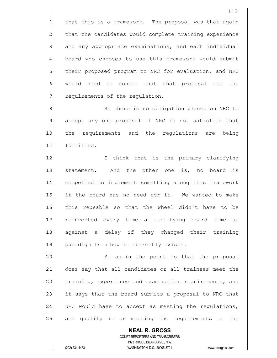$1$  that this is a framework. The proposal was that again 2 that the candidates would complete training experience 3 and any appropriate examinations, and each individual 4 board who chooses to use this framework would submit 5 5 5 5 their proposed program to NRC for evaluation, and NRC 6 6 would need to concur that that proposal met the  $7$  requirements of the regulation.

8 8 So there is no obligation placed on NRC to 9 accept any one proposal if NRC is not satisfied that 10 the requirements and the regulations are being 11 fulfilled.

12 I I think that is the primary clarifying 13 statement. And the other one is, no board is 14 compelled to implement something along this framework 15 if the board has no need for it. We wanted to make 16 this reusable so that the wheel didn't have to be 17 reinvented every time a certifying board came up 18 against a delay if they changed their training 19 paradigm from how it currently exists.

20 || So again the point is that the proposal 21 does say that all candidates or all trainees meet the 22 training, experience and examination requirements; and 23 it says that the board submits a proposal to NRC that  $24$  NRC would have to accept as meeting the regulations, 25 and qualify it as meeting the requirements of the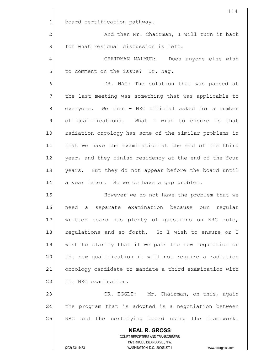|                | 114                                                                                                 |
|----------------|-----------------------------------------------------------------------------------------------------|
| $\mathbf{1}$   | board certification pathway.                                                                        |
| $\overline{c}$ | And then Mr. Chairman, I will turn it back                                                          |
| 3              | for what residual discussion is left.                                                               |
| 4              | CHAIRMAN MALMUD: Does anyone else wish                                                              |
| 5              | to comment on the issue? Dr. Nag.                                                                   |
| 6              | DR. NAG: The solution that was passed at                                                            |
| 7              | the last meeting was something that was applicable to                                               |
| 8              | everyone. We then - NRC official asked for a number                                                 |
| $\mathsf{D}$   | of qualifications. What I wish to ensure is that                                                    |
| 10             | radiation oncology has some of the similar problems in                                              |
| 11             | that we have the examination at the end of the third                                                |
| 12             | year, and they finish residency at the end of the four                                              |
| 13             | years. But they do not appear before the board until                                                |
| 14             | a year later. So we do have a gap problem.                                                          |
| 15             | However we do not have the problem that we                                                          |
| 16             | separate examination because our<br>need<br>regular<br>a                                            |
| 17             | written board has plenty of questions on NRC rule,                                                  |
| 18             | requlations and so forth. So I wish to ensure or I                                                  |
| 19             | wish to clarify that if we pass the new regulation or                                               |
| 20             | the new qualification it will not require a radiation                                               |
| 21             | oncology candidate to mandate a third examination with                                              |
| 22             | the NRC examination.                                                                                |
| 23             | DR. EGGLI: Mr. Chairman, on this, again                                                             |
| 24             | the program that is adopted is a negotiation between                                                |
| 25             | NRC and the certifying board using the framework.                                                   |
|                | <b>NEAL R. GROSS</b>                                                                                |
|                | COURT REPORTERS AND TRANSCRIBERS                                                                    |
|                | 1323 RHODE ISLAND AVE., N.W.<br>(202) 234-4433<br>WASHINGTON, D.C. 20005-3701<br>www.nealrgross.com |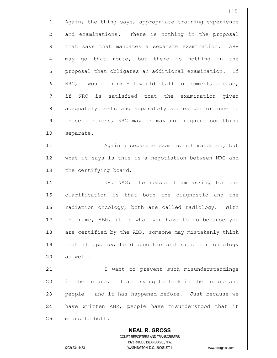**NEAL R. GROSS** COURT REPORTERS AND TRANSCRIBERS 115 1 Again, the thing says, appropriate training experience 2 and examinations. There is nothing in the proposal 3 3 a that says that mandates a separate examination. ABR  $4$  may go that route, but there is nothing in the 5 proposal that obligates an additional examination. If  $6$  NRC, I would think - I would staff to comment, please, 7 if NRC is satisfied that the examination given 8 8 adequately tests and separately scores performance in 9 those portions, NRC may or may not require something 10 separate. 11| Again a separate exam is not mandated, but 12 what it says is this is a negotiation between NRC and 13 the certifying board. 14 **DR.** NAG: The reason I am asking for the 15 clarification is that both the diagnostic and the 16 radiation oncology, both are called radiology. With 17 the name, ABR, it is what you have to do because you 18 are certified by the ABR, someone may mistakenly think 19 that it applies to diagnostic and radiation oncology  $20$  as well. 21 I want to prevent such misunderstandings 22 in the future. I am trying to look in the future and 23 people - and it has happened before. Just because we 24 have written ABR, people have misunderstood that it 25 means to both.

1323 RHODE ISLAND AVE., N.W.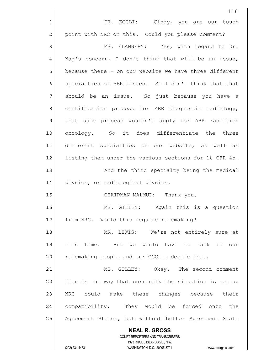|              | 116                                                                                                 |
|--------------|-----------------------------------------------------------------------------------------------------|
|              | DR. EGGLI: Cindy, you are our touch                                                                 |
| 2            | point with NRC on this. Could you please comment?                                                   |
| 3            | MS. FLANNERY: Yes, with regard to Dr.                                                               |
| 4            | Nag's concern, I don't think that will be an issue,                                                 |
| 5            | because there - on our website we have three different                                              |
| 6            | specialties of ABR listed. So I don't think that that                                               |
| 7            | should be an issue. So just because you have a                                                      |
| $\,8\,$      | certification process for ABR diagnostic radiology,                                                 |
| $\mathsf{S}$ | that same process wouldn't apply for ABR radiation                                                  |
| 10           | oncology. So it does differentiate the three                                                        |
| 11           | different specialties on our website, as well as                                                    |
| 12           | listing them under the various sections for 10 CFR 45.                                              |
| 13           | And the third specialty being the medical                                                           |
| 14           | physics, or radiological physics.                                                                   |
| 15           | CHAIRMAN MALMUD: Thank you.                                                                         |
| 16           | MS. GILLEY: Again this is a question                                                                |
| 17           | from NRC. Would this require rulemaking?                                                            |
| 18           | MR. LEWIS: We're not entirely sure at                                                               |
| 19           | this time. But we would have to talk to our                                                         |
| 20           | rulemaking people and our OGC to decide that.                                                       |
| 21           | MS. GILLEY: Okay. The second comment                                                                |
| 22           | then is the way that currently the situation is set up                                              |
| 23           | NRC could make these changes because their                                                          |
| 24           | compatibility. They would be forced onto<br>the                                                     |
| 25           | Agreement States, but without better Agreement State                                                |
|              | <b>NEAL R. GROSS</b>                                                                                |
|              | COURT REPORTERS AND TRANSCRIBERS                                                                    |
|              | 1323 RHODE ISLAND AVE., N.W.<br>(202) 234-4433<br>WASHINGTON, D.C. 20005-3701<br>www.nealrgross.com |
|              |                                                                                                     |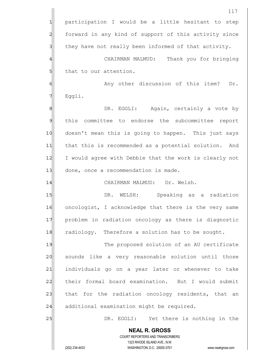|                | 117                                                                                                                                                             |
|----------------|-----------------------------------------------------------------------------------------------------------------------------------------------------------------|
| $\mathbf 1$    | participation I would be a little hesitant to step                                                                                                              |
| $\overline{c}$ | forward in any kind of support of this activity since                                                                                                           |
| 3              | they have not really been informed of that activity.                                                                                                            |
| 4              | Thank you for bringing<br>CHAIRMAN MALMUD:                                                                                                                      |
| 5              | that to our attention.                                                                                                                                          |
| 6              | Any other discussion of this item?<br>Dr.                                                                                                                       |
| 7              | Eggli.                                                                                                                                                          |
| 8              | DR. EGGLI: Again, certainly a vote by                                                                                                                           |
| $\mathcal{Q}$  | this committee to endorse the subcommittee report                                                                                                               |
| 10             | doesn't mean this is going to happen. This just says                                                                                                            |
| 11             | that this is recommended as a potential solution.<br>And                                                                                                        |
| 12             | I would agree with Debbie that the work is clearly not                                                                                                          |
| 13             | done, once a recommendation is made.                                                                                                                            |
| 14             | CHAIRMAN MALMUD: Dr. Welsh.                                                                                                                                     |
| 15             | DR. WELSH: Speaking as a radiation                                                                                                                              |
| 16             | oncologist, I acknowledge that there is the very same                                                                                                           |
| 17             | problem in radiation oncology as there is diagnostic                                                                                                            |
| 18             | radiology. Therefore a solution has to be sought.                                                                                                               |
| 19             | The proposed solution of an AU certificate                                                                                                                      |
| 20             | sounds like a very reasonable solution until those                                                                                                              |
| 21             | individuals go on a year later or whenever to take                                                                                                              |
| 22             | their formal board examination. But I would submit                                                                                                              |
| 23             | that for the radiation oncology residents, that an                                                                                                              |
| 24             | additional examination might be required.                                                                                                                       |
| 25             | DR. EGGLI: Yet there is nothing in the                                                                                                                          |
|                | <b>NEAL R. GROSS</b><br>COURT REPORTERS AND TRANSCRIBERS<br>1323 RHODE ISLAND AVE., N.W.<br>(202) 234-4433<br>WASHINGTON, D.C. 20005-3701<br>www.nealrgross.com |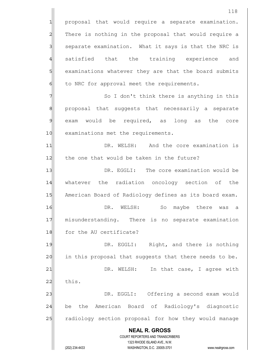**NEAL R. GROSS** COURT REPORTERS AND TRANSCRIBERS 1323 RHODE ISLAND AVE., N.W. 118 1 proposal that would require a separate examination. 2 There is nothing in the proposal that would require a 3 | separate examination. What it says is that the NRC is 4 satisfied that the training experience and 5 S examinations whatever they are that the board submits  $6$  to NRC for approval meet the requirements. 7 7 So I don't think there is anything in this 8 8| proposal that suggests that necessarily a separate 9 exam would be required, as long as the core 10 examinations met the requirements. 11 DR. WELSH: And the core examination is 12 the one that would be taken in the future? 13 DR. EGGLI: The core examination would be 14 whatever the radiation oncology section of the 15 American Board of Radiology defines as its board exam. 16 **DR.** WELSH: So maybe there was a 17 misunderstanding. There is no separate examination 18 for the AU certificate? 19 DR. EGGLI: Right, and there is nothing  $20$  in this proposal that suggests that there needs to be. 21 | DR. WELSH: In that case, I agree with  $22$  this. 23 DR. EGGLI: Offering a second exam would 24 be the American Board of Radiology's diagnostic 25 | radiology section proposal for how they would manage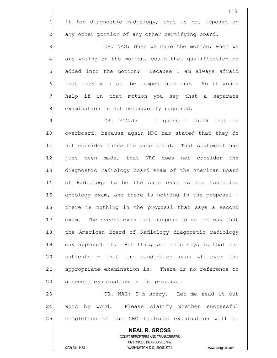119 1 it for diagnostic radiology; that is not imposed on 2 any other portion of any other certifying board. 3 3 DR. NAG: When we make the motion, when we  $4$  are voting on the motion, could that qualification be 5 5 5 added into the motion? Because I am always afraid 6 6 follow hat they will all be lumped into one. So it would 7 help if in that motion you say that a separate 8 8 examination is not necessarily required. 9 DR. EGGLI: I guess I think that is 10 overboard, because again NRC has stated that they do 11 | not consider these the same board. That statement has 12 just been made, that NRC does not consider the 13 diagnostic radiology board exam of the American Board 14 of Radiology to be the same exam as the radiation 15 oncology exam, and there is nothing in the proposal -16 there is nothing in the proposal that says a second 17 exam. The second exam just happens to be the way that 18 the American Board of Radiology diagnostic radiology 19 may approach it. But this, all this says is that the 20 patients - that the candidates pass whatever the 21| appropriate examination is. There is no reference to  $22$  a second examination in the proposal. 23 DR. NAG: I'm sorry. Let me read it out 24 word by word. Please clarify whether successful 25 completion of the NRC tailored examination will be

 COURT REPORTERS AND TRANSCRIBERS 1323 RHODE ISLAND AVE., N.W. (202) 234-4433 WASHINGTON, D.C. 20005-3701 www.nealrgross.com

 **NEAL R. GROSS**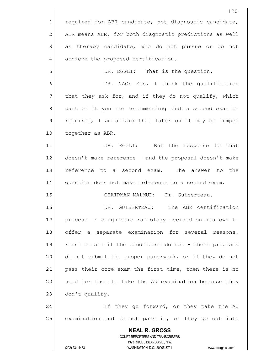|                 | 120                                                                 |
|-----------------|---------------------------------------------------------------------|
| $\mathbf{1}$    | required for ABR candidate, not diagnostic candidate,               |
| $\overline{2}$  | ABR means ABR, for both diagnostic predictions as well              |
| 3               | as therapy candidate, who do not pursue or do not                   |
| $\overline{4}$  | achieve the proposed certification.                                 |
| $5\overline{)}$ | DR. EGGLI: That is the question.                                    |
| $\epsilon$      | DR. NAG: Yes, I think the qualification                             |
| 7               | that they ask for, and if they do not qualify, which                |
| 8               | part of it you are recommending that a second exam be               |
| 9               | required, I am afraid that later on it may be lumped                |
| 10              | together as ABR.                                                    |
| 11              | DR. EGGLI: But the response to that                                 |
| 12              | doesn't make reference - and the proposal doesn't make              |
| 13              | reference to a second exam.<br>The<br>answer to the                 |
| 14              | question does not make reference to a second exam.                  |
| 15              | CHAIRMAN MALMUD: Dr. Guiberteau.                                    |
| 16              | The ABR certification<br>DR.<br>GUIBERTEAU:                         |
| 17              | process in diagnostic radiology decided on its own to               |
| 18              | offer a separate examination for several reasons.                   |
| 19              | First of all if the candidates do not - their programs              |
| 20              | do not submit the proper paperwork, or if they do not               |
| 21              | pass their core exam the first time, then there is no               |
| 22              | need for them to take the AU examination because they               |
| 23              | don't qualify.                                                      |
| 24              | If they go forward, or they take the AU                             |
| 25              | examination and do not pass it, or they go out into                 |
|                 | <b>NEAL R. GROSS</b>                                                |
|                 | COURT REPORTERS AND TRANSCRIBERS<br>1323 RHODE ISLAND AVE., N.W.    |
|                 | (202) 234-4433<br>WASHINGTON, D.C. 20005-3701<br>www.nealrgross.com |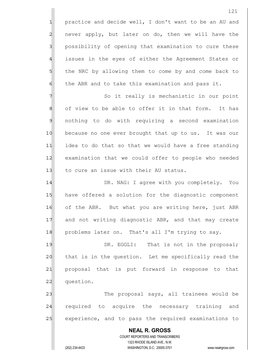1 practice and decide well, I don't want to be an AU and 2 never apply, but later on do, then we will have the 3 3 possibility of opening that examination to cure these 4 issues in the eyes of either the Agreement States or 5 the NRC by allowing them to come by and come back to  $6$  the ABR and to take this examination and pass it.

7 7 So it really is mechanistic in our point 8 of view to be able to offer it in that form. It has 9 nothing to do with requiring a second examination 10 because no one ever brought that up to us. It was our 11 idea to do that so that we would have a free standing 12 examination that we could offer to people who needed 13 to cure an issue with their AU status.

14 DR. NAG: I agree with you completely. You 15 have offered a solution for the diagnostic component 16 of the ABR. But what you are writing here, just ABR 17 and not writing diagnostic ABR, and that may create 18 problems later on. That's all I'm trying to say.

19 **DR. EGGLI:** That is not in the proposal; 20 that is in the question. Let me specifically read the 21 proposal that is put forward in response to that 22 question.

23 and trainees would be proposal says, all trainees would be 24 required to acquire the necessary training and 25 experience, and to pass the required examinations to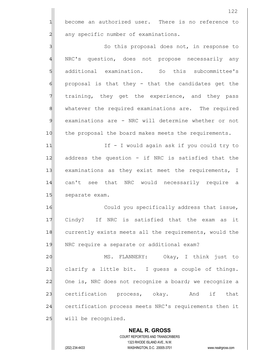122 1 become an authorized user. There is no reference to 2 any specific number of examinations. 3 | So this proposal does not, in response to 4 NRC's question, does not propose necessarily any 5 || additional examination. So this subcommittee's  $6$  proposal is that they - that the candidates get the 7 Training, they get the experience, and they pass 8 8 Mediculer whatever the required examinations are. The required 9 examinations are - NRC will determine whether or not 10 the proposal the board makes meets the requirements. 11 II I I would again ask if you could try to 12 address the question - if NRC is satisfied that the 13 examinations as they exist meet the requirements, I 14 can't see that NRC would necessarily require a 15 separate exam. 16 Could you specifically address that issue, 17 Cindy? If NRC is satisfied that the exam as it 18 currently exists meets all the requirements, would the 19 NRC require a separate or additional exam?

20 MS. FLANNERY: Okay, I think just to  $21$  clarify a little bit. I guess a couple of things. 22 One is, NRC does not recognize a board; we recognize a 23 certification process, okay. And if that 24 certification process meets NRC's requirements then it 25 will be recognized.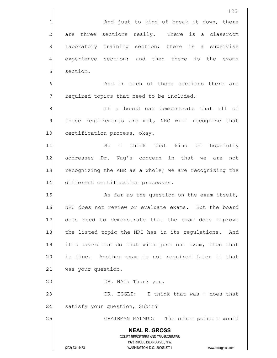**NEAL R. GROSS** COURT REPORTERS AND TRANSCRIBERS 1323 RHODE ISLAND AVE., N.W. (202) 234-4433 WASHINGTON, D.C. 20005-3701 www.nealrgross.com 123 1 and just to kind of break it down, there 2 are three sections really. There is a classroom 3 laboratory training section; there is a supervise 4 experience section; and then there is the exams 5 section. 6 6 And in each of those sections there are  $7$  required topics that need to be included. 8 8 8 If a board can demonstrate that all of 9 those requirements are met, NRC will recognize that 10 certification process, okay. 11 So I think that kind of hopefully 12 addresses Dr. Nag's concern in that we are not 13 recognizing the ABR as a whole; we are recognizing the 14 different certification processes. 15 As far as the question on the exam itself, 16 NRC does not review or evaluate exams. But the board 17 does need to demonstrate that the exam does improve 18 the listed topic the NRC has in its regulations. And 19 if a board can do that with just one exam, then that 20 is fine. Another exam is not required later if that 21 was your question. 22 | DR. NAG: Thank you. 23 DR. EGGLI: I think that was - does that 24 satisfy your question, Subir? 25 CHAIRMAN MALMUD: The other point I would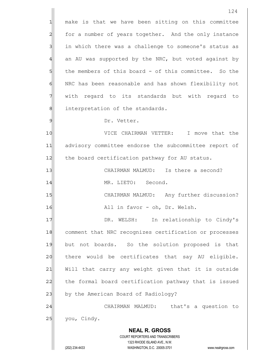**NEAL R. GROSS** COURT REPORTERS AND TRANSCRIBERS 1323 RHODE ISLAND AVE., N.W. (202) 234-4433 WASHINGTON, D.C. 20005-3701 www.nealrgross.com 124 1 make is that we have been sitting on this committee 2 for a number of years together. And the only instance 3 3 in which there was a challenge to someone's status as  $4$  an AU was supported by the NRC, but voted against by  $5$  the members of this board - of this committee. So the 6 | NRC has been reasonable and has shown flexibility not 7 With regard to its standards but with regard to 8 8 interpretation of the standards. 9 Dr. Vetter. 10 VICE CHAIRMAN VETTER: I move that the 11 advisory committee endorse the subcommittee report of 12 the board certification pathway for AU status. 13 CHAIRMAN MALMUD: Is there a second? 14 MR. LIETO: Second. 15 CHAIRMAN MALMUD: Any further discussion? 16 all in favor - oh, Dr. Welsh. 17 | DR. WELSH: In relationship to Cindy's 18 comment that NRC recognizes certification or processes 19 but not boards. So the solution proposed is that 20 there would be certificates that say AU eligible. 21 Will that carry any weight given that it is outside 22 the formal board certification pathway that is issued 23 by the American Board of Radiology? 24 CHAIRMAN MALMUD: that's a question to 25 you, Cindy.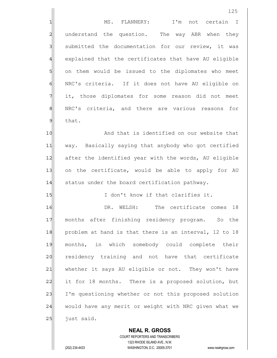|                | 125                                                    |
|----------------|--------------------------------------------------------|
| 1              | I'm not certain<br>MS. FLANNERY:<br>$\mathbb{I}$       |
| $\overline{c}$ | understand the question. The way ABR when they         |
| 3              | submitted the documentation for our review, it was     |
| 4              | explained that the certificates that have AU eligible  |
| 5              | on them would be issued to the diplomates who meet     |
| 6              | NRC's criteria. If it does not have AU eligible on     |
| 7              | it, those diplomates for some reason did not meet      |
| 8              | NRC's criteria, and there are various reasons<br>for   |
| $\mathcal{Q}$  | that.                                                  |
| 10             | And that is identified on our website that             |
| 11             | way. Basically saying that anybody who got certified   |
| 12             | after the identified year with the words, AU eligible  |
| 13             | on the certificate, would be able to apply for AU      |
| 14             | status under the board certification pathway.          |
| 15             | I don't know if that clarifies it.                     |
| 16             | The certificate comes<br>DR.<br>18<br>WELSH:           |
| 17             | months after finishing residency program. So the       |
| 18             | problem at hand is that there is an interval, 12 to 18 |
| 19             | months, in which somebody could complete their         |
| 20             | residency training and not have that certificate       |
| 21             | whether it says AU eligible or not. They won't have    |
| 22             | it for 18 months. There is a proposed solution, but    |
| 23             | I'm questioning whether or not this proposed solution  |
| 24             | would have any merit or weight with NRC given what we  |
| 25             | just said.                                             |
|                | <b>NEAL R. GROSS</b>                                   |

 COURT REPORTERS AND TRANSCRIBERS 1323 RHODE ISLAND AVE., N.W.

 $\mathbf{I}$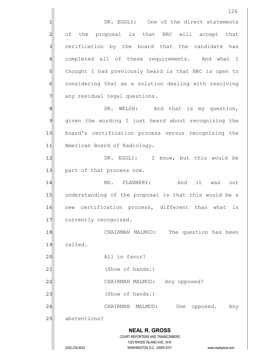126 1 DR. EGGLI: One of the direct statements 2 of the proposal is that NRC will accept that 3 verification by the board that the candidate has 4 completed all of these requirements. And what I 5 5 5 5 thought I had previously heard is that NRC is open to 6 6 6 considering that as a solution dealing with resolving 7 any residual legal questions. 8 8 B. WELSH: And that is my question, 9 given the wording I just heard about recognizing the 10 board's certification process versus recognizing the 11 American Board of Radiology. 12 | DR. EGGLI: I know, but this would be 13 part of that process now. 14 MS. FLANNERY: And it was our 15 understanding of the proposal is that this would be a 16 new certification process, different than what is 17 currently recognized. 18 CHAIRMAN MALMUD: The question has been 19 called. 20 All in favor? 21 (Show of hands.) 22 | CHAIRMAN MALMUD: Any opposed? 23 | (Show of hands.) 24 CHAIRMAN MALMUD: One opposed. Any

25 abstentions?

## **NEAL R. GROSS** COURT REPORTERS AND TRANSCRIBERS 1323 RHODE ISLAND AVE., N.W.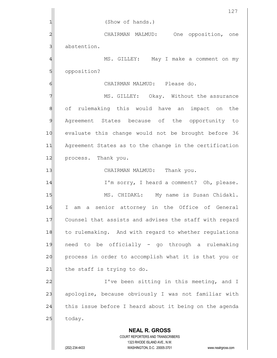|    | 127                                                                                                                                     |
|----|-----------------------------------------------------------------------------------------------------------------------------------------|
| 1  | (Show of hands.)                                                                                                                        |
| 2  | CHAIRMAN MALMUD:<br>One opposition, one                                                                                                 |
| 3  | abstention.                                                                                                                             |
| 4  | MS. GILLEY: May I make a comment on my                                                                                                  |
| 5  | opposition?                                                                                                                             |
| 6  | CHAIRMAN MALMUD: Please do.                                                                                                             |
| 7  | MS. GILLEY: Okay. Without the assurance                                                                                                 |
| 8  | of rulemaking this would have an impact on<br>the                                                                                       |
| 9  | Agreement States because of the opportunity to                                                                                          |
| 10 | evaluate this change would not be brought before 36                                                                                     |
| 11 | Agreement States as to the change in the certification                                                                                  |
| 12 | process. Thank you.                                                                                                                     |
| 13 | CHAIRMAN MALMUD: Thank you.                                                                                                             |
| 14 | I'm sorry, I heard a comment? Oh, please.                                                                                               |
| 15 | MS. CHIDAKL: My name is Susan Chidakl.                                                                                                  |
| 16 | senior attorney in the Office of General<br>Ι<br>a<br>am                                                                                |
| 17 | Counsel that assists and advises the staff with regard                                                                                  |
| 18 | to rulemaking. And with regard to whether regulations                                                                                   |
| 19 | need to be officially - go through a rulemaking                                                                                         |
| 20 | process in order to accomplish what it is that you or                                                                                   |
| 21 | the staff is trying to do.                                                                                                              |
| 22 | I've been sitting in this meeting, and I                                                                                                |
| 23 | apologize, because obviously I was not familiar with                                                                                    |
| 24 | this issue before I heard about it being on the agenda                                                                                  |
| 25 | today.                                                                                                                                  |
|    | <b>NEAL R. GROSS</b>                                                                                                                    |
|    | COURT REPORTERS AND TRANSCRIBERS<br>1323 RHODE ISLAND AVE., N.W.<br>(202) 234-4433<br>WASHINGTON, D.C. 20005-3701<br>www.nealrgross.com |
|    |                                                                                                                                         |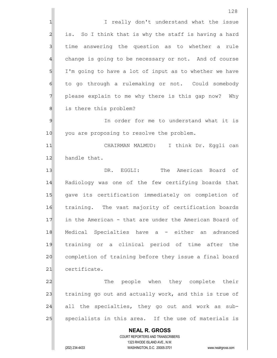|                | 128                                                                 |
|----------------|---------------------------------------------------------------------|
| 1              | I really don't understand what the issue                            |
| $\overline{c}$ | is. So I think that is why the staff is having a hard               |
| 3              | time answering the question as to whether a rule                    |
| 4              | change is going to be necessary or not. And of course               |
| 5              | I'm going to have a lot of input as to whether we have              |
| 6              | to go through a rulemaking or not. Could somebody                   |
| 7              | please explain to me why there is this gap now? Why                 |
| 8              | is there this problem?                                              |
| 9              | In order for me to understand what it is                            |
| 10             | you are proposing to resolve the problem.                           |
| 11             | CHAIRMAN MALMUD: I think Dr. Eggli can                              |
| 12             | handle that.                                                        |
| 13             | The American Board<br>DR. EGGLI:<br>of                              |
| 14             | Radiology was one of the few certifying boards that                 |
| 15             | gave its certification immediately on completion of                 |
| 16             | training. The vast majority of certification boards                 |
| 17             | in the American - that are under the American Board of              |
| 18             | Medical Specialties have a - either an<br>advanced                  |
| 19             | training or a clinical period of time after the                     |
| 20             | completion of training before they issue a final board              |
| 21             | certificate.                                                        |
| 22             | The people when they complete their                                 |
| 23             | training go out and actually work, and this is true of              |
| 24             | all the specialties, they go out and work as sub-                   |
| 25             | specialists in this area. If the use of materials is                |
|                | <b>NEAL R. GROSS</b>                                                |
|                | COURT REPORTERS AND TRANSCRIBERS<br>1323 RHODE ISLAND AVE., N.W.    |
|                | (202) 234-4433<br>WASHINGTON, D.C. 20005-3701<br>www.nealrgross.com |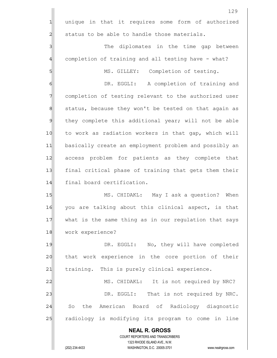|                 | 129                                                                                                 |
|-----------------|-----------------------------------------------------------------------------------------------------|
| $\mathbf{1}$    | unique in that it requires some form of authorized                                                  |
| $\overline{c}$  | status to be able to handle those materials.                                                        |
| $\overline{3}$  | The diplomates in the time gap between                                                              |
| $\overline{4}$  | completion of training and all testing have - what?                                                 |
| $5\overline{)}$ | MS. GILLEY: Completion of testing.                                                                  |
| 6               | DR. EGGLI: A completion of training and                                                             |
| 7               | completion of testing relevant to the authorized user                                               |
| 8               | status, because they won't be tested on that again as                                               |
| $\mathfrak{g}$  | they complete this additional year; will not be able                                                |
| 10              | to work as radiation workers in that gap, which will                                                |
| 11              | basically create an employment problem and possibly an                                              |
| 12              | access problem for patients as they complete that                                                   |
| 13              | final critical phase of training that gets them their                                               |
| 14              | final board certification.                                                                          |
| 15              | MS. CHIDAKL: May I ask a question?<br>When                                                          |
| 16              | you are talking about this clinical aspect, is that                                                 |
| 17              | what is the same thing as in our regulation that says                                               |
| 18              | work experience?                                                                                    |
| 19              | DR. EGGLI: No, they will have completed                                                             |
| 20              | that work experience in the core portion of their                                                   |
| 21              | training. This is purely clinical experience.                                                       |
| 22              | MS. CHIDAKL: It is not required by NRC?                                                             |
| 23              | DR. EGGLI: That is not required by NRC.                                                             |
| 24              | So the American Board of Radiology diagnostic                                                       |
| 25              | radiology is modifying its program to come in line                                                  |
|                 | <b>NEAL R. GROSS</b>                                                                                |
|                 | COURT REPORTERS AND TRANSCRIBERS                                                                    |
|                 | 1323 RHODE ISLAND AVE., N.W.<br>(202) 234-4433<br>WASHINGTON, D.C. 20005-3701<br>www.nealrgross.com |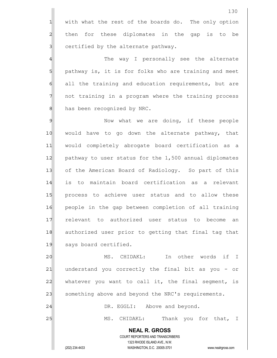130 1 with what the rest of the boards do. The only option 2 all then for these diplomates in the gap is to be 3 3 certified by the alternate pathway. 4 and the way I personally see the alternate 5 pathway is, it is for folks who are training and meet 6 6 all the training and education requirements, but are 7 not training in a program where the training process 8 has been recognized by NRC. 9 Mow what we are doing, if these people 10 would have to go down the alternate pathway, that 11 would completely abrogate board certification as a 12 pathway to user status for the 1,500 annual diplomates 13 of the American Board of Radiology. So part of this 14 is to maintain board certification as a relevant 15 process to achieve user status and to allow these 16 people in the gap between completion of all training 17 relevant to authorized user status to become an 18 authorized user prior to getting that final tag that 19 says board certified. 20 MS. CHIDAKL: In other words if I 21 | understand you correctly the final bit as you - or 22 whatever you want to call it, the final segment, is 23 something above and beyond the NRC's requirements.

24 DR. EGGLI: Above and beyond.

25 MS. CHIDAKL: Thank you for that, I

 **NEAL R. GROSS** COURT REPORTERS AND TRANSCRIBERS 1323 RHODE ISLAND AVE., N.W.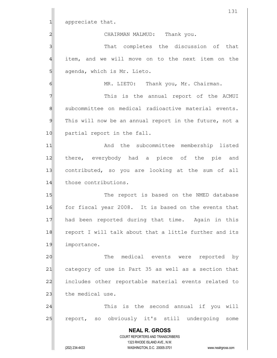|                | 131                                                                 |
|----------------|---------------------------------------------------------------------|
| 1              | appreciate that.                                                    |
| 2              | CHAIRMAN MALMUD:<br>Thank you.                                      |
| 3              | That completes the discussion of that                               |
| 4              | item, and we will move on to the next item on the                   |
| 5              | agenda, which is Mr. Lieto.                                         |
| 6              | MR. LIETO: Thank you, Mr. Chairman.                                 |
| 7              | This is the annual report of the ACMUI                              |
| 8              | subcommittee on medical radioactive material events.                |
| $\mathfrak{S}$ | This will now be an annual report in the future, not a              |
| 10             | partial report in the fall.                                         |
| 11             | And the subcommittee membership listed                              |
| 12             | there, everybody had a piece of the pie<br>and                      |
| 13             | contributed, so you are looking at the sum of all                   |
| 14             | those contributions.                                                |
| 15             | The report is based on the NMED database                            |
| 16             | for fiscal year 2008. It is based on the events that                |
| 17             | had been reported during that time. Again in this                   |
| 18             | report I will talk about that a little further and its              |
| 19             | importance.                                                         |
| 20             | The medical events were reported by                                 |
| 21             | category of use in Part 35 as well as a section that                |
| 22             | includes other reportable material events related to                |
| 23             | the medical use.                                                    |
| 24             | This is the second annual if you will                               |
| 25             | report, so obviously it's still undergoing some                     |
|                | <b>NEAL R. GROSS</b>                                                |
|                | COURT REPORTERS AND TRANSCRIBERS<br>1323 RHODE ISLAND AVE., N.W.    |
|                | (202) 234-4433<br>WASHINGTON, D.C. 20005-3701<br>www.nealrgross.com |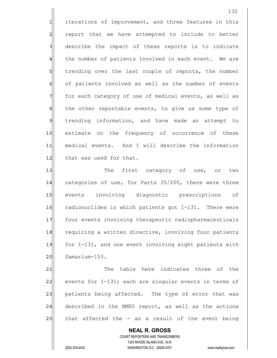1 iterations of improvement, and three features in this 2 report that we have attempted to include to better 3 3 describe the impact of these reports is to indicate 4 the number of patients involved in each event. We are 5 5 5 5 trending over the last couple of reports, the number 6 of patients involved as well as the number of events 7 for each category of use of medical events, as well as 8 8 8 the other reportable events, to give us some type of 9 fill trending information, and have made an attempt to 10 estimate on the frequency of occurrence of these 11| medical events. And I will describe the information 12 that was used for that.

13 The first category of use, or two 14 categories of use, for Parts 35/200, there were three 15 events involving diagnostic prescriptions of 16 radionuclides in which patients got I-131. There were 17 four events involving therapeutic radiopharmaceuticals 18 requiring a written directive, involving four patients 19 for I-131, and one event involving eight patients with 20 Samarium-153.

21 The table here indicates three of the 22 events for  $I-131$ ; each are singular events in terms of 23 patients being affected. The type of error that was 24 described in the NMED report, as well as the actions  $25$  that affected the - as a result of the event being

 COURT REPORTERS AND TRANSCRIBERS 1323 RHODE ISLAND AVE., N.W. (202) 234-4433 WASHINGTON, D.C. 20005-3701 www.nealrgross.com

 **NEAL R. GROSS**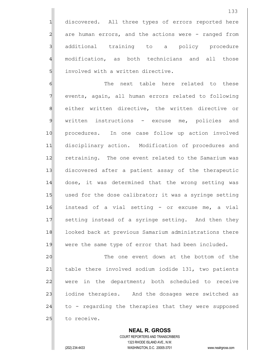1 discovered. All three types of errors reported here  $2$  are human errors, and the actions were - ranged from 3 additional training to a policy procedure 4 modification, as both technicians and all those 5 involved with a written directive.

6 6 The next table here related to these 7 events, again, all human errors related to following 8 either written directive, the written directive or 9 written instructions - excuse me, policies and 10 procedures. In one case follow up action involved 11 disciplinary action. Modification of procedures and 12 retraining. The one event related to the Samarium was 13 discovered after a patient assay of the therapeutic 14 dose, it was determined that the wrong setting was 15 used for the dose calibrator; it was a syringe setting 16 instead of a vial setting - or excuse me, a vial 17 Setting instead of a syringe setting. And then they 18 looked back at previous Samarium administrations there 19 were the same type of error that had been included.

20 The one event down at the bottom of the 21 table there involved sodium iodide 131, two patients 22 were in the department; both scheduled to receive 23 iodine therapies. And the dosages were switched as  $24$  to - regarding the therapies that they were supposed 25 to receive.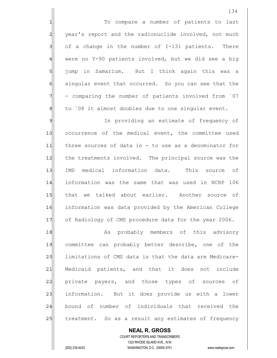1 1 To compare a number of patients to last 2 year's report and the radionuclide involved, not much  $3$  of a change in the number of I-131 patients. There  $4$  were no Y-90 patients involved, but we did see a big 5 jump in Samarium. But I think again this was a 6 6 singular event that occurred. So you can see that the  $7$  - comparing the number of patients involved from  $07$  $\|$  to `08 it almost doubles due to one singular event.

9 Section 11 In providing an estimate of frequency of 10 occurrence of the medical event, the committee used 11 three sources of data in - to use as a denominator for 12 the treatments involved. The principal source was the 13 IMD medical information data. This source of 14 | information was the same that was used in NCRP 106 15 that we talked about earlier. Another source of 16 information was data provided by the American College 17 of Radiology of CMS procedure data for the year 2006.

18 as probably members of this advisory 19 committee can probably better describe, one of the 20 limitations of CMS data is that the data are Medicare-21 Medicaid patients, and that it does not include 22 private payers, and those types of sources of 23 information. But it does provide us with a lower 24 bound of number of individuals that received the 25 treatment. So as a result any estimates of frequency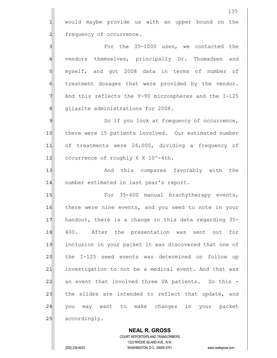1 would maybe provide us with an upper bound on the 2 frequency of occurrence.

3 **S** For the 35-1000 uses, we contacted the 4 vendors themselves, principally Dr. Thomadsen and 5 myself, and got 2008 data in terms of number of 6 fold treatment dosages that were provided by the vendor.  $7$  And this reflects the Y-90 microspheres and the I-125 8 || Gliasite administrations for 2008.

9 So if you look at frequency of occurrence, 10 there were 15 patients involved. Our estimated number 11 of treatments were 26,000, dividing a frequency of 12 $\vert$  occurrence of roughly 6 X 10^-4th.

13 and this compares favorably with the 14 number estimated in last year's report.

15 For 35-400 manual brachytherapy events, 16 there were nine events, and you need to note in your 17 handout, there is a change in this data regarding 35-18 400. After the presentation was sent out for 19 inclusion in your packet it was discovered that one of 20 the I-125 seed events was determined on follow up 21 investigation to not be a medical event. And that was 22 an event that involved three VA patients. So this -23 the slides are intended to reflect that update, and 24 | you may want to make changes in your packet 25 accordingly.

 **NEAL R. GROSS** COURT REPORTERS AND TRANSCRIBERS 1323 RHODE ISLAND AVE., N.W. (202) 234-4433 WASHINGTON, D.C. 20005-3701 www.nealrgross.com

135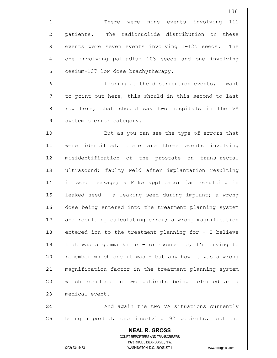1 1 There were nine events involving 111 2 patients. The radionuclide distribution on these  $3$  events were seven events involving  $I-125$  seeds. The 4 one involving palladium 103 seeds and one involving 5 cesium-137 low dose brachytherapy.

6 6 Looking at the distribution events, I want  $7$  to point out here, this should in this second to last 8 8 8 row here, that should say two hospitals in the VA 9 systemic error category.

10 But as you can see the type of errors that 11 were identified, there are three events involving 12 misidentification of the prostate on trans-rectal 13 ultrasound; faulty weld after implantation resulting 14 in seed leakage; a Mike applicator jam resulting in 15 leaked seed - a leaking seed during implant; a wrong 16 dose being entered into the treatment planning system 17 and resulting calculating error; a wrong magnification 18 entered inn to the treatment planning for - I believe 19 that was a gamma knife - or excuse me, I'm trying to 20 remember which one it was - but any how it was a wrong 21 magnification factor in the treatment planning system 22 which resulted in two patients being referred as a 23 medical event.

24 | Casa and again the two VA situations currently 25 being reported, one involving 92 patients, and the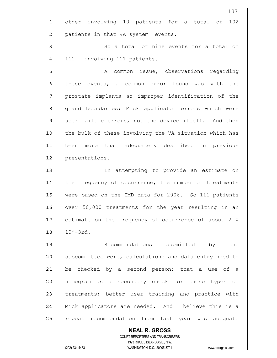|                | <b>NEAL R. GROSS</b><br><b>COURT REPORTERS AND TRANSCRIBERS</b> |
|----------------|-----------------------------------------------------------------|
| 25             | repeat recommendation from last year was<br>adequate            |
| 24             | Mick applicators are needed. And I believe this is a            |
| 23             | treatments; better user training and practice with              |
| 22             | nomogram as a secondary check for these types of                |
| 21             | be checked by a second person; that a use of a                  |
| 20             | subcommittee were, calculations and data entry need to          |
| 19             | Recommendations submitted<br>by<br>the                          |
| 18             | $10^{\wedge} - 3rd.$                                            |
| 17             | estimate on the frequency of occurrence of about 2 X            |
| 16             | over 50,000 treatments for the year resulting in an             |
| 15             | were based on the IMD data for 2006. So 111 patients            |
| 14             | the frequency of occurrence, the number of treatments           |
| 13             | In attempting to provide an estimate on                         |
| 12             | presentations.                                                  |
| 11             | been more than adequately described in previous                 |
| 10             | the bulk of these involving the VA situation which has          |
| $\mathfrak{g}$ | user failure errors, not the device itself. And then            |
| $\mathsf g$    | gland boundaries; Mick applicator errors which were             |
| $\overline{7}$ | prostate implants an improper identification of the             |
| $\epsilon$     | these events, a common error found was with the                 |
| $\overline{5}$ | common issue, observations regarding<br>A                       |
| $\overline{4}$ | 111 - involving 111 patients.                                   |
| $\overline{3}$ | So a total of nine events for a total of                        |
| $\overline{2}$ | patients in that VA system events.                              |
| $\mathbf{1}$   | other involving 10 patients for a total of<br>102               |
|                | 137                                                             |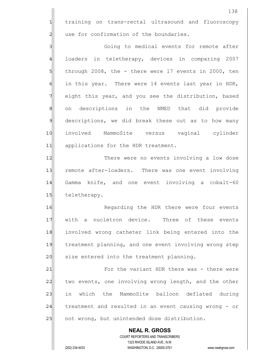1 training on trans-rectal ultrasound and fluoroscopy 2 use for confirmation of the boundaries.

3 3 Going to medical events for remote after 4 loaders in teletherapy, devices in comparing 2007  $5$  through 2008, the - there were 17 events in 2000, ten 6 6 in this year. There were 14 events last year in HDR, 7 eight this year, and you see the distribution, based 8 on descriptions in the NMED that did provide 9 descriptions, we did break these out as to how many 10 involved MammoSite versus vaginal cylinder 11 applications for the HDR treatment.

12|| There were no events involving a low dose 13 remote after-loaders. There was one event involving 14 Gamma knife, and one event involving a cobalt-60 15 teletherapy.

16 Regarding the HDR there were four events 17 With a nucletron device. Three of these events 18 involved wrong catheter link being entered into the 19 treatment planning, and one event involving wrong step 20 size entered into the treatment planning.

21 **For the variant HDR there was - there were** 22 two events, one involving wrong length, and the other 23 in which the MammoSite balloon deflated during  $24$  treatment and resulted in an event causing wrong - or 25 | not wrong, but unintended dose distribution.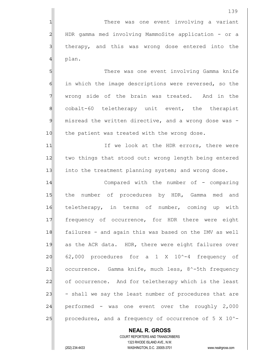139

4 plan.

5 S 6 6 in which the image descriptions were reversed, so the 7 wrong side of the brain was treated. And in the 8 cobalt-60 teletherapy unit event, the therapist 9 misread the written directive, and a wrong dose was -10 the patient was treated with the wrong dose.

11| The look at the HDR errors, there were 12 two things that stood out: wrong length being entered 13 into the treatment planning system; and wrong dose.

14 Compared with the number of - comparing 15 the number of procedures by HDR, Gamma med and 16 teletherapy, in terms of number, coming up with 17 frequency of occurrence, for HDR there were eight 18 failures - and again this was based on the IMV as well 19 as the ACR data. HDR, there were eight failures over  $20$  62,000 procedures for a 1 X 10^-4 frequency of 21 occurrence. Gamma knife, much less, 8^-5th frequency 22 of occurrence. And for teletherapy which is the least  $23$  - shall we say the least number of procedures that are  $24$  performed - was one event over the roughly 2,000 25 procedures, and a frequency of occurrence of  $5 \times 10^{-2}$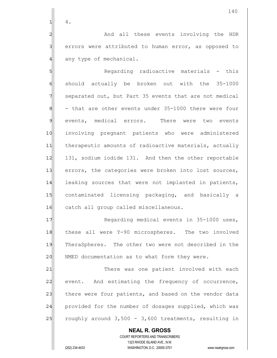$1$  4.

2 and all these events involving the HDR 3 errors were attributed to human error, as opposed to 4 any type of mechanical.

5 **S** Regarding radioactive materials - this  $6$  should actually be broken out with the 35-1000  $7$  separated out, but Part 35 events that are not medical  $8$  - that are other events under 35-1000 there were four 9 events, medical errors. There were two events 10 involving pregnant patients who were administered 11 therapeutic amounts of radioactive materials, actually 12 131, sodium iodide 131. And then the other reportable 13 errors, the categories were broken into lost sources, 14 leaking sources that were not implanted in patients, 15 contaminated licensing packaging, and basically a 16 catch all group called miscellaneous.

17 Regarding medical events in 35-1000 uses, 18 these all were Y-90 microspheres. The two involved 19 TheraSpheres. The other two were not described in the 20 NMED documentation as to what form they were.

21 There was one patient involved with each 22 event. And estimating the frequency of occurrence, 23 there were four patients, and based on the vendor data 24 provided for the number of dosages supplied, which was  $25$  roughly around  $3,500 - 3,600$  treatments, resulting in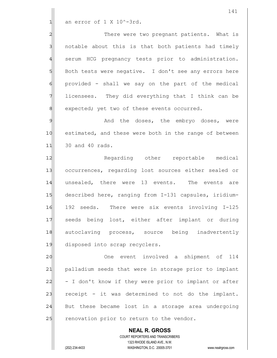$1$  an error of 1 X 10^-3rd.

2 2 There were two pregnant patients. What is 3 3 10 notable about this is that both patients had timely 4 serum HCG pregnancy tests prior to administration. 5 Both tests were negative. I don't see any errors here  $6$  provided - shall we say on the part of the medical  $7$  licensees. They did everything that I think can be 8 8 expected; yet two of these events occurred.

9 Merry 2018 And the doses, the embryo doses, were 10 estimated, and these were both in the range of between 11 30 and 40 rads.

12 Regarding other reportable medical 13| occurrences, regarding lost sources either sealed or 14 unsealed, there were 13 events. The events are 15 described here, ranging from I-131 capsules, iridium-16 192 seeds. There were six events involving I-125 17 seeds being lost, either after implant or during 18 autoclaving process, source being inadvertently 19 disposed into scrap recyclers.

20 One event involved a shipment of 114 21| palladium seeds that were in storage prior to implant 22 - I don't know if they were prior to implant or after 23 receipt - it was determined to not do the implant. 24 But these became lost in a storage area undergoing 25 renovation prior to return to the vendor.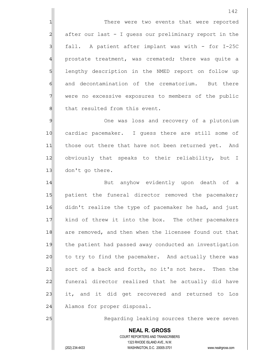1 There were two events that were reported  $2$  after our last - I guess our preliminary report in the  $3$  fall. A patient after implant was with - for I-25C 4 prostate treatment, was cremated; there was quite a 5 SI lengthy description in the NMED report on follow up 6 6 and decontamination of the crematorium. But there 7 Were no excessive exposures to members of the public 8 8 that resulted from this event.

9 9 One was loss and recovery of a plutonium 10 cardiac pacemaker. I quess there are still some of 11 those out there that have not been returned yet. And 12 obviously that speaks to their reliability, but I 13 don't go there.

14 But anyhow evidently upon death of a 15 | patient the funeral director removed the pacemaker; 16 didn't realize the type of pacemaker he had, and just 17 kind of threw it into the box. The other pacemakers 18 are removed, and then when the licensee found out that 19 the patient had passed away conducted an investigation 20 to try to find the pacemaker. And actually there was 21 sort of a back and forth, no it's not here. Then the 22 funeral director realized that he actually did have 23 it, and it did get recovered and returned to Los 24 Alamos for proper disposal.

25 Regarding leaking sources there were seven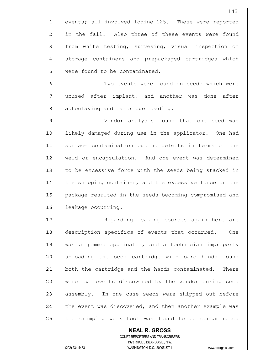143 1 events; all involved iodine-125. These were reported 2 in the fall. Also three of these events were found 3 3| from white testing, surveying, visual inspection of 4 storage containers and prepackaged cartridges which 5 Solve were found to be contaminated. 6 6 Two events were found on seeds which were 7 unused after implant, and another was done after 8 8 autoclaving and cartridge loading. 9 Vendor analysis found that one seed was 10 likely damaged during use in the applicator. One had 11 surface contamination but no defects in terms of the 12 weld or encapsulation. And one event was determined 13 to be excessive force with the seeds being stacked in 14 the shipping container, and the excessive force on the 15 | package resulted in the seeds becoming compromised and 16 leakage occurring. 17 Regarding leaking sources again here are 18 description specifics of events that occurred. One 19 was a jammed applicator, and a technician improperly 20 unloading the seed cartridge with bare hands found 21 both the cartridge and the hands contaminated. There 22 were two events discovered by the vendor during seed

23 assembly. In one case seeds were shipped out before 24 the event was discovered, and then another example was 25 | the crimping work tool was found to be contaminated

 COURT REPORTERS AND TRANSCRIBERS 1323 RHODE ISLAND AVE., N.W. (202) 234-4433 WASHINGTON, D.C. 20005-3701 www.nealrgross.com

 **NEAL R. GROSS**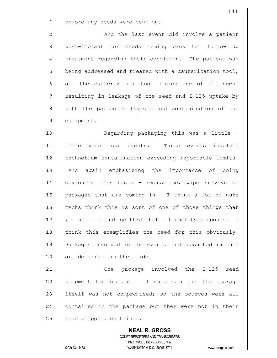$1$  before any seeds were sent out.

2 and the last event did involve a patient 3 | post-implant for seeds coming back for follow up 4 treatment regarding their condition. The patient was  $5$  being addressed and treated with a cauterization tool, 6 and the cauterization tool nicked one of the seeds  $7$  resulting in leakage of the seed and I-125 uptake by 8 both the patient's thyroid and contamination of the 9 equipment.

10 Regarding packaging this was a little -11 there were four events. Three events involved 12 technetium contamination exceeding reportable limits. 13 And again emphasizing the importance of doing 14 obviously leak tests - excuse me, wipe surveys on 15 | packages that are coming in. I think a lot of nuke 16 techs think this is sort of one of those things that 17 you need to just go through for formality purposes. I 18 think this exemplifies the need for this obviously. 19 Packages involved in the events that resulted in this 20 are described in the slide.

21 One package involved the I-125 seed 22 Shipment for implant. It came open but the package 23 itself was not compromised; so the sources were all 24 contained in the package but they were not in their 25 lead shipping container.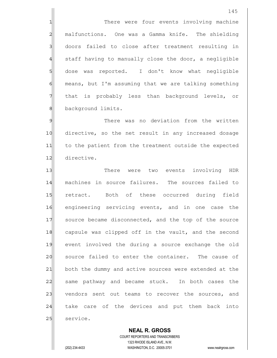1 There were four events involving machine 2 malfunctions. One was a Gamma knife. The shielding 3 doors failed to close after treatment resulting in  $4$  staff having to manually close the door, a negligible 5 dose was reported. I don't know what negligible 6 means, but I'm assuming that we are talking something 7 That is probably less than background levels, or 8 background limits.

9 9 There was no deviation from the written 10 directive, so the net result in any increased dosage 11 to the patient from the treatment outside the expected 12 directive.

13 There were two events involving HDR 14 machines in source failures. The sources failed to 15 retract. Both of these occurred during field 16 engineering servicing events, and in one case the 17 Source became disconnected, and the top of the source 18 capsule was clipped off in the vault, and the second 19 event involved the during a source exchange the old 20 source failed to enter the container. The cause of 21 both the dummy and active sources were extended at the 22 Same pathway and became stuck. In both cases the 23 vendors sent out teams to recover the sources, and 24 take care of the devices and put them back into 25 service.

 **NEAL R. GROSS** COURT REPORTERS AND TRANSCRIBERS 1323 RHODE ISLAND AVE., N.W. (202) 234-4433 WASHINGTON, D.C. 20005-3701 www.nealrgross.com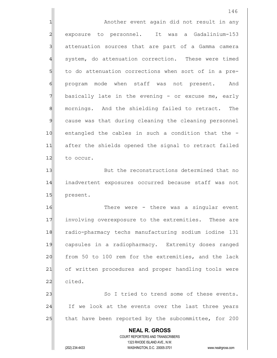|                | 146                                                                                                 |
|----------------|-----------------------------------------------------------------------------------------------------|
| 1              | Another event again did not result in any                                                           |
| $\overline{a}$ | exposure to personnel. It was a Gadalinium-153                                                      |
| 3              | attenuation sources that are part of a Gamma camera                                                 |
| $\overline{4}$ | system, do attenuation correction. These were timed                                                 |
| 5              | to do attenuation corrections when sort of in a pre-                                                |
| $\epsilon$     | program mode when staff was not present. And                                                        |
| 7              | basically late in the evening - or excuse me, early                                                 |
| 8              | mornings. And the shielding failed to retract.<br>The                                               |
| $\mathfrak{g}$ | cause was that during cleaning the cleaning personnel                                               |
| 10             | entangled the cables in such a condition that the -                                                 |
| 11             | after the shields opened the signal to retract failed                                               |
| 12             | to occur.                                                                                           |
| 13             | But the reconstructions determined that no                                                          |
| 14             | inadvertent exposures occurred because staff was not                                                |
| 15             | present.                                                                                            |
| 16             | There were - there was a singular event                                                             |
| 17             | involving overexposure to the extremities. These are                                                |
| 18             | radio-pharmacy techs manufacturing sodium iodine 131                                                |
| 19             | capsules in a radiopharmacy. Extremity doses ranged                                                 |
| 20             | from 50 to 100 rem for the extremities, and the lack                                                |
| 21             | of written procedures and proper handling tools were                                                |
| 22             | cited.                                                                                              |
| 23             | So I tried to trend some of these events.                                                           |
| 24             | If we look at the events over the last three years                                                  |
| 25             | that have been reported by the subcommittee, for 200                                                |
|                | <b>NEAL R. GROSS</b>                                                                                |
|                | COURT REPORTERS AND TRANSCRIBERS                                                                    |
|                | 1323 RHODE ISLAND AVE., N.W.<br>(202) 234-4433<br>WASHINGTON, D.C. 20005-3701<br>www.nealrgross.com |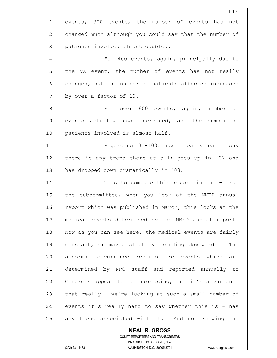|                | 147                                                                                                 |
|----------------|-----------------------------------------------------------------------------------------------------|
| $\mathbf{1}$   | events, 300 events, the number of events has<br>not                                                 |
| $\overline{a}$ | changed much although you could say that the number of                                              |
| $\mathbf{3}$   | patients involved almost doubled.                                                                   |
| $\overline{4}$ | For 400 events, again, principally due to                                                           |
| 5              | the VA event, the number of events has not really                                                   |
| 6              | changed, but the number of patients affected increased                                              |
| 7              | by over a factor of 10.                                                                             |
| 8              | For over 600 events, again, number of                                                               |
| $\mathcal{Q}$  | events actually have decreased, and the number of                                                   |
| 10             | patients involved is almost half.                                                                   |
| 11             | Regarding 35-1000 uses really can't say                                                             |
| 12             | there is any trend there at all; goes up in 07 and                                                  |
| 13             | has dropped down dramatically in `08.                                                               |
| 14             | This to compare this report in the - from                                                           |
| 15             | the subcommittee, when you look at the NMED annual                                                  |
| 16             | report which was published in March, this looks at the                                              |
| 17             | medical events determined by the NMED annual report.                                                |
| 18             | Now as you can see here, the medical events are fairly                                              |
| 19             | constant, or maybe slightly trending downwards.<br>The                                              |
| 20             | abnormal occurrence reports are events which<br>are                                                 |
| 21             | determined by NRC staff and reported annually to                                                    |
| 22             | Congress appear to be increasing, but it's a variance                                               |
| 23             | that really - we're looking at such a small number of                                               |
| 24             | events it's really hard to say whether this is - has                                                |
| 25             | any trend associated with it. And not knowing the                                                   |
|                | <b>NEAL R. GROSS</b>                                                                                |
|                | COURT REPORTERS AND TRANSCRIBERS                                                                    |
|                | 1323 RHODE ISLAND AVE., N.W.<br>(202) 234-4433<br>WASHINGTON, D.C. 20005-3701<br>www.nealrgross.com |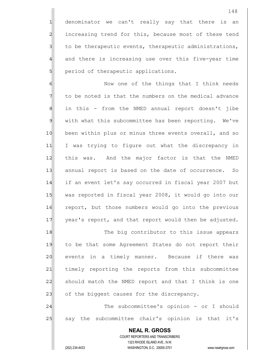1 denominator we can't really say that there is an 2 increasing trend for this, because most of these tend  $3$  to be therapeutic events, therapeutic administrations, 4 and there is increasing use over this five-year time 5 | period of therapeutic applications.

6 6 Now one of the things that I think needs 7 The to be noted is that the numbers on the medical advance 8 | in this - from the NMED annual report doesn't jibe 9 with what this subcommittee has been reporting. We've 10 been within plus or minus three events overall, and so 11 I was trying to figure out what the discrepancy in 12 | this was. And the major factor is that the NMED 13| annual report is based on the date of occurrence. So 14 if an event let's say occurred in fiscal year 2007 but 15 was reported in fiscal year 2008, it would go into our 16 report, but those numbers would go into the previous 17 year's report, and that report would then be adjusted.

18 The big contributor to this issue appears 19 to be that some Agreement States do not report their 20 events in a timely manner. Because if there was 21 | timely reporting the reports from this subcommittee 22 should match the NMED report and that I think is one 23 of the biggest causes for the discrepancy.

24 The subcommittee's opinion - or I should 25 | say the subcommittee chair's opinion is that it's

> **NEAL R. GROSS** COURT REPORTERS AND TRANSCRIBERS 1323 RHODE ISLAND AVE., N.W. (202) 234-4433 WASHINGTON, D.C. 20005-3701 www.nealrgross.com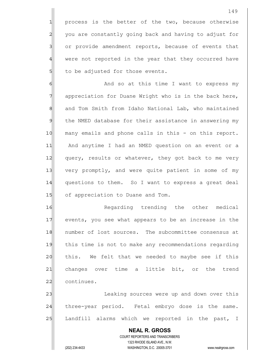1 process is the better of the two, because otherwise 2 you are constantly going back and having to adjust for 3 3 or provide amendment reports, because of events that 4 were not reported in the year that they occurred have 5 to be adjusted for those events.

6 6 And so at this time I want to express my 7 appreciation for Duane Wright who is in the back here, 8 and Tom Smith from Idaho National Lab, who maintained 9 the NMED database for their assistance in answering my 10 many emails and phone calls in this - on this report. 11 And anytime I had an NMED question on an event or a 12 query, results or whatever, they got back to me very 13 very promptly, and were quite patient in some of my 14 questions to them. So I want to express a great deal 15 of appreciation to Duane and Tom.

16 Regarding trending the other medical 17 events, you see what appears to be an increase in the 18 number of lost sources. The subcommittee consensus at 19 this time is not to make any recommendations regarding 20 this. We felt that we needed to maybe see if this 21 changes over time a little bit, or the trend 22 continues.

23 | Charlong sources were up and down over this 24 three-year period. Fetal embryo dose is the same. 25 Landfill alarms which we reported in the past, I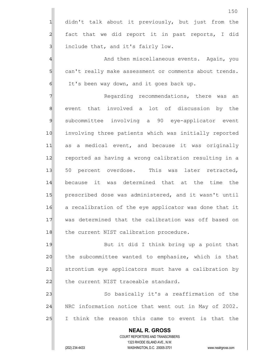|                | 150                                                                                                 |
|----------------|-----------------------------------------------------------------------------------------------------|
| 1              | didn't talk about it previously, but just from the                                                  |
| $\overline{a}$ | fact that we did report it in past reports, I did                                                   |
| 3              | include that, and it's fairly low.                                                                  |
| 4              | And then miscellaneous events. Again, you                                                           |
| 5              | can't really make assessment or comments about trends.                                              |
| 6              | It's been way down, and it goes back up.                                                            |
|                | Regarding recommendations, there was an                                                             |
| $\,8\,$        | event that involved a lot of discussion by the                                                      |
| $\mathfrak{S}$ | subcommittee involving a 90 eye-applicator event                                                    |
| 10             | involving three patients which was initially reported                                               |
| 11             | as a medical event, and because it was originally                                                   |
| 12             | reported as having a wrong calibration resulting in a                                               |
| 13             | 50 percent overdose. This was later retracted,                                                      |
| 14             | because it was determined that at the time<br>the                                                   |
| 15             | prescribed dose was administered, and it wasn't until                                               |
| 16             | a recalibration of the eye applicator was done that it                                              |
| 17             | was determined that the calibration was off based on                                                |
| 18             | the current NIST calibration procedure.                                                             |
| 19             | But it did I think bring up a point that                                                            |
| 20             | the subcommittee wanted to emphasize, which is that                                                 |
| 21             | strontium eye applicators must have a calibration by                                                |
| 22             | the current NIST traceable standard.                                                                |
| 23             | So basically it's a reaffirmation of the                                                            |
| 24             | NRC information notice that went out in May of 2002.                                                |
| 25             | think the reason this came to event is that the<br>I.                                               |
|                | <b>NEAL R. GROSS</b>                                                                                |
|                | COURT REPORTERS AND TRANSCRIBERS                                                                    |
|                | 1323 RHODE ISLAND AVE., N.W.<br>(202) 234-4433<br>WASHINGTON, D.C. 20005-3701<br>www.nealrgross.com |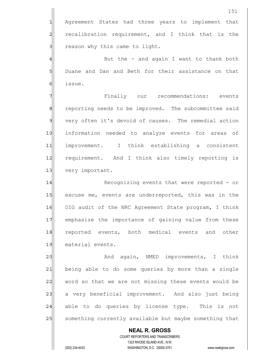1 Agreement States had three years to implement that 2 recalibration requirement, and I think that is the 3 all reason why this came to light.

 $4$   $\parallel$  But the - and again I want to thank both 5 Duane and Dan and Beth for their assistance on that 6 issue.

7 **The Example System** Finally our recommendations: events 8 8| reporting needs to be improved. The subcommittee said 9 very often it's devoid of causes. The remedial action 10 information needed to analyze events for areas of 11 improvement. I think establishing a consistent 12 requirement. And I think also timely reporting is 13 very important.

14 Recognizing events that were reported - or 15 excuse me, events are underreported, this was in the 16 OIG audit of the NRC Agreement State program, I think 17 emphasize the importance of gaining value from these 18 reported events, both medical events and other 19 material events.

20 And again, NMED improvements, I think 21 being able to do some queries by more than a single 22 word so that we are not missing these events would be 23 a very beneficial improvement. And also just being 24 able to do queries by license type. This is not 25 | something currently available but maybe something that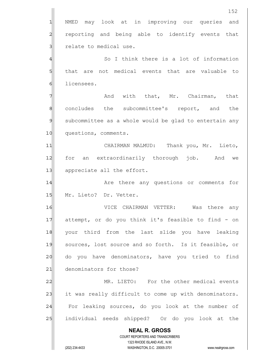|                | 152                                                                 |
|----------------|---------------------------------------------------------------------|
| 1              | may look at in improving our queries<br>NMED<br>and                 |
| $\overline{c}$ | reporting and being able to identify events that                    |
| 3              | relate to medical use.                                              |
| 4              | So I think there is a lot of information                            |
| 5              | that are not medical events that are valuable to                    |
| 6              | licensees.                                                          |
| 7              | And with that, Mr. Chairman, that                                   |
| 8              | concludes the subcommittee's report, and<br>the                     |
| $\mathfrak{S}$ | subcommittee as a whole would be glad to entertain any              |
| 10             | questions, comments.                                                |
| 11             | CHAIRMAN MALMUD: Thank you, Mr. Lieto,                              |
| 12             | an extraordinarily thorough job. And<br>for<br>we                   |
| 13             | appreciate all the effort.                                          |
| 14             | Are there any questions or comments for                             |
| 15             | Mr. Lieto? Dr. Vetter.                                              |
| 16             | CHAIRMAN<br>VETTER:<br>Was<br>there<br>VICE<br>any                  |
| 17             | attempt, or do you think it's feasible to find - on                 |
| 18             | your third from the last slide you have leaking                     |
| 19             | sources, lost source and so forth. Is it feasible, or               |
| 20             | do you have denominators, have you tried to find                    |
| 21             | denominators for those?                                             |
| 22             | MR. LIETO: For the other medical events                             |
| 23             | it was really difficult to come up with denominators.               |
| 24             | For leaking sources, do you look at the number of                   |
| 25             | individual seeds shipped? Or do you look at the                     |
|                | <b>NEAL R. GROSS</b>                                                |
|                | COURT REPORTERS AND TRANSCRIBERS<br>1323 RHODE ISLAND AVE., N.W.    |
|                | (202) 234-4433<br>WASHINGTON, D.C. 20005-3701<br>www.nealrgross.com |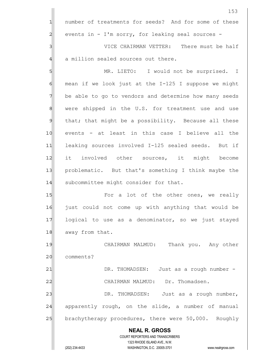|                | 153                                                                                                 |
|----------------|-----------------------------------------------------------------------------------------------------|
| 1              | number of treatments for seeds? And for some of these                                               |
| $\overline{a}$ | events in - I'm sorry, for leaking seal sources -                                                   |
| 3              | VICE CHAIRMAN VETTER: There must be half                                                            |
| 4              | a million sealed sources out there.                                                                 |
| 5              | MR. LIETO: I would not be surprised. I                                                              |
| 6              | mean if we look just at the I-125 I suppose we might                                                |
| 7              | be able to go to vendors and determine how many seeds                                               |
| $\mathbf 8$    | were shipped in the U.S. for treatment use and use                                                  |
| $\mathcal{G}$  | that; that might be a possibility. Because all these                                                |
| 10             | events - at least in this case I believe all the                                                    |
| 11             | leaking sources involved I-125 sealed seeds. But if                                                 |
| 12             | it involved other sources, it might become                                                          |
| 13             | problematic. But that's something I think maybe the                                                 |
| 14             | subcommittee might consider for that.                                                               |
| 15             | For a lot of the other ones, we really                                                              |
| 16             | just could not come up with anything that would be                                                  |
| 17             | logical to use as a denominator, so we just stayed                                                  |
| 18             | away from that.                                                                                     |
| 19             | CHAIRMAN MALMUD: Thank you. Any other                                                               |
| 20             | comments?                                                                                           |
| 21             | DR. THOMADSEN: Just as a rough number -                                                             |
| 22             | CHAIRMAN MALMUD: Dr. Thomadsen.                                                                     |
| 23             | DR. THOMADSEN: Just as a rough number,                                                              |
| 24             | apparently rough, on the slide, a number of manual                                                  |
| 25             | brachytherapy procedures, there were 50,000. Roughly                                                |
|                | <b>NEAL R. GROSS</b>                                                                                |
|                | COURT REPORTERS AND TRANSCRIBERS                                                                    |
|                | 1323 RHODE ISLAND AVE., N.W.<br>(202) 234-4433<br>WASHINGTON, D.C. 20005-3701<br>www.nealrgross.com |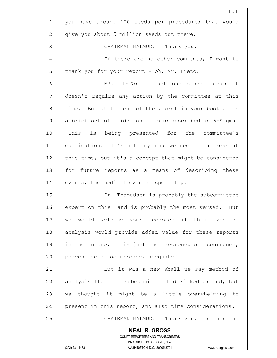|                | 154                                                                 |
|----------------|---------------------------------------------------------------------|
| 긔              | you have around 100 seeds per procedure; that would                 |
| $\overline{2}$ | give you about 5 million seeds out there.                           |
| 3              | CHAIRMAN MALMUD: Thank you.                                         |
| $\overline{4}$ | If there are no other comments, I want to                           |
| $5 \mid$       | thank you for your report - oh, Mr. Lieto.                          |
| $\epsilon$     | MR. LIETO: Just one other thing: it                                 |
| 7              | doesn't require any action by the committee at this                 |
| 8              | time. But at the end of the packet in your booklet is               |
| 9              | a brief set of slides on a topic described as 6-Sigma.              |
| 10             | This is being presented for the committee's                         |
| 11             | edification. It's not anything we need to address at                |
| 12             | this time, but it's a concept that might be considered              |
| 13             | for future reports as a means of describing these                   |
| 14             | events, the medical events especially.                              |
| 15             | Dr. Thomadsen is probably the subcommittee                          |
| 16             | expert on this, and is probably the most versed. But                |
| 17             | we would welcome your feedback if this type of                      |
| 18             | analysis would provide added value for these reports                |
| 19             | in the future, or is just the frequency of occurrence,              |
| 20             | percentage of occurrence, adequate?                                 |
| 21             | But it was a new shall we say method of                             |
| 22             | analysis that the subcommittee had kicked around, but               |
| 23             | we thought it might be a little overwhelming to                     |
| 24             | present in this report, and also time considerations.               |
| 25             | CHAIRMAN MALMUD: Thank you. Is this the                             |
|                | <b>NEAL R. GROSS</b>                                                |
|                | COURT REPORTERS AND TRANSCRIBERS<br>1323 RHODE ISLAND AVE., N.W.    |
|                | (202) 234-4433<br>WASHINGTON, D.C. 20005-3701<br>www.nealrgross.com |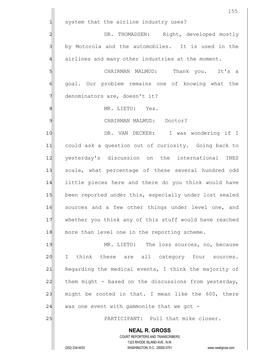|                | 155                                                                                                 |
|----------------|-----------------------------------------------------------------------------------------------------|
| $\mathbf{1}$   | system that the airline industry uses?                                                              |
| $\overline{a}$ | DR. THOMADSEN: Right, developed mostly                                                              |
| 3              | by Motorola and the automobiles. It is used in the                                                  |
| $\overline{4}$ | airlines and many other industries at the moment.                                                   |
| 5              | CHAIRMAN MALMUD: Thank you. It's a                                                                  |
| $\epsilon$     | goal. Our problem remains one of knowing what the                                                   |
| 7              | denominators are, doesn't it?                                                                       |
| 8              | MR. LIETO: Yes.                                                                                     |
| 9              | CHAIRMAN MALMUD: Doctor?                                                                            |
| 10             | DR. VAN DECKER: I was wondering if I                                                                |
| 11             | could ask a question out of curiosity. Going back to                                                |
| 12             | yesterday's discussion on the international INES                                                    |
| 13             | scale, what percentage of these several hundred odd                                                 |
| 14             | little pieces here and there do you think would have                                                |
| 15             | been reported under this, especially under lost sealed                                              |
| 16             | sources and a few other things under level one, and                                                 |
| $17$           | whether you think any of this stuff would have reached                                              |
| 18             | more than level one in the reporting scheme.                                                        |
| 19             | MR. LIETO: The loss sources, no, because                                                            |
| 20             | think these are all category four sources.<br>$\mathbf{I}$                                          |
| 21             | Regarding the medical events, I think the majority of                                               |
| 22             | them might - based on the discussions from yesterday,                                               |
| 23             | might be rooted in that. I mean like the 600, there                                                 |
| 24             | was one event with gammonite that we got $-$                                                        |
| 25             | PARTICIPANT: Pull that mike closer.                                                                 |
|                | <b>NEAL R. GROSS</b>                                                                                |
|                | COURT REPORTERS AND TRANSCRIBERS                                                                    |
|                | 1323 RHODE ISLAND AVE., N.W.<br>(202) 234-4433<br>WASHINGTON, D.C. 20005-3701<br>www.nealrgross.com |
|                |                                                                                                     |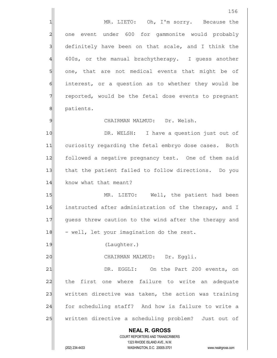**NEAL R. GROSS** COURT REPORTERS AND TRANSCRIBERS 1323 RHODE ISLAND AVE., N.W. (202) 234-4433 WASHINGTON, D.C. 20005-3701 www.nealrgross.com 1 MR. LIETO: Oh, I'm sorry. Because the 2 one event under 600 for gammonite would probably  $3$  definitely have been on that scale, and I think the 4 400s, or the manual brachytherapy. I guess another 5 one, that are not medical events that might be of 6 6 interest, or a question as to whether they would be 7 T reported, would be the fetal dose events to pregnant 8 | patients. 9 CHAIRMAN MALMUD: Dr. Welsh. 10 DR. WELSH: I have a question just out of 11 curiosity regarding the fetal embryo dose cases. Both 12 followed a negative pregnancy test. One of them said 13 that the patient failed to follow directions. Do you 14 know what that meant? 15 MR. LIETO: Well, the patient had been 16 instructed after administration of the therapy, and I 17 guess threw caution to the wind after the therapy and  $18$  - well, let your imagination do the rest. 19 (Laughter.) 20 | CHAIRMAN MALMUD: Dr. Eggli. 21 DR. EGGLI: On the Part 200 events, on 22 the first one where failure to write an adequate 23 written directive was taken, the action was training 24 for scheduling staff? And how is failure to write a 25 | written directive a scheduling problem? Just out of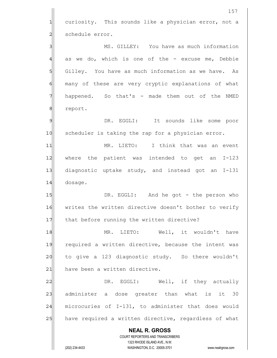|                | 157                                                                                                 |
|----------------|-----------------------------------------------------------------------------------------------------|
| $\mathbf{1}$   | curiosity. This sounds like a physician error, not a                                                |
| $\overline{c}$ | schedule error.                                                                                     |
| 3              | MS. GILLEY: You have as much information                                                            |
| 4              | as we do, which is one of the - excuse me, Debbie                                                   |
| 5              | Gilley. You have as much information as we have.<br>As                                              |
| 6              | many of these are very cryptic explanations of what                                                 |
| 7              | happened. So that's - made them out of the NMED                                                     |
| 8              | report.                                                                                             |
| 9              | EGGLI: It sounds like some poor<br>DR.                                                              |
| 10             | scheduler is taking the rap for a physician error.                                                  |
| 11             | I think that was an event<br>MR. LIETO:                                                             |
| 12             | where the patient was intended to get an<br>$I-123$                                                 |
| 13             | diagnostic uptake study, and instead got an<br>$I-131$                                              |
| 14             | dosage.                                                                                             |
| 15             | DR. EGGLI: And he got - the person who                                                              |
| 16             | writes the written directive doesn't bother to verify                                               |
| 17             | that before running the written directive?                                                          |
| 18             | MR. LIETO: Well, it wouldn't<br>have                                                                |
| 19             | required a written directive, because the intent was                                                |
| 20             | to give a 123 diagnostic study. So there wouldn't                                                   |
| 21             | have been a written directive.                                                                      |
| 22             | DR. EGGLI: Well, if they actually                                                                   |
| 23             | administer a dose greater than what is it 30                                                        |
| 24             | microcuries of I-131, to administer that does would                                                 |
| 25             | have required a written directive, regardless of what                                               |
|                | <b>NEAL R. GROSS</b>                                                                                |
|                | COURT REPORTERS AND TRANSCRIBERS                                                                    |
|                | 1323 RHODE ISLAND AVE., N.W.<br>(202) 234-4433<br>WASHINGTON, D.C. 20005-3701<br>www.nealrgross.com |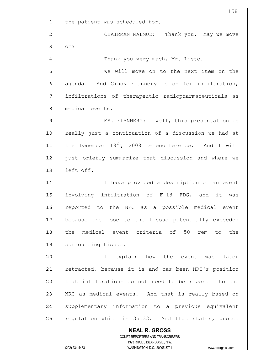**NEAL R. GROSS** COURT REPORTERS AND TRANSCRIBERS 1323 RHODE ISLAND AVE., N.W. 158  $1$  the patient was scheduled for. 2 CHAIRMAN MALMUD: Thank you. May we move 3 on? 4 all Thank you very much, Mr. Lieto. 5 SI 6 agenda. And Cindy Flannery is on for infiltration, 7 infiltrations of therapeutic radiopharmaceuticals as 8 medical events. 9 MS. FLANNERY: Well, this presentation is 10 really just a continuation of a discussion we had at  $11$  the December  $18^{th}$ , 2008 teleconference. And I will 12 just briefly summarize that discussion and where we 13 left off. 14 I lave provided a description of an event 15 involving infiltration of F-18 FDG, and it was 16 reported to the NRC as a possible medical event 17 because the dose to the tissue potentially exceeded 18 the medical event criteria of 50 rem to the 19 surrounding tissue. 20 | I explain how the event was later 21 retracted, because it is and has been NRC's position 22 that infiltrations do not need to be reported to the 23 NRC as medical events. And that is really based on 24 supplementary information to a previous equivalent  $25$  regulation which is  $35.33$ . And that states, quote: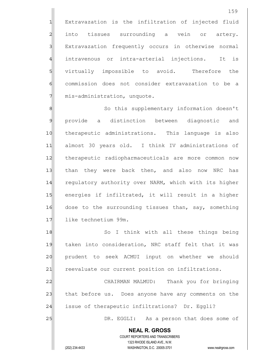1 Extravazation is the infiltration of injected fluid 2 into tissues surrounding a vein or artery. 3 | Extravazation frequently occurs in otherwise normal 4 intravenous or intra-arterial injections. It is 5 virtually impossible to avoid. Therefore the 6 6 commission does not consider extravazation to be a  $7$  mis-administration, unquote.

8 8 So this supplementary information doesn't 9 provide a distinction between diagnostic and 10 | therapeutic administrations. This language is also 11 almost 30 years old. I think IV administrations of 12 therapeutic radiopharmaceuticals are more common now 13 than they were back then, and also now NRC has 14 regulatory authority over NARM, which with its higher 15 energies if infiltrated, it will result in a higher 16 dose to the surrounding tissues than, say, something 17 like technetium 99m.

18 So I think with all these things being 19 taken into consideration, NRC staff felt that it was 20 prudent to seek ACMUI input on whether we should 21 reevaluate our current position on infiltrations.

22 CHAIRMAN MALMUD: Thank you for bringing 23 that before us. Does anyone have any comments on the 24 issue of therapeutic infiltrations? Dr. Eqqli?

25 DR. EGGLI: As a person that does some of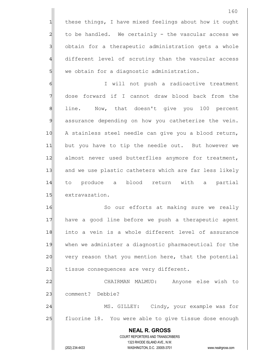1 these things, I have mixed feelings about how it ought  $2$  to be handled. We certainly - the vascular access we 3 obtain for a therapeutic administration gets a whole 4 different level of scrutiny than the vascular access 5 we obtain for a diagnostic administration.

6 | I will not push a radioactive treatment 7 dose forward if I cannot draw blood back from the 8 all line. Now, that doesn't give you 100 percent 9 assurance depending on how you catheterize the vein. 10 | A stainless steel needle can give you a blood return, 11 but you have to tip the needle out. But however we 12 almost never used butterflies anymore for treatment, 13 and we use plastic catheters which are far less likely 14 to produce a blood return with a partial 15 extravazation.

16 So our efforts at making sure we really 17 have a good line before we push a therapeutic agent 18 into a vein is a whole different level of assurance 19 when we administer a diagnostic pharmaceutical for the 20 very reason that you mention here, that the potential 21 tissue consequences are very different.

22 CHAIRMAN MALMUD: Anyone else wish to 23 comment? Debbie? 24 MS. GILLEY: Cindy, your example was for

25 | fluorine 18. You were able to give tissue dose enough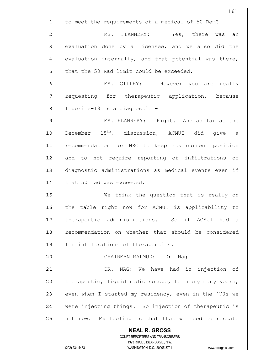**NEAL R. GROSS** COURT REPORTERS AND TRANSCRIBERS 1323 RHODE ISLAND AVE., N.W. 161 1 to meet the requirements of a medical of 50 Rem? 2 MS. FLANNERY: Yes, there was an  $3$  evaluation done by a licensee, and we also did the  $4$  evaluation internally, and that potential was there,  $5$  that the 50 Rad limit could be exceeded. 6 MS. GILLEY: However you are really 7 requesting for therapeutic application, because 8 8 fluorine-18 is a diagnostic -9 MS. FLANNERY: Right. And as far as the  $10$  December  $18^{th}$ , discussion, ACMUI did give a 11 recommendation for NRC to keep its current position 12 and to not require reporting of infiltrations of 13 diagnostic administrations as medical events even if 14 that 50 rad was exceeded. 15 We think the question that is really on 16 the table right now for ACMUI is applicability to 17 therapeutic administrations. So if ACMUI had a 18 recommendation on whether that should be considered 19 for infiltrations of therapeutics. 20 | CHAIRMAN MALMUD: Dr. Nag. 21 | DR. NAG: We have had in injection of 22 therapeutic, liquid radioisotope, for many many years, 23 even when I started my residency, even in the `70s we 24 were injecting things. So injection of therapeutic is 25 | not new. My feeling is that that we need to restate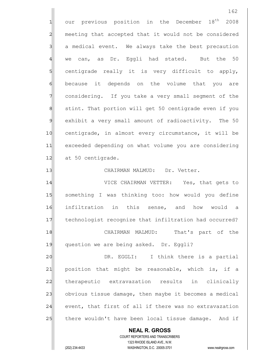**NEAL R. GROSS** COURT REPORTERS AND TRANSCRIBERS 1323 RHODE ISLAND AVE., N.W. 162  $1$  our previous position in the December  $18<sup>th</sup>$  2008 2 meeting that accepted that it would not be considered 3 a medical event. We always take the best precaution  $4$  we can, as Dr. Eggli had stated. But the 50 5 Solut centigrade really it is very difficult to apply, 6 6 because it depends on the volume that you are 7 considering. If you take a very small segment of the 8 8 stint. That portion will get 50 centigrade even if you 9 exhibit a very small amount of radioactivity. The 50 10 centigrade, in almost every circumstance, it will be 11 exceeded depending on what volume you are considering 12 at 50 centigrade. 13 | CHAIRMAN MALMUD: Dr. Vetter. 14 VICE CHAIRMAN VETTER: Yes, that gets to 15 Something I was thinking too: how would you define 16 infiltration in this sense, and how would a 17 technologist recognize that infiltration had occurred? 18 CHAIRMAN MALMUD: That's part of the 19 question we are being asked. Dr. Eggli? 20 DR. EGGLI: I think there is a partial 21| position that might be reasonable, which is, if a 22 therapeutic extravazation results in clinically 23 obvious tissue damage, then maybe it becomes a medical  $24$  event, that first of all if there was no extravazation 25 there wouldn't have been local tissue damage. And if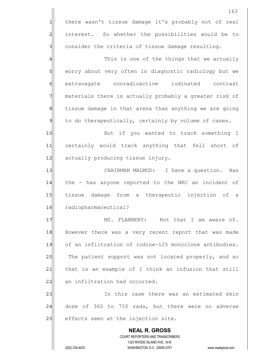|                | 163                                                                                                 |
|----------------|-----------------------------------------------------------------------------------------------------|
| 1              | there wasn't tissue damage it's probably not of real                                                |
| $\overline{a}$ | interest. So whether the possibilities would be to                                                  |
| 3              | consider the criteria of tissue damage resulting.                                                   |
| $\overline{4}$ | This is one of the things that we actually                                                          |
| 5              | worry about very often in diagnostic radiology but we                                               |
| 6              | extravagate nonradioactive<br>iodinated contrast                                                    |
| 7              | materials there is actually probably a greater risk of                                              |
| 8              | tissue damage in that arena than anything we are going                                              |
| $\mathfrak{g}$ | to do therapeutically, certainly by volume of cases.                                                |
| 10             | But if you wanted to track something I                                                              |
| 11             | certainly would track anything that fell short of                                                   |
| 12             | actually producing tissue injury.                                                                   |
| 13             | CHAIRMAN MALMUD:<br>I have a question.<br>Has                                                       |
| 14             | the - has anyone reported to the NRC an incident of                                                 |
| 15             | tissue damage from a therapeutic injection of a                                                     |
| 16             | radiopharmaceutical?                                                                                |
| 17             | MS. FLANNERY: Not that I am aware of.                                                               |
| 18             | However there was a very recent report that was made                                                |
| 19             | of an infiltration of iodine-125 monoclone antibodies.                                              |
| 20             | The patient support was not located properly, and so                                                |
| 21             | that is an example of I think an infusion that still                                                |
| 22             | an infiltration had occurred.                                                                       |
| 23             | In this case there was an estimated skin                                                            |
| 24             | dose of 360 to 710 rads, but there were no adverse                                                  |
| 25             | effects seen at the injection site.                                                                 |
|                | <b>NEAL R. GROSS</b>                                                                                |
|                | COURT REPORTERS AND TRANSCRIBERS                                                                    |
|                | 1323 RHODE ISLAND AVE., N.W.<br>(202) 234-4433<br>WASHINGTON, D.C. 20005-3701<br>www.nealrgross.com |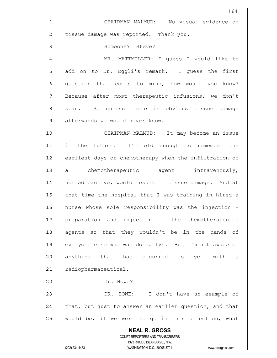|                | 164                                                                                                 |
|----------------|-----------------------------------------------------------------------------------------------------|
| 1              | CHAIRMAN MALMUD: No visual evidence of                                                              |
| $\overline{a}$ | tissue damage was reported. Thank you.                                                              |
| 3              | Someone? Steve?                                                                                     |
| $\overline{4}$ | MR. MATTMULLER: I quess I would like to                                                             |
| 5              | add on to Dr. Eggli's remark. I guess the first                                                     |
| 6              | question that comes to mind, how would you know?                                                    |
| 7              | Because after most therapeutic infusions, we don't                                                  |
| 8              | So unless there is obvious tissue damage<br>scan.                                                   |
| $\mathfrak{g}$ | afterwards we would never know.                                                                     |
| 10             | CHAIRMAN MALMUD: It may become an issue                                                             |
| 11             | in the future. I'm old enough to remember the                                                       |
| 12             | earliest days of chemotherapy when the infiltration of                                              |
| 13             | chemotherapeutic agent intravenously,<br>а                                                          |
| 14             | nonradioactive, would result in tissue damage. And at                                               |
| 15             | that time the hospital that I was training in hired a                                               |
| 16             | nurse whose sole responsibility was the injection -                                                 |
| 17             | preparation and injection of the chemotherapeutic                                                   |
| 18             | agents so that they wouldn't be in the hands of                                                     |
| 19             | everyone else who was doing IVs. But I'm not aware of                                               |
| 20             | anything that has occurred as yet with<br>а                                                         |
| 21             | radiopharmaceutical.                                                                                |
| 22             | Dr. Howe?                                                                                           |
| 23             | DR. HOWE: I don't have an example of                                                                |
| 24             | that, but just to answer an earlier question, and that                                              |
| 25             | would be, if we were to go in this direction, what                                                  |
|                | <b>NEAL R. GROSS</b>                                                                                |
|                | COURT REPORTERS AND TRANSCRIBERS                                                                    |
|                | 1323 RHODE ISLAND AVE., N.W.<br>(202) 234-4433<br>WASHINGTON, D.C. 20005-3701<br>www.nealrgross.com |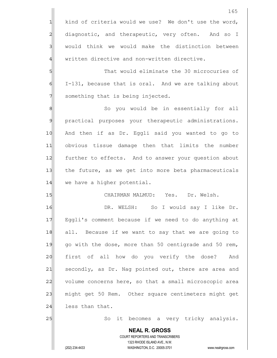**NEAL R. GROSS** COURT REPORTERS AND TRANSCRIBERS 1323 RHODE ISLAND AVE., N.W. (202) 234-4433 WASHINGTON, D.C. 20005-3701 www.nealrgross.com 1 kind of criteria would we use? We don't use the word, 2 diagnostic, and therapeutic, very often. And so I 3 | would think we would make the distinction between 4 written directive and non-written directive. 5 S  $\delta$  I-131, because that is oral. And we are talking about  $7$  something that is being injected. 8 8 So you would be in essentially for all 9 practical purposes your therapeutic administrations. 10 And then if as Dr. Eggli said you wanted to go to 11 obvious tissue damage then that limits the number 12 further to effects. And to answer your question about 13 the future, as we get into more beta pharmaceuticals 14 we have a higher potential. 15 | CHAIRMAN MALMUD: Yes. Dr. Welsh. 16 DR. WELSH: So I would say I like Dr. 17 Eggli's comment because if we need to do anything at 18 all. Because if we want to say that we are going to 19| go with the dose, more than 50 centigrade and 50 rem, 20 first of all how do you verify the dose? And 21 secondly, as Dr. Nag pointed out, there are area and 22 volume concerns here, so that a small microscopic area 23 might get 50 Rem. Other square centimeters might get 24 less than that. 25 So it becomes a very tricky analysis.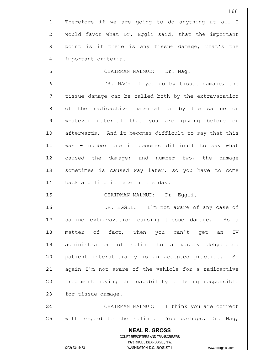1 Therefore if we are going to do anything at all I 2 would favor what Dr. Eggli said, that the important  $3$  point is if there is any tissue damage, that's the 4 important criteria.

5 | CHAIRMAN MALMUD: Dr. Nag.

6 6 OR. NAG: If you go by tissue damage, the 7 Tissue damage can be called both by the extravazation 8 of the radioactive material or by the saline or 9 whatever material that you are giving before or 10 afterwards. And it becomes difficult to say that this 11 was - number one it becomes difficult to say what 12 caused the damage; and number two, the damage 13 Sometimes is caused way later, so you have to come  $14$  back and find it late in the day.

## 15 | CHAIRMAN MALMUD: Dr. Eggli.

16 || DR. EGGLI: I'm not aware of any case of 17 Saline extravazation causing tissue damage. As a 18 matter of fact, when you can't get an IV 19 administration of saline to a vastly dehydrated 20 patient interstitially is an accepted practice. So 21 again I'm not aware of the vehicle for a radioactive 22 treatment having the capability of being responsible 23 for tissue damage.

24 CHAIRMAN MALMUD: I think you are correct 25 | with regard to the saline. You perhaps, Dr. Nag,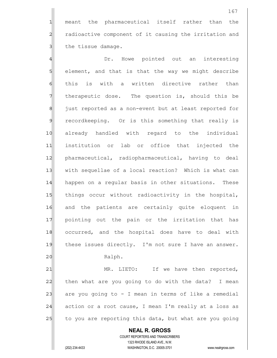1 meant the pharmaceutical itself rather than the 2 radioactive component of it causing the irritation and 3 | the tissue damage.

4 and the Dr. Howe pointed out an interesting 5 selement, and that is that the way we might describe 6 fold this is with a written directive rather than 7 Therapeutic dose. The question is, should this be 8 3 just reported as a non-event but at least reported for 9 recordkeeping. Or is this something that really is 10 already handled with regard to the individual 11 institution or lab or office that injected the 12 pharmaceutical, radiopharmaceutical, having to deal 13 with sequellae of a local reaction? Which is what can 14 happen on a regular basis in other situations. These 15 things occur without radioactivity in the hospital, 16 and the patients are certainly quite eloquent in 17| pointing out the pain or the irritation that has 18 occurred, and the hospital does have to deal with 19 these issues directly. I'm not sure I have an answer. 20 Ralph.

21 MR. LIETO: If we have then reported, 22 | then what are you going to do with the data? I mean 23 are you going to  $-$  I mean in terms of like a remedial  $24$  action or a root cause, I mean I'm really at a loss as 25 to you are reporting this data, but what are you going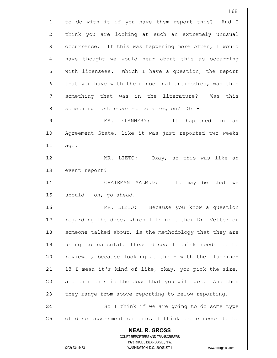**NEAL R. GROSS** COURT REPORTERS AND TRANSCRIBERS 1323 RHODE ISLAND AVE., N.W. (202) 234-4433 WASHINGTON, D.C. 20005-3701 www.nealrgross.com 168 1 to do with it if you have them report this? And I 2 | think you are looking at such an extremely unusual 3 3 3 occurrence. If this was happening more often, I would  $4$  have thought we would hear about this as occurring 5 | with licensees. Which I have a question, the report  $6$  that you have with the monoclonal antibodies, was this 7 something that was in the literature? Was this 8 8 8 something just reported to a region? Or -9 MS. FLANNERY: It happened in an 10 Agreement State, like it was just reported two weeks  $11$  ago. 12 MR. LIETO: Okay, so this was like an 13 event report? 14 CHAIRMAN MALMUD: It may be that we  $15$  should - oh, go ahead. 16 MR. LIETO: Because you know a question 17 regarding the dose, which I think either Dr. Vetter or 18 someone talked about, is the methodology that they are 19 using to calculate these doses I think needs to be 20 reviewed, because looking at the - with the fluorine- $21$  18 I mean it's kind of like, okay, you pick the size, 22 and then this is the dose that you will get. And then 23 they range from above reporting to below reporting. 24 | So I think if we are going to do some type 25 of dose assessment on this, I think there needs to be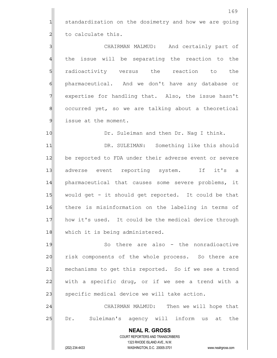1 standardization on the dosimetry and how we are going  $2$  to calculate this.

3 3 CHAIRMAN MALMUD: And certainly part of 4 the issue will be separating the reaction to the 5 s fadioactivity versus the reaction to the 6 **pharmaceutical.** And we don't have any database or 7 | expertise for handling that. Also, the issue hasn't 8 8 8 occurred yet, so we are talking about a theoretical 9 issue at the moment.

10 Dr. Suleiman and then Dr. Nag I think. 11| DR. SULEIMAN: Something like this should 12 be reported to FDA under their adverse event or severe 13 adverse event reporting system. If it's a 14 pharmaceutical that causes some severe problems, it 15 would get - it should get reported. It could be that 16 there is misinformation on the labeling in terms of 17 how it's used. It could be the medical device through 18 which it is being administered.

19 19 So there are also - the nonradioactive 20 risk components of the whole process. So there are 21 mechanisms to get this reported. So if we see a trend  $22$  with a specific drug, or if we see a trend with a 23 specific medical device we will take action.

24 CHAIRMAN MALMUD: Then we will hope that 25 Dr. Suleiman's agency will inform us at the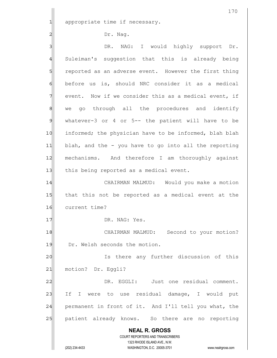1 appropriate time if necessary.

Dr. Nag.

| 31             | DR. NAG: I would highly support Dr.                                                                                                                                    |
|----------------|------------------------------------------------------------------------------------------------------------------------------------------------------------------------|
| $\overline{4}$ | Suleiman's suggestion that this is already being                                                                                                                       |
| 5              | reported as an adverse event. However the first thing                                                                                                                  |
| 6              | before us is, should NRC consider it as a medical                                                                                                                      |
| 7              | event. Now if we consider this as a medical event, if                                                                                                                  |
| $\,8\,$        | we go through all the procedures and identify                                                                                                                          |
| $\mathcal{G}$  | whatever-3 or 4 or 5-- the patient will have to be                                                                                                                     |
| 10             | informed; the physician have to be informed, blah blah                                                                                                                 |
| 11             | blah, and the - you have to go into all the reporting                                                                                                                  |
| 12             | mechanisms. And therefore I am thoroughly against                                                                                                                      |
| 13             | this being reported as a medical event.                                                                                                                                |
| 14             | CHAIRMAN MALMUD: Would you make a motion                                                                                                                               |
| 15             | that this not be reported as a medical event at the                                                                                                                    |
| 16             | current time?                                                                                                                                                          |
| 17             | DR. NAG: Yes.                                                                                                                                                          |
| 18             | Second to your motion?<br>CHAIRMAN MALMUD:                                                                                                                             |
| 19             | Dr. Welsh seconds the motion.                                                                                                                                          |
| 20             | there any further discussion of this<br>Ιs                                                                                                                             |
| 21             | motion? Dr. Eggli?                                                                                                                                                     |
| 22             | EGGLI: Just one residual comment.<br>DR.                                                                                                                               |
| 23             | to use residual damage, I would<br>Ιf<br>I.<br>were<br>put                                                                                                             |
| 24             | permanent in front of it. And I'll tell you what, the                                                                                                                  |
| 25             | patient already knows. So there are<br>reporting<br>no                                                                                                                 |
|                | <b>NEAL R. GROSS</b><br><b>COURT REPORTERS AND TRANSCRIBERS</b><br>1323 RHODE ISLAND AVE., N.W.<br>(202) 234-4433<br>WASHINGTON, D.C. 20005-3701<br>www.nealrgross.com |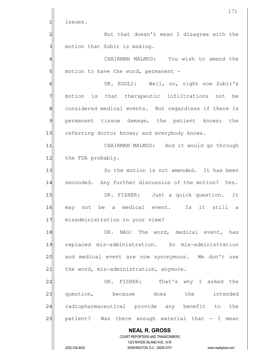|               | 171                                                                 |
|---------------|---------------------------------------------------------------------|
| 1             | issues.                                                             |
| 2             | But that doesn't mean I disagree with the                           |
| 3             | motion that Subir is making.                                        |
| 4             | CHAIRMAN MALMUD: You wish to amend the                              |
| 5             | motion to have the word, permanent -                                |
| 6             | DR. EGGLI: Well, no, right now Subir's                              |
| 7             | motion is that therapeutic infiltrations<br>not<br>be               |
| 8             | considered medical events. But regardless if there is               |
| $\mathcal{Q}$ | permanent tissue damage, the patient knows;<br>the                  |
| 10            | referring doctor knows; and everybody knows.                        |
| 11            | CHAIRMAN MALMUD: And it would go through                            |
| 12            | the FDA probably.                                                   |
| 13            | So the motion is not amended. It has been                           |
| 14            | seconded. Any further discussion of the motion? Yes.                |
| 15            | DR. FISHER: Just a quick question. It                               |
| 16            | not be a medical event. Is it still a<br>mav                        |
| 17            | misadministration in your view?                                     |
| 18            | DR. NAG: The word, medical event, has                               |
| 19            | replaced mis-administration. So mis-administration                  |
| 20            | and medical event are now synonymous. We don't use                  |
| 21            | the word, mis-administration, anymore.                              |
| 22            | DR. FISHER: That's why I asked the                                  |
| 23            | question, because does the<br>intended                              |
| 24            | radiopharmaceutical provide any benefit to the                      |
| 25            | patient? Was there enough material that - I mean                    |
|               | <b>NEAL R. GROSS</b><br>COURT REPORTERS AND TRANSCRIBERS            |
|               | 1323 RHODE ISLAND AVE., N.W.                                        |
|               | (202) 234-4433<br>WASHINGTON, D.C. 20005-3701<br>www.nealrgross.com |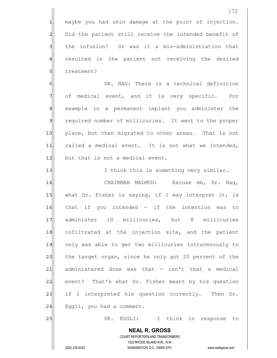1 maybe you had skin damage at the point of injection. 2 Did the patient still receive the intended benefit of 3 1 the infusion? Or was it a mis-administration that 4 resulted in the patient not receiving the desired 5 5 bluestment?

6 6 OR. NAG: There is a technical definition 7 of medical event, and it is very specific. For 8 8 example in a permanent implant you administer the 9 required number of millicuries. It went to the proper 10 place, but then migrated to other areas. That is not 11 called a medical event. It is not what we intended, 12 but that is not a medical event.

 **NEAL R. GROSS** 13 I think this is something very similar. 14 CHAIRMAN MALMUD: Excuse me, Dr. Nag, 15 what Dr. Fisher is saying, if I may interpret it, is 16 that if you intended - if the intention was to 17 administer 10 millicuries, but 8 millicuries 18 infiltrated at the injection site, and the patient 19 only was able to get two millicuries intravenously to 20 the target organ, since he only got 20 percent of the  $21$  administered dose was that - isn't that a medical 22 event? That's what Dr. Fisher meant by his question  $23$  if I interpreted his question correctly. Then Dr.  $24$  Eqgli, you had a comment. 25 | DR. EGGLI: I think in response to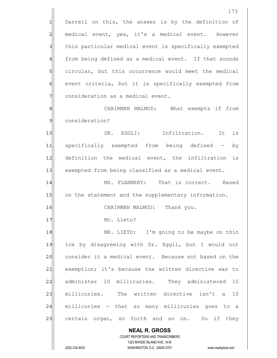**NEAL R. GROSS** COURT REPORTERS AND TRANSCRIBERS 1323 RHODE ISLAND AVE., N.W. 173 1 Darrell on this, the answer is by the definition of 2 medical event, yes, it's a medical event. However 3 1 this particular medical event is specifically exempted 4 from being defined as a medical event. If that sounds 5 Solucifular, but this occurrence would meet the medical 6 event criteria, but it is specifically exempted from 7 consideration as a medical event. 8 CHAIRMAN MALMUD: What exempts if from 9 consideration? 10 **DR.** EGGLI: Infiltration. It is 11 specifically exempted from being defined - by 12 definition the medical event, the infiltration is 13 exempted from being classified as a medical event. 14 MS. FLANNERY: That is correct. Based 15 on the statement and the supplementary information. 16 CHAIRMAN MALMUD: Thank you. 17 Mr. Lieto? 18 MR. LIETO: I'm going to be maybe on thin 19 ice by disagreeing with Dr. Eggli, but I would not 20 consider it a medical event. Because not based on the 21| exemption; it's because the written directive was to 22 administer 10 millicuries. They administered 10 23 millicuries. The written directive isn't a 10 24 millicuries - that so many millicuries goes to a 25 certain organ, so forth and so on. So if they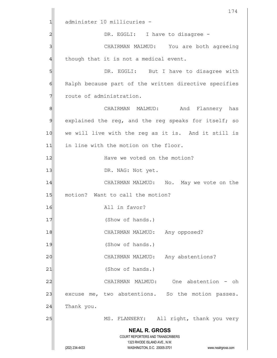|                | 174                                                                 |
|----------------|---------------------------------------------------------------------|
| 1              | administer 10 millicuries -                                         |
| $\overline{c}$ | DR. EGGLI: I have to disagree -                                     |
| 3              | CHAIRMAN MALMUD: You are both agreeing                              |
| 4              | though that it is not a medical event.                              |
| 5              | DR. EGGLI: But I have to disagree with                              |
| 6              | Ralph because part of the written directive specifies               |
| 7              | route of administration.                                            |
| 8              | And Flannery has<br>CHAIRMAN MALMUD:                                |
| $\mathcal{Q}$  | explained the reg, and the reg speaks for itself; so                |
| 10             | we will live with the reg as it is. And it still is                 |
| 11             | in line with the motion on the floor.                               |
| 12             | Have we voted on the motion?                                        |
| 13             | DR. NAG: Not yet.                                                   |
| 14             | CHAIRMAN MALMUD: No. May we vote on the                             |
| 15             | motion? Want to call the motion?                                    |
| 16             | All in favor?                                                       |
| 17             | (Show of hands.)                                                    |
| 18             | Any opposed?<br>CHAIRMAN MALMUD:                                    |
| 19             | (Show of hands.)                                                    |
| 20             | Any abstentions?<br>CHAIRMAN MALMUD:                                |
| 21             | (Show of hands.)                                                    |
| 22             | One abstention - oh<br>CHAIRMAN MALMUD:                             |
| 23             | excuse me, two abstentions. So the motion passes.                   |
| 24             | Thank you.                                                          |
| 25             | MS. FLANNERY:<br>All right, thank you very                          |
|                | <b>NEAL R. GROSS</b>                                                |
|                | COURT REPORTERS AND TRANSCRIBERS<br>1323 RHODE ISLAND AVE., N.W.    |
|                | (202) 234-4433<br>WASHINGTON, D.C. 20005-3701<br>www.nealrgross.com |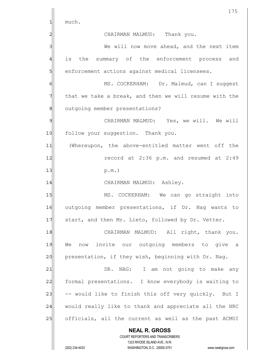|                 | 175                                                                                                 |
|-----------------|-----------------------------------------------------------------------------------------------------|
| 1               | much.                                                                                               |
| 2               | CHAIRMAN MALMUD: Thank you.                                                                         |
| 3               | We will now move ahead, and the next item                                                           |
| 4               | is the summary of the enforcement process<br>and                                                    |
| 5               | enforcement actions against medical licensees.                                                      |
| 6               | MS. COCKERHAM: Dr. Malmud, can I suggest                                                            |
| 7               | that we take a break, and then we will resume with the                                              |
| 8               | outgoing member presentations?                                                                      |
| 9               | CHAIRMAN MALMUD: Yes, we will. We will                                                              |
| 10              | follow your suggestion. Thank you.                                                                  |
| 11              | (Whereupon, the above-entitled matter went off the                                                  |
| 12              | record at 2:36 p.m. and resumed at 2:49                                                             |
| 13              | $p.m.$ )                                                                                            |
| 14              | CHAIRMAN MALMUD: Ashley.                                                                            |
| 15              | MS. COCKERHAM: We can go straight into                                                              |
| 16              | outgoing member presentations, if Dr. Nag wants to                                                  |
| 17              | start, and then Mr. Lieto, followed by Dr. Vetter.                                                  |
| 18              | CHAIRMAN MALMUD: All right, thank you.                                                              |
| 19              | now invite our outgoing members to give a<br>We                                                     |
| 20              | presentation, if they wish, beginning with Dr. Nag.                                                 |
| $\overline{21}$ | DR.<br>NAG: I am not going to make any                                                              |
| 22              | formal presentations. I know everybody is waiting to                                                |
| 23              | -- would like to finish this off very quickly. But I                                                |
| 24              | would really like to thank and appreciate all the NRC                                               |
| 25              | officials, all the current as well as the past ACMUI                                                |
|                 | <b>NEAL R. GROSS</b>                                                                                |
|                 | COURT REPORTERS AND TRANSCRIBERS                                                                    |
|                 | 1323 RHODE ISLAND AVE., N.W.<br>(202) 234-4433<br>WASHINGTON, D.C. 20005-3701<br>www.nealrgross.com |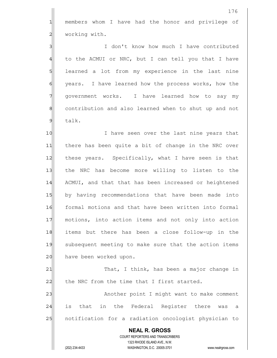**NEAL R. GROSS** COURT REPORTERS AND TRANSCRIBERS 1323 RHODE ISLAND AVE., N.W. (202) 234-4433 WASHINGTON, D.C. 20005-3701 www.nealrgross.com 176 1 members whom I have had the honor and privilege of 2 working with. 3 I don't know how much I have contributed 4 to the ACMUI or NRC, but I can tell you that I have 5 Sommed a lot from my experience in the last nine 6 6 years. I have learned how the process works, how the 7 qovernment works. I have learned how to say my 8 8 8 contribution and also learned when to shut up and not 9 talk. 10 I have seen over the last nine years that 11 there has been quite a bit of change in the NRC over 12 these years. Specifically, what I have seen is that 13 the NRC has become more willing to listen to the 14 ACMUI, and that that has been increased or heightened 15 by having recommendations that have been made into 16 formal motions and that have been written into formal 17 motions, into action items and not only into action 18 items but there has been a close follow-up in the 19 subsequent meeting to make sure that the action items 20 have been worked upon. 21 | That, I think, has been a major change in  $22$  the NRC from the time that I first started. 23 | Another point I might want to make comment 24 is that in the Federal Register there was a 25 | notification for a radiation oncologist physician to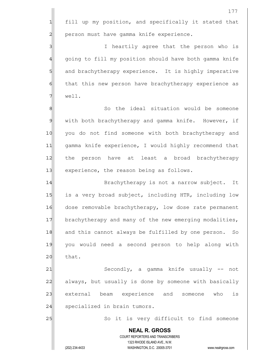|                | 177                                                                                                 |
|----------------|-----------------------------------------------------------------------------------------------------|
| 1              | fill up my position, and specifically it stated that                                                |
| $\overline{c}$ | person must have gamma knife experience.                                                            |
| 3              | I heartily agree that the person who is                                                             |
| 4              | going to fill my position should have both gamma knife                                              |
| 5              | and brachytherapy experience. It is highly imperative                                               |
| 6              | that this new person have brachytherapy experience as                                               |
| 7              | well.                                                                                               |
| 8              | So the ideal situation would be someone                                                             |
| $\mathfrak{S}$ | with both brachytherapy and gamma knife. However, if                                                |
| 10             | you do not find someone with both brachytherapy and                                                 |
| 11             | gamma knife experience, I would highly recommend that                                               |
| 12             | the person have at least a broad brachytherapy                                                      |
| 13             | experience, the reason being as follows.                                                            |
| 14             | Brachytherapy is not a narrow subject. It                                                           |
| 15             | is a very broad subject, including HTR, including low                                               |
| 16             | dose removable brachytherapy, low dose rate permanent                                               |
| 17             | brachytherapy and many of the new emerging modalities,                                              |
| 18             | and this cannot always be fulfilled by one person. So                                               |
| 19             | you would need a second person to help along with                                                   |
| 20             | that.                                                                                               |
| 21             | Secondly, a gamma knife usually -- not                                                              |
| 22             | always, but usually is done by someone with basically                                               |
| 23             | external beam experience and someone<br>who<br>is                                                   |
| 24             | specialized in brain tumors.                                                                        |
| 25             | So it is very difficult to find someone                                                             |
|                | <b>NEAL R. GROSS</b><br>COURT REPORTERS AND TRANSCRIBERS                                            |
|                | 1323 RHODE ISLAND AVE., N.W.<br>(202) 234-4433<br>WASHINGTON, D.C. 20005-3701<br>www.nealrgross.com |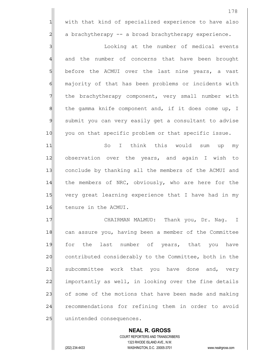1 with that kind of specialized experience to have also 2 a brachytherapy -- a broad brachytherapy experience.

3 3 Looking at the number of medical events 4 and the number of concerns that have been brought 5 before the ACMUI over the last nine years, a vast 6 6 majority of that has been problems or incidents with 7 The brachytherapy component, very small number with  $8$  the gamma knife component and, if it does come up, I 9 submit you can very easily get a consultant to advise 10 you on that specific problem or that specific issue.

11 So I think this would sum up my 12 observation over the years, and again I wish to 13 conclude by thanking all the members of the ACMUI and 14 the members of NRC, obviously, who are here for the 15 very great learning experience that I have had in my 16 tenure in the ACMUI.

17 | CHAIRMAN MALMUD: Thank you, Dr. Nag. I 18 can assure you, having been a member of the Committee 19 for the last number of years, that you have 20 contributed considerably to the Committee, both in the 21 subcommittee work that you have done and, very 22 importantly as well, in looking over the fine details 23 of some of the motions that have been made and making 24 recommendations for refining them in order to avoid 25 unintended consequences.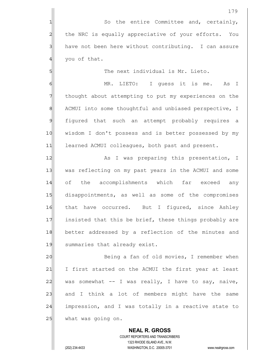5 S

6| MR. LIETO: I guess it is me. As I 7 The thought about attempting to put my experiences on the 8 ACMUI into some thoughtful and unbiased perspective, I 9 figured that such an attempt probably requires a 10 | wisdom I don't possess and is better possessed by my 11 learned ACMUI colleagues, both past and present.

12 as I was preparing this presentation, I 13 was reflecting on my past years in the ACMUI and some 14 of the accomplishments which far exceed any 15 disappointments, as well as some of the compromises 16 that have occurred. But I figured, since Ashlev 17 insisted that this be brief, these things probably are 18 better addressed by a reflection of the minutes and 19 summaries that already exist.

20 Being a fan of old movies, I remember when 21 I first started on the ACMUI the first year at least 22 was somewhat  $-$  I was really, I have to say, naive, 23 and I think a lot of members might have the same 24 impression, and I was totally in a reactive state to  $25$  what was going on.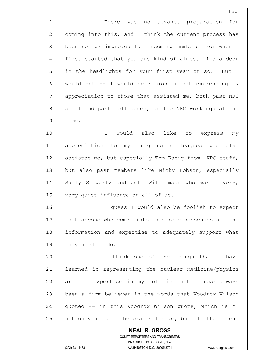180 1 There was no advance preparation for 2 coming into this, and I think the current process has 3 been so far improved for incoming members from when I 4 first started that you are kind of almost like a deer 5 5 5 in the headlights for your first year or so. But I  $6$  would not  $-$  I would be remiss in not expressing my 7 appreciation to those that assisted me, both past NRC 8 8 8 staff and past colleagues, on the NRC workings at the 9 time. 10 I would also like to express my 11 appreciation to my outgoing colleagues who also 12 assisted me, but especially Tom Essig from NRC staff, 13 but also past members like Nicky Hobson, especially 14 Sally Schwartz and Jeff Williamson who was a very, 15 very quiet influence on all of us. 16 I guess I would also be foolish to expect 17 that anyone who comes into this role possesses all the 18 information and expertise to adequately support what 19 they need to do. 20 I think one of the things that I have 21 learned in representing the nuclear medicine/physics 22 area of expertise in my role is that I have always 23 been a firm believer in the words that Woodrow Wilson 24 quoted -- in this Woodrow Wilson quote, which is "I 25 | not only use all the brains I have, but all that I can

 COURT REPORTERS AND TRANSCRIBERS 1323 RHODE ISLAND AVE., N.W. (202) 234-4433 WASHINGTON, D.C. 20005-3701 www.nealrgross.com

 **NEAL R. GROSS**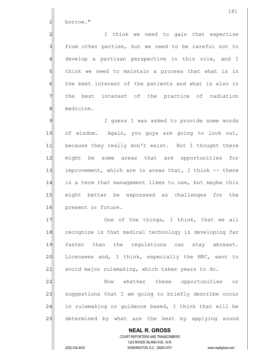1 borrow."

2 all intuint we need to gain that expertise 3 from other parties, but we need to be careful not to 4 develop a partisan perspective in this role, and I 5 5 5 5 think we need to maintain a process that what is in 6 6 the best interest of the patients and what is also in 7 The best interest of the practice of radiation 8 medicine.

9 9 I guess I was asked to provide some words 10 of wisdom. Again, you guys are going to look out, 11 because they really don't exist. But I thought there 12| might be some areas that are opportunities for 13| improvement, which are in areas that, I think -- there 14 is a term that management likes to use, but maybe this 15 might better be expressed as challenges for the 16 present or future.

17 One of the things, I think, that we all 18 recognize is that medical technology is developing far 19 faster than the requlations can stay abreast. 20 Licensees and, I think, especially the NRC, want to  $21$  avoid major rulemaking, which takes years to do.

22 Now whether these opportunities or 23 suggestions that I am going to briefly describe occur  $24$  in rulemaking or quidance based, I think that will be 25 determined by what are the best by applying sound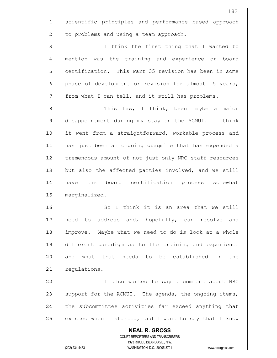**NEAL R. GROSS** COURT REPORTERS AND TRANSCRIBERS 1323 RHODE ISLAND AVE., N.W. 1 scientific principles and performance based approach  $2$  to problems and using a team approach. 3 3 I think the first thing that I wanted to 4 mention was the training and experience or board 5 Solut certification. This Part 35 revision has been in some 6 phase of development or revision for almost 15 years,  $7$  from what I can tell, and it still has problems. 8 8 September 11 This has, I think, been maybe a major 9 disappointment during my stay on the ACMUI. I think 10 it went from a straightforward, workable process and 11 has just been an ongoing quagmire that has expended a 12 tremendous amount of not just only NRC staff resources 13 but also the affected parties involved, and we still 14 have the board certification process somewhat 15 marginalized. 16 So I think it is an area that we still 17 need to address and, hopefully, can resolve and 18 improve. Maybe what we need to do is look at a whole 19| different paradigm as to the training and experience 20 and what that needs to be established in the 21 requiations. 22 | Talso wanted to say a comment about NRC 23 support for the ACMUI. The agenda, the ongoing items, 24 the subcommittee activities far exceed anything that 25 existed when I started, and I want to say that I know

(202) 234-4433 WASHINGTON, D.C. 20005-3701 www.nealrgross.com

182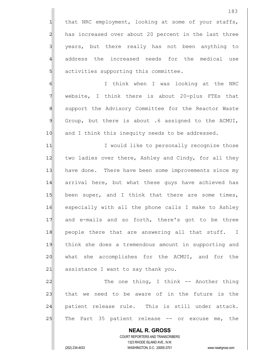1 that NRC employment, looking at some of your staffs, 2 has increased over about 20 percent in the last three 3 years, but there really has not been anything to 4 address the increased needs for the medical use 5 5 5 5 activities supporting this committee.

6 6 I think when I was looking at the NRC  $7$  website, I think there is about 20-plus FTEs that 8 | support the Advisory Committee for the Reactor Waste 9 Group, but there is about .6 assigned to the ACMUI, 10 and I think this inequity needs to be addressed.

11| Twould like to personally recognize those 12 two ladies over there, Ashley and Cindy, for all they 13 have done. There have been some improvements since my 14 arrival here, but what these quys have achieved has 15 been super, and I think that there are some times, 16 especially with all the phone calls I make to Ashley 17 and e-mails and so forth, there's got to be three 18 people there that are answering all that stuff. I 19 think she does a tremendous amount in supporting and 20 what she accomplishes for the ACMUI, and for the 21 assistance I want to say thank you.

22 | The one thing, I think -- Another thing 23 that we need to be aware of in the future is the 24 patient release rule. This is still under attack.  $25$  The Part 35 patient release  $-$  or excuse me, the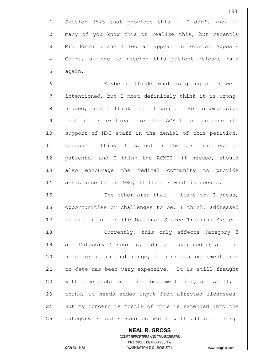$1$  Section 3575 that provides this  $-$  I don't know if 2 many of you know this or realize this, but recently 3 | Mr. Peter Crane filed an appeal in Federal Appeals 4 Court, a move to rescind this patient release rule  $5$  again.

6 Maybe he thinks what is going on is well 7 intentioned, but I most definitely think it is wrong-8 headed, and I think that I would like to emphasize 9 that it is critical for the ACMUI to continue its 10 | support of NRC staff in the denial of this petition, 11| because I think it is not in the best interest of 12 patients, and I think the ACMUI, if needed, should 13 also encourage the medical community to provide  $14$  assistance to the NRC, if that is what is needed.

15 The other area that -- items or, I quess, 16 opportunities or challenges to be, I think, addressed 17 in the future is the National Source Tracking System.

18 Currently, this only affects Category 3 19 and Category 4 sources. While I can understand the 20 | need for it in that range, I think its implementation 21| to date has been very expensive. It is still fraught 22 with some problems in its implementation, and still, I 23 think, it needs added input from affected licensees. 24 But my concern is mostly of this is extended into the 25 category 3 and 4 sources which will affect a large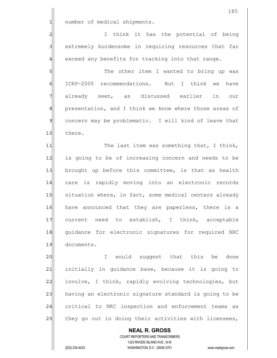1 number of medical shipments.

2 2 I think it has the potential of being 3 3 extremely burdensome in requiring resources that far  $4$  exceed any benefits for tracking into that range.

5 S 6 ICRP-2005 recommendations. But I think we have 7 already seen, as discussed earlier in our 8 8 presentation, and I think we know where those areas of 9 concern may be problematic. I will kind of leave that 10 there.

11 The last item was something that, I think, 12 is going to be of increasing concern and needs to be 13 brought up before this committee, is that as health 14 care is rapidly moving into an electronic records 15 situation where, in fact, some medical centers already 16 have announced that they are paperless, there is a 17 current need to establish, I think, acceptable 18 quidance for electronic signatures for required NRC 19 documents.

20 and the suggest that this be done 21 initially in guidance base, because it is going to 22 involve, I think, rapidly evolving technologies, but 23 having an electronic signature standard is going to be 24 critical to NRC inspection and enforcement teams as 25 they go out in doing their activities with licensees,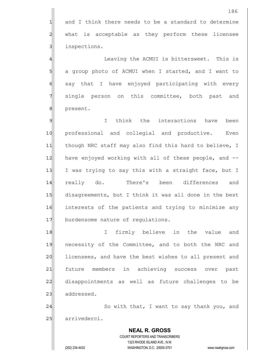**NEAL R. GROSS** COURT REPORTERS AND TRANSCRIBERS 1323 RHODE ISLAND AVE., N.W. (202) 234-4433 WASHINGTON, D.C. 20005-3701 www.nealrgross.com  $1$  and I think there needs to be a standard to determine 2 what is acceptable as they perform these licensee 3 3 inspections. 4 | Eleaving the ACMUI is bittersweet. This is 5 a group photo of ACMUI when I started, and I want to 6 say that I have enjoyed participating with every 7 single person on this committee, both past and 8 | present. 9 I think the interactions have been 10 professional and collegial and productive. Even 11 though NRC staff may also find this hard to believe, I 12 have enjoyed working with all of these people, and --13 I was trying to say this with a straight face, but I 14 really do. There's been differences and 15 disagreements, but I think it was all done in the best 16 interests of the patients and trying to minimize any 17 burdensome nature of regulations. 18 I firmly believe in the value and 19 necessity of the Committee, and to both the NRC and 20 licensees, and have the best wishes to all present and 21 future members in achieving success over past 22 disappointments as well as future challenges to be 23 addressed. 24 So with that, I want to say thank you, and 25 arrivederci.

186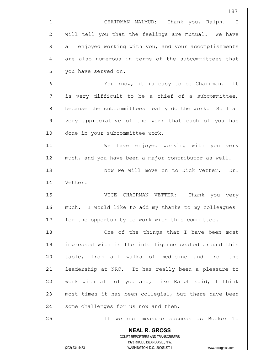**NEAL R. GROSS** COURT REPORTERS AND TRANSCRIBERS 1323 RHODE ISLAND AVE., N.W. (202) 234-4433 WASHINGTON, D.C. 20005-3701 www.nealrgross.com 1 CHAIRMAN MALMUD: Thank you, Ralph. I 2 | will tell you that the feelings are mutual. We have 3 all enjoyed working with you, and your accomplishments 4 are also numerous in terms of the subcommittees that 5 | you have served on. 6 6 You know, it is easy to be Chairman. It  $7$  is very difficult to be a chief of a subcommittee, 8 because the subcommittees really do the work. So I am 9 very appreciative of the work that each of you has 10 done in your subcommittee work. 11| We have enjoyed working with you very 12 much, and you have been a major contributor as well. 13 | Now we will move on to Dick Vetter. Dr. 14 Vetter. 15 VICE CHAIRMAN VETTER: Thank you very 16 much. I would like to add my thanks to my colleagues' 17 for the opportunity to work with this committee. 18 One of the things that I have been most 19 impressed with is the intelligence seated around this 20 | table, from all walks of medicine and from the 21 leadership at NRC. It has really been a pleasure to 22 work with all of you and, like Ralph said, I think  $23$  most times it has been collegial, but there have been 24 some challenges for us now and then. 25 and the can measure success as Booker T.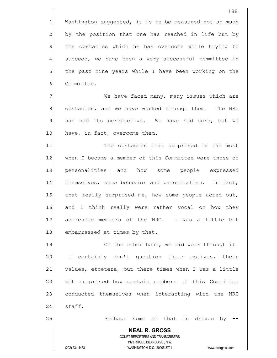$1$  Washington suggested, it is to be measured not so much 2 by the position that one has reached in life but by 3 I the obstacles which he has overcome while trying to 4 succeed, we have been a very successful committee in 5 5 5 5 the past nine years while I have been working on the 6 Committee.

7 7 We have faced many, many issues which are 8 obstacles, and we have worked through them. The NRC 9 has had its perspective. We have had ours, but we 10 have, in fact, overcome them.

11| The obstacles that surprised me the most 12 when I became a member of this Committee were those of 13 personalities and how some people expressed 14 themselves, some behavior and parochialism. In fact, 15 that really surprised me, how some people acted out, 16 and I think really were rather vocal on how they 17 addressed members of the NRC. I was a little bit 18 embarrassed at times by that.

19 On the other hand, we did work through it. 20 I certainly don't question their motives, their 21 values, etcetera, but there times when I was a little 22 bit surprised how certain members of this Committee 23 conducted themselves when interacting with the NRC  $24$  staff.

25 Perhaps some of that is driven by  $-$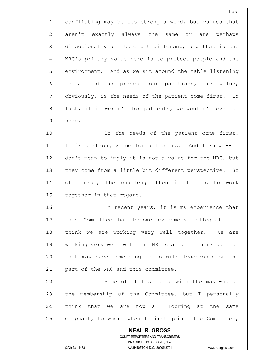1 conflicting may be too strong a word, but values that 2 aren't exactly always the same or are perhaps  $3$  directionally a little bit different, and that is the 4 NRC's primary value here is to protect people and the 5 Solut environment. And as we sit around the table listening 6 to all of us present our positions, our value, 7 obviously, is the needs of the patient come first. In 8 fact, if it weren't for patients, we wouldn't even be 9 here.

10 So the needs of the patient come first. 11 It is a strong value for all of us. And I know -- I 12 don't mean to imply it is not a value for the NRC, but 13 they come from a little bit different perspective. So 14 of course, the challenge then is for us to work 15 together in that regard.

16 In recent years, it is my experience that 17 | this Committee has become extremely collegial. I 18 think we are working very well together. We are 19 working very well with the NRC staff. I think part of 20 that may have something to do with leadership on the 21 part of the NRC and this committee.

22 Some of it has to do with the make-up of 23 the membership of the Committee, but I personally  $24$  think that we are now all looking at the same 25 elephant, to where when I first joined the Committee,

 **NEAL R. GROSS** COURT REPORTERS AND TRANSCRIBERS 1323 RHODE ISLAND AVE., N.W. (202) 234-4433 WASHINGTON, D.C. 20005-3701 www.nealrgross.com

189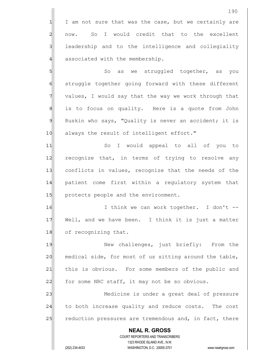**NEAL R. GROSS** COURT REPORTERS AND TRANSCRIBERS 1323 RHODE ISLAND AVE., N.W. 190  $1$  I am not sure that was the case, but we certainly are 2 now. So I would credit that to the excellent 3 3 leadership and to the intelligence and collegiality 4 associated with the membership. 5 So as we struggled together, as you 6 struggle together going forward with these different  $7$  values, I would say that the way we work through that 8 is to focus on quality. Here is a quote from John  $9$  Ruskin who says, "Quality is never an accident; it is 10 always the result of intelligent effort." 11|| So I would appeal to all of you to 12 recognize that, in terms of trying to resolve any 13 conflicts in values, recognize that the needs of the 14 patient come first within a regulatory system that 15 protects people and the environment. 16 I think we can work together. I don't --17 Well, and we have been. I think it is just a matter 18 of recognizing that. 19 New challenges, just briefly: From the 20 medical side, for most of us sitting around the table, 21 this is obvious. For some members of the public and  $22$  for some NRC staff, it may not be so obvious. 23 Medicine is under a great deal of pressure 24 to both increase quality and reduce costs. The cost 25 reduction pressures are tremendous and, in fact, there

(202) 234-4433 WASHINGTON, D.C. 20005-3701 www.nealrgross.com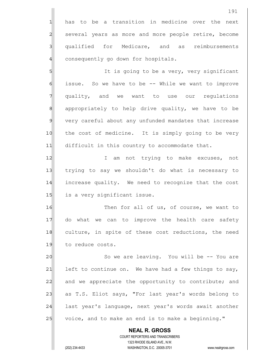**NEAL R. GROSS** COURT REPORTERS AND TRANSCRIBERS 1323 RHODE ISLAND AVE., N.W. 191 1 has to be a transition in medicine over the next 2 several years as more and more people retire, become 3 qualified for Medicare, and as reimbursements 4 consequently go down for hospitals. 5 5 It is going to be a very, very significant 6 6 issue. So we have to be -- While we want to improve 7 quality, and we want to use our regulations 8 appropriately to help drive quality, we have to be 9 very careful about any unfunded mandates that increase 10 the cost of medicine. It is simply going to be very 11 difficult in this country to accommodate that. 12 I am not trying to make excuses, not 13 trying to say we shouldn't do what is necessary to 14 increase quality. We need to recognize that the cost 15 is a very significant issue. 16 Then for all of us, of course, we want to 17 do what we can to improve the health care safety 18 culture, in spite of these cost reductions, the need 19 to reduce costs. 20 So we are leaving. You will be -- You are 21 left to continue on. We have had a few things to say, 22 and we appreciate the opportunity to contribute; and 23 as T.S. Eliot says, "For last year's words belong to 24 last year's language, next year's words await another 25 voice, and to make an end is to make a beginning."

(202) 234-4433 WASHINGTON, D.C. 20005-3701 www.nealrgross.com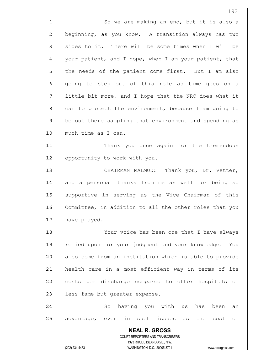192 1 So we are making an end, but it is also a 2 beginning, as you know. A transition always has two 3 | sides to it. There will be some times when I will be 4 your patient, and I hope, when I am your patient, that 5 5 5 the needs of the patient come first. But I am also 6 6 6 6 going to step out of this role as time goes on a  $7$  little bit more, and I hope that the NRC does what it 8 can to protect the environment, because I am going to 9 be out there sampling that environment and spending as 10 much time as I can. 11| Thank you once again for the tremendous 12 opportunity to work with you. 13 CHAIRMAN MALMUD: Thank you, Dr. Vetter, 14 and a personal thanks from me as well for being so 15 Supportive in serving as the Vice Chairman of this 16 Committee, in addition to all the other roles that you 17 have played. 18 Your voice has been one that I have always 19 relied upon for your judgment and your knowledge. You 20 also come from an institution which is able to provide 21 health care in a most efficient way in terms of its 22 costs per discharge compared to other hospitals of

24 So having you with us has been an 25 advantage, even in such issues as the cost of

> **NEAL R. GROSS** COURT REPORTERS AND TRANSCRIBERS 1323 RHODE ISLAND AVE., N.W. (202) 234-4433 WASHINGTON, D.C. 20005-3701 www.nealrgross.com

23 less fame but greater expense.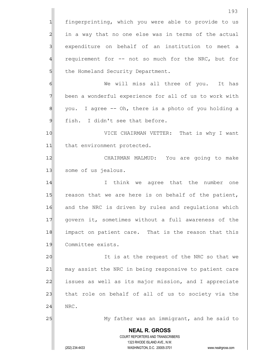**NEAL R. GROSS** COURT REPORTERS AND TRANSCRIBERS 1323 RHODE ISLAND AVE., N.W. (202) 234-4433 WASHINGTON, D.C. 20005-3701 www.nealrgross.com 193 1 fingerprinting, which you were able to provide to us 2 in a way that no one else was in terms of the actual 3 3 expenditure on behalf of an institution to meet a 4 requirement for -- not so much for the NRC, but for 5 5 blue Homeland Security Department. 6 Me will miss all three of you. It has 7 been a wonderful experience for all of us to work with 8 8 you. I agree -- Oh, there is a photo of you holding a  $9$  fish. I didn't see that before. 10 VICE CHAIRMAN VETTER: That is why I want 11 that environment protected. 12| CHAIRMAN MALMUD: You are going to make 13 Some of us jealous. 14 I I think we agree that the number one 15 reason that we are here is on behalf of the patient, 16 and the NRC is driven by rules and requlations which 17 | govern it, sometimes without a full awareness of the 18 impact on patient care. That is the reason that this 19 Committee exists. 20 | It is at the request of the NRC so that we 21 may assist the NRC in being responsive to patient care 22 issues as well as its major mission, and I appreciate 23 that role on behalf of all of us to society via the 24 NRC. 25 My father was an immigrant, and he said to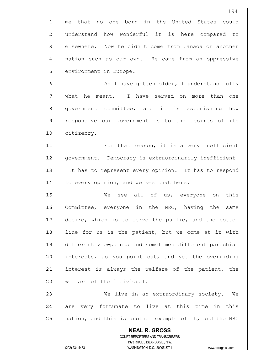1 me that no one born in the United States could 2 understand how wonderful it is here compared to 3 | elsewhere. Now he didn't come from Canada or another 4 nation such as our own. He came from an oppressive 5 | environment in Europe.

6 6 As I have gotten older, I understand fully 7 what he meant. I have served on more than one 8 8 approx and it is astonishing how 9 responsive our government is to the desires of its 10 citizenry.

11 For that reason, it is a very inefficient 12 | government. Democracy is extraordinarily inefficient. 13 It has to represent every opinion. It has to respond 14 to every opinion, and we see that here.

15 We see all of us, everyone on this 16 Committee, everyone in the NRC, having the same 17 desire, which is to serve the public, and the bottom 18 line for us is the patient, but we come at it with 19 different viewpoints and sometimes different parochial 20 interests, as you point out, and yet the overriding 21 interest is always the welfare of the patient, the 22 welfare of the individual.

23 We live in an extraordinary society. We 24 are very fortunate to live at this time in this 25 | nation, and this is another example of it, and the NRC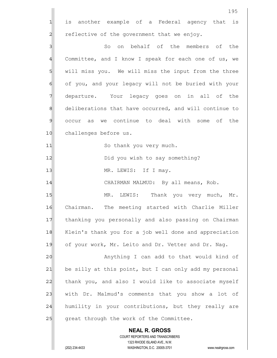**NEAL R. GROSS** COURT REPORTERS AND TRANSCRIBERS 1323 RHODE ISLAND AVE., N.W. (202) 234-4433 WASHINGTON, D.C. 20005-3701 www.nealrgross.com 195 1 is another example of a Federal agency that is  $2$  reflective of the government that we enjoy. 3 3 So on behalf of the members of the 4 Committee, and I know I speak for each one of us, we 5 | will miss you. We will miss the input from the three 6 of you, and your legacy will not be buried with your 7 departure. Your legacy goes on in all of the 8 deliberations that have occurred, and will continue to 9 occur as we continue to deal with some of the 10 challenges before us. 11 So thank you very much. 12 || Did you wish to say something? 13 | MR. LEWIS: If I may. 14 CHAIRMAN MALMUD: By all means, Rob. 15 MR. LEWIS: Thank you very much, Mr. 16 Chairman. The meeting started with Charlie Miller 17 thanking you personally and also passing on Chairman 18 Klein's thank you for a job well done and appreciation 19 of your work, Mr. Leito and Dr. Vetter and Dr. Naq. 20 | Anything I can add to that would kind of 21 be silly at this point, but I can only add my personal 22 thank you, and also I would like to associate myself 23 with Dr. Malmud's comments that you show a lot of 24 humility in your contributions, but they really are 25 great through the work of the Committee.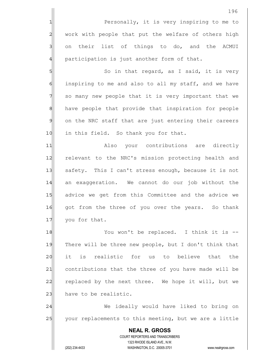**NEAL R. GROSS** COURT REPORTERS AND TRANSCRIBERS 1323 RHODE ISLAND AVE., N.W. (202) 234-4433 WASHINGTON, D.C. 20005-3701 www.nealrgross.com 196 1 Personally, it is very inspiring to me to 2 work with people that put the welfare of others high 3 3 on their list of things to do, and the ACMUI  $4$  participation is just another form of that. 5 So in that regard, as I said, it is very  $6$  inspiring to me and also to all my staff, and we have 7 | so many new people that it is very important that we 8 8 have people that provide that inspiration for people 9 on the NRC staff that are just entering their careers 10 in this field. So thank you for that. 11 Also your contributions are directly 12 relevant to the NRC's mission protecting health and 13 safety. This I can't stress enough, because it is not 14 an exaggeration. We cannot do our job without the 15 advice we get from this Committee and the advice we 16 qot from the three of you over the years. So thank 17 you for that. 18 You won't be replaced. I think it is --19 There will be three new people, but I don't think that 20 it is realistic for us to believe that the 21 contributions that the three of you have made will be 22 replaced by the next three. We hope it will, but we 23 have to be realistic. 24 We ideally would have liked to bring on 25 your replacements to this meeting, but we are a little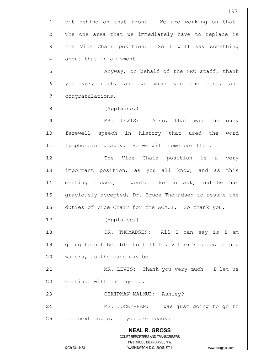**NEAL R. GROSS** COURT REPORTERS AND TRANSCRIBERS 1323 RHODE ISLAND AVE., N.W. (202) 234-4433 WASHINGTON, D.C. 20005-3701 www.nealrgross.com  $1$  bit behind on that front. We are working on that. 2 The one area that we immediately have to replace is 3 1 the Vice Chair position. So I will say something 4 about that in a moment. 5 S 6 you very much, and we wish you the best, and 7 congratulations. 8|| (Applause.) 9 MR. LEWIS: Also, that was the only 10 farewell speech in history that used the word 11 lymphoscintigraphy. So we will remember that. 12 The Vice Chair position is a very 13 important position, as you all know, and as this 14 meeting closes, I would like to ask, and he has 15 graciously accepted, Dr. Bruce Thomadsen to assume the 16 duties of Vice Chair for the ACMUI. So thank you. 17 (Applause.) 18 I DR. THOMADSEN: All I can say is I am 19 going to not be able to fill Dr. Vetter's shoes or hip  $20$  waders, as the case may be. 21 MR. LEWIS: Thank you very much. I let us 22 continue with the agenda. 23 | CHAIRMAN MALMUD: Ashley? 24 MS. COCKERHAM: I was just going to go to  $25$  the next topic, if you are ready.

197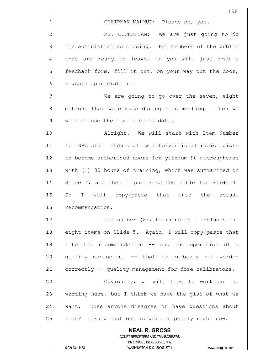|                 | 198                                                                                                 |  |  |  |
|-----------------|-----------------------------------------------------------------------------------------------------|--|--|--|
| 1               | CHAIRMAN MALMUD: Please do, yes.                                                                    |  |  |  |
| $\overline{a}$  | MS. COCKERHAM: We are just going to do                                                              |  |  |  |
| 3               | the administrative closing. For members of the public                                               |  |  |  |
| $\overline{4}$  | that are ready to leave, if you will just grab a                                                    |  |  |  |
| $5\overline{)}$ | feedback form, fill it out, on your way out the door,                                               |  |  |  |
| $\epsilon$      | I would appreciate it.                                                                              |  |  |  |
| 7               | We are going to go over the seven, eight                                                            |  |  |  |
| $\bf{8}$        | motions that were made during this meeting. Then we                                                 |  |  |  |
| $\mathfrak{g}$  | will choose the next meeting date.                                                                  |  |  |  |
| 10              | Alright. We will start with Item Number                                                             |  |  |  |
| 11              | 1: NRC staff should allow interventional radiologists                                               |  |  |  |
| 12              | to become authorized users for yttrium-90 microspheres                                              |  |  |  |
| 13              | with (1) 80 hours of training, which was summarized on                                              |  |  |  |
| 14              | Slide 4, and then I just read the title for Slide 4.                                                |  |  |  |
| 15              | So I will copy/paste that into the actual                                                           |  |  |  |
| 16              | recommendation.                                                                                     |  |  |  |
| 17              | For number $(2)$ , training that includes the                                                       |  |  |  |
| 18              | eight items on Slide 5. Again, I will copy/paste that                                               |  |  |  |
| 19              | into the recommendation -- and the operation of a                                                   |  |  |  |
| 20              | quality management -- that is probably not worded                                                   |  |  |  |
| 21              | correctly -- quality management for dose calibrators.                                               |  |  |  |
| 22              | Obviously, we will have to work on the                                                              |  |  |  |
| 23              | wording here, but I think we have the gist of what we                                               |  |  |  |
| 24              | want. Does anyone disagree or have questions about                                                  |  |  |  |
| 25              | that? I know that one is written poorly right now.                                                  |  |  |  |
|                 | <b>NEAL R. GROSS</b>                                                                                |  |  |  |
|                 | COURT REPORTERS AND TRANSCRIBERS                                                                    |  |  |  |
|                 | 1323 RHODE ISLAND AVE., N.W.<br>(202) 234-4433<br>WASHINGTON, D.C. 20005-3701<br>www.nealrgross.com |  |  |  |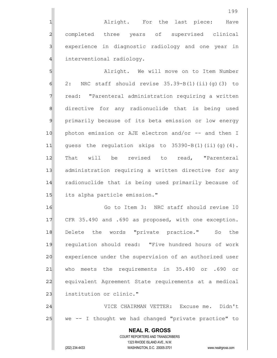1 alright. For the last piece: Have 2 completed three years of supervised clinical 3 experience in diagnostic radiology and one year in 4 interventional radiology.

5 SI Alright. We will move on to Item Number  $6$  2: NRC staff should revise 35.39-B(1)(ii)(g)(3) to 7 read: "Parenteral administration requiring a written 8 directive for any radionuclide that is being used 9 primarily because of its beta emission or low energy 10 | photon emission or AJE electron and/or -- and then I 11 quess the regulation skips to  $35390-B(1)(ii)(q)(4)$ . 12 That will be revised to read, "Parenteral 13 administration requiring a written directive for any 14 radionuclide that is being used primarily because of 15 its alpha particle emission."

16 Go to Item 3: NRC staff should revise 10 17 CFR 35.490 and .690 as proposed, with one exception. 18 Delete the words "private practice." So the 19 regulation should read: "Five hundred hours of work 20 experience under the supervision of an authorized user 21 who meets the requirements in 35.490 or .690 or 22 equivalent Agreement State requirements at a medical 23 institution or clinic."

24 VICE CHAIRMAN VETTER: Excuse me. Didn't 25 we -- I thought we had changed "private practice" to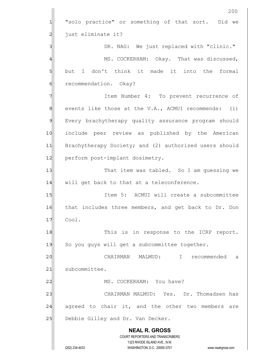**NEAL R. GROSS** COURT REPORTERS AND TRANSCRIBERS 1323 RHODE ISLAND AVE., N.W. (202) 234-4433 WASHINGTON, D.C. 20005-3701 www.nealrgross.com 200 1 "solo practice" or something of that sort. Did we 2 | just eliminate it? 3 BR. NAG: We just replaced with "clinic." 4 MS. COCKERHAM: Okay. That was discussed,  $5$  but I don't think it made it into the formal 6 6 recommendation. Okay? 7 7 The Mumber 4: To prevent recurrence of  $8$  events like those at the V.A., ACMUI recommends: (1) 9 Every brachytherapy quality assurance program should 10 | include peer review as published by the American 11 Brachytherapy Society; and (2) authorized users should 12 perform post-implant dosimetry. 13 That item was tabled. So I am quessing we 14 will get back to that at a teleconference. 15 Item 5: ACMUI will create a subcommittee 16 | that includes three members, and get back to Dr. Don  $17$   $Cool.$ 18 This is in response to the ICRP report. 19 So you guys will get a subcommittee together. 20 CHAIRMAN MALMUD: I recommended a 21 subcommittee. 22 | MS. COCKERHAM: You have? 23 CHAIRMAN MALMUD: Yes. Dr. Thomadsen has 24 agreed to chair it, and the other two members are 25 Debbie Gilley and Dr. Van Decker.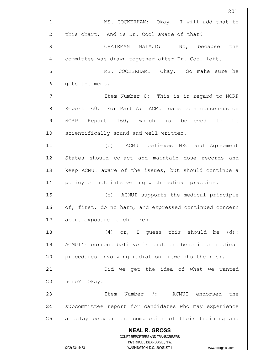|                | 201                                                                                                 |  |  |  |
|----------------|-----------------------------------------------------------------------------------------------------|--|--|--|
| 1              | MS. COCKERHAM: Okay. I will add that to                                                             |  |  |  |
| $\overline{c}$ | this chart. And is Dr. Cool aware of that?                                                          |  |  |  |
| 3              | CHAIRMAN MALMUD: No, because<br>the                                                                 |  |  |  |
| $\overline{4}$ | committee was drawn together after Dr. Cool left.                                                   |  |  |  |
| 5              | MS. COCKERHAM: Okay. So make sure he                                                                |  |  |  |
| 6              | gets the memo.                                                                                      |  |  |  |
| 7              | Item Number 6: This is in regard to NCRP                                                            |  |  |  |
| 8              | Report 160. For Part A: ACMUI came to a consensus on                                                |  |  |  |
| 9              | NCRP Report 160, which is believed to<br>be                                                         |  |  |  |
| 10             | scientifically sound and well written.                                                              |  |  |  |
| 11             | (b) ACMUI believes NRC and Agreement                                                                |  |  |  |
| 12             | States should co-act and maintain dose records and                                                  |  |  |  |
| 13             | keep ACMUI aware of the issues, but should continue a                                               |  |  |  |
| 14             | policy of not intervening with medical practice.                                                    |  |  |  |
| 15             | (c) ACMUI supports the medical principle                                                            |  |  |  |
| 16             | of, first, do no harm, and expressed continued concern                                              |  |  |  |
| 17             | about exposure to children.                                                                         |  |  |  |
| 18             | $(4)$ or, I quess this should be $(d)$ :                                                            |  |  |  |
| 19             | ACMUI's current believe is that the benefit of medical                                              |  |  |  |
| 20             | procedures involving radiation outweighs the risk.                                                  |  |  |  |
| 21             | Did we get the idea of what we wanted                                                               |  |  |  |
| 22             | here? Okay.                                                                                         |  |  |  |
| 23             | Item Number 7: ACMUI endorsed the                                                                   |  |  |  |
| 24             | subcommittee report for candidates who may experience                                               |  |  |  |
| 25             | a delay between the completion of their training and                                                |  |  |  |
|                | <b>NEAL R. GROSS</b>                                                                                |  |  |  |
|                | <b>COURT REPORTERS AND TRANSCRIBERS</b>                                                             |  |  |  |
|                | 1323 RHODE ISLAND AVE., N.W.<br>(202) 234-4433<br>WASHINGTON, D.C. 20005-3701<br>www.nealrgross.com |  |  |  |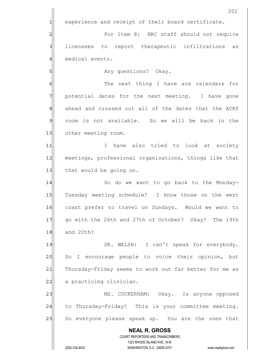**NEAL R. GROSS** COURT REPORTERS AND TRANSCRIBERS 1323 RHODE ISLAND AVE., N.W. (202) 234-4433 WASHINGTON, D.C. 20005-3701 www.nealrgross.com 202 1 experience and receipt of their board certificate. 2 and Extempt For Item 8: NRC staff should not require 3 licensees to report therapeutic infiltrations as 4 medical events. 5 | Solutions? Okay. 6 6 The next thing I have are calendars for  $7$  potential dates for the next meeting. I have gone 8 ahead and crossed out all of the dates that the ACRS 9 room is not available. So we will be back in the 10 other meeting room. 11 11 I have also tried to look at society 12 meetings, professional organizations, things like that 13 that would be going on. 14 So do we want to go back to the Monday-15 Tuesday meeting schedule? I know those on the west 16 coast prefer to travel on Sundays. Would we want to 17 | qo with the 26th and 27th of October? Okay? The 19th 18 and 20th? 19 DR. WELSH: I can't speak for everybody. 20 So I encourage people to voice their opinion, but 21 Thursday-Friday seems to work out far better for me as 22 a practicing clinician. 23 MS. COCKERHAM: Okay. Is anyone opposed 24 to Thursday-Friday? This is your committee meeting. 25 So everyone please speak up. You are the ones that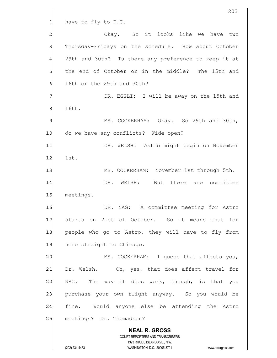**NEAL R. GROSS** COURT REPORTERS AND TRANSCRIBERS 1323 RHODE ISLAND AVE., N.W. (202) 234-4433 WASHINGTON, D.C. 20005-3701 www.nealrgross.com 203  $1$  have to fly to D.C. 2 2 Okay. So it looks like we have two 3 Thursday-Fridays on the schedule. How about October 4 29th and 30th? Is there any preference to keep it at 5 the end of October or in the middle? The 15th and  $6$  16th or the 29th and 30th? 7 7 DR. EGGLI: I will be away on the 15th and 8 16th. 9 MS. COCKERHAM: Okay. So 29th and 30th, 10 do we have any conflicts? Wide open? 11 | DR. WELSH: Astro might begin on November 12 1st. 13 MS. COCKERHAM: November 1st through 5th. 14 **DR.** WELSH: But there are committee 15 meetings. 16 DR. NAG: A committee meeting for Astro 17 starts on 21st of October. So it means that for 18 people who go to Astro, they will have to fly from 19 here straight to Chicago. 20 MS. COCKERHAM: I quess that affects you, 21 Dr. Welsh. Oh, yes, that does affect travel for  $22$  NRC. The way it does work, though, is that you 23 purchase your own flight anyway. So you would be 24 fine. Would anyone else be attending the Astro 25 meetings? Dr. Thomadsen?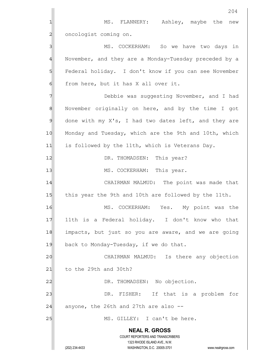**NEAL R. GROSS** COURT REPORTERS AND TRANSCRIBERS 1323 RHODE ISLAND AVE., N.W. (202) 234-4433 WASHINGTON, D.C. 20005-3701 www.nealrgross.com 204 1 MS. FLANNERY: Ashley, maybe the new 2 oncologist coming on. 3 MS. COCKERHAM: So we have two days in 4 November, and they are a Monday-Tuesday preceded by a 5 Federal holiday. I don't know if you can see November  $6$  from here, but it has X all over it. 7 7 7 Debbie was suggesting November, and I had 8 November originally on here, and by the time I got  $9$  done with my X's, I had two dates left, and they are 10 Monday and Tuesday, which are the 9th and 10th, which 11 is followed by the 11th, which is Veterans Day. 12 DR. THOMADSEN: This year? 13 || MS. COCKERHAM: This year. 14 CHAIRMAN MALMUD: The point was made that 15 this year the 9th and 10th are followed by the 11th. 16 MS. COCKERHAM: Yes. My point was the 17 11th is a Federal holiday. I don't know who that 18 impacts, but just so you are aware, and we are going  $19$  back to Monday-Tuesday, if we do that. 20 CHAIRMAN MALMUD: Is there any objection  $21$  to the 29th and 30th? 22 | DR. THOMADSEN: No objection. 23 DR. FISHER: If that is a problem for  $24$  anyone, the 26th and 27th are also  $-$ 25 | MS. GILLEY: I can't be here.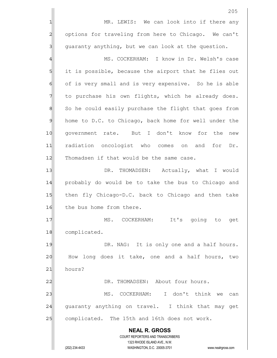**NEAL R. GROSS** COURT REPORTERS AND TRANSCRIBERS 1323 RHODE ISLAND AVE., N.W. 205 1 MR. LEWIS: We can look into if there any 2 options for traveling from here to Chicago. We can't  $3$  guaranty anything, but we can look at the question. 4 MS. COCKERHAM: I know in Dr. Welsh's case 5 it is possible, because the airport that he flies out 6 of is very small and is very expensive. So he is able 7 to purchase his own flights, which he already does. 8 So he could easily purchase the flight that goes from 9 home to D.C. to Chicago, back home for well under the 10 qovernment rate. But I don't know for the new 11 radiation oncologist who comes on and for Dr. 12 Thomadsen if that would be the same case. 13 | DR. THOMADSEN: Actually, what I would 14 probably do would be to take the bus to Chicago and 15 then fly Chicago-D.C. back to Chicago and then take 16 the bus home from there. 17 MS. COCKERHAM: It's going to get 18 complicated. 19 DR. NAG: It is only one and a half hours. 20 How long does it take, one and a half hours, two 21 hours? 22 DR. THOMADSEN: About four hours. 23 MS. COCKERHAM: I don't think we can 24 guaranty anything on travel. I think that may get 25 complicated. The 15th and 16th does not work.

(202) 234-4433 WASHINGTON, D.C. 20005-3701 www.nealrgross.com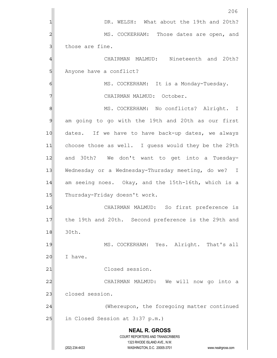|                | 206                                                                                                 |  |  |  |
|----------------|-----------------------------------------------------------------------------------------------------|--|--|--|
| 1              | DR. WELSH: What about the 19th and 20th?                                                            |  |  |  |
| 2              | MS. COCKERHAM: Those dates are open, and                                                            |  |  |  |
| 3              | those are fine.                                                                                     |  |  |  |
| 4              | CHAIRMAN MALMUD: Nineteenth and 20th?                                                               |  |  |  |
| 5              | Anyone have a conflict?                                                                             |  |  |  |
| 6              | MS. COCKERHAM: It is a Monday-Tuesday.                                                              |  |  |  |
| 7              | CHAIRMAN MALMUD: October.                                                                           |  |  |  |
| 8              | MS. COCKERHAM: No conflicts? Alright. I                                                             |  |  |  |
| $\mathfrak{S}$ | am going to go with the 19th and 20th as our first                                                  |  |  |  |
| 10             | dates. If we have to have back-up dates, we always                                                  |  |  |  |
| 11             | choose those as well. I guess would they be the 29th                                                |  |  |  |
| 12             | and 30th? We don't want to get into a Tuesday-                                                      |  |  |  |
| 13             | Wednesday or a Wednesday-Thursday meeting, do we? I                                                 |  |  |  |
| 14             | am seeing noes. Okay, and the 15th-16th, which is a                                                 |  |  |  |
| 15             | Thursday-Friday doesn't work.                                                                       |  |  |  |
| 16             | CHAIRMAN MALMUD: So first preference is                                                             |  |  |  |
| 17             | the 19th and 20th. Second preference is the 29th and                                                |  |  |  |
| 18             | 30th.                                                                                               |  |  |  |
| 19             | MS. COCKERHAM: Yes. Alright. That's all                                                             |  |  |  |
| 20             | I have.                                                                                             |  |  |  |
| 21             | Closed session.                                                                                     |  |  |  |
| 22             | CHAIRMAN MALMUD: We will now go into a                                                              |  |  |  |
| 23             | closed session.                                                                                     |  |  |  |
| 24             | (Whereupon, the foregoing matter continued                                                          |  |  |  |
| 25             | in Closed Session at 3:37 p.m.)                                                                     |  |  |  |
|                | <b>NEAL R. GROSS</b><br>COURT REPORTERS AND TRANSCRIBERS                                            |  |  |  |
|                | 1323 RHODE ISLAND AVE., N.W.<br>(202) 234-4433<br>WASHINGTON, D.C. 20005-3701<br>www.nealrgross.com |  |  |  |